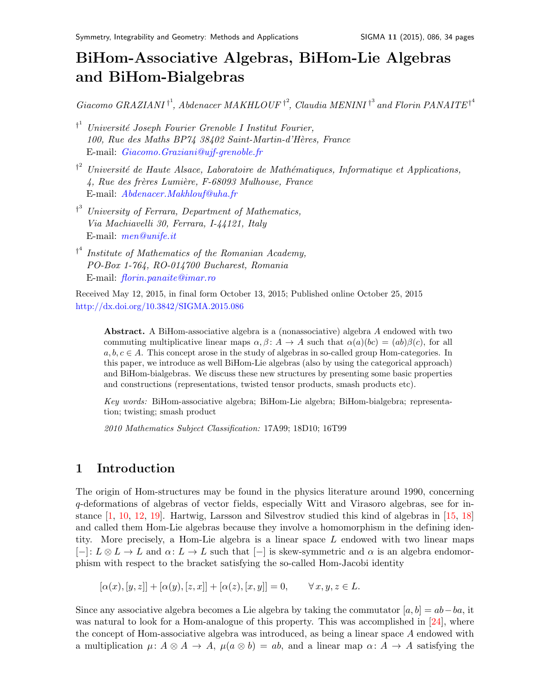# BiHom-Associative Algebras, BiHom-Lie Algebras and BiHom-Bialgebras

Giacomo GRAZIANI<sup>+1</sup>, Abdenacer MAKHLOUF<sup>+2</sup>, Claudia MENINI<sup>+3</sup> and Florin PANAITE<sup>+4</sup>

- <sup>†1</sup> Université Joseph Fourier Grenoble I Institut Fourier, 100, Rue des Maths BP74 38402 Saint-Martin-d'H`eres, France E-mail: [Giacomo.Graziani@ujf-grenoble.fr](mailto:Giacomo.Graziani@ujf-grenoble.fr)
- $\mathfrak{f}^2$  Université de Haute Alsace, Laboratoire de Mathématiques, Informatique et Applications,  $4, Rue$  des frères Lumière, F-68093 Mulhouse, France E-mail: <Abdenacer.Makhlouf@uha.fr>
- <sup>†3</sup> University of Ferrara, Department of Mathematics, Via Machiavelli 30, Ferrara, I-44121, Italy E-mail: [men@unife.it](mailto:men@unife.it)
- $\mathfrak{f}^4$  Institute of Mathematics of the Romanian Academy, PO-Box 1-764, RO-014700 Bucharest, Romania E-mail: <florin.panaite@imar.ro>

Received May 12, 2015, in final form October 13, 2015; Published online October 25, 2015 <http://dx.doi.org/10.3842/SIGMA.2015.086>

Abstract. A BiHom-associative algebra is a (nonassociative) algebra A endowed with two commuting multiplicative linear maps  $\alpha, \beta \colon A \to A$  such that  $\alpha(a)(bc) = (ab)\beta(c)$ , for all  $a, b, c \in A$ . This concept arose in the study of algebras in so-called group Hom-categories. In this paper, we introduce as well BiHom-Lie algebras (also by using the categorical approach) and BiHom-bialgebras. We discuss these new structures by presenting some basic properties and constructions (representations, twisted tensor products, smash products etc).

Key words: BiHom-associative algebra; BiHom-Lie algebra; BiHom-bialgebra; representation; twisting; smash product

2010 Mathematics Subject Classification: 17A99; 18D10; 16T99

# 1 Introduction

The origin of Hom-structures may be found in the physics literature around 1990, concerning q-deformations of algebras of vector fields, especially Witt and Virasoro algebras, see for instance [\[1,](#page-32-0) [10,](#page-33-0) [12,](#page-33-1) [19\]](#page-33-2). Hartwig, Larsson and Silvestrov studied this kind of algebras in [\[15,](#page-33-3) [18\]](#page-33-4) and called them Hom-Lie algebras because they involve a homomorphism in the defining identity. More precisely, a Hom-Lie algebra is a linear space  $L$  endowed with two linear maps  $[-]: L \otimes L \to L$  and  $\alpha: L \to L$  such that  $[-]$  is skew-symmetric and  $\alpha$  is an algebra endomorphism with respect to the bracket satisfying the so-called Hom-Jacobi identity

 $[\alpha(x), [y, z]] + [\alpha(y), [z, x]] + [\alpha(z), [x, y]] = 0, \quad \forall x, y, z \in L.$ 

Since any associative algebra becomes a Lie algebra by taking the commutator  $[a, b] = ab - ba$ , it was natural to look for a Hom-analogue of this property. This was accomplished in [\[24\]](#page-33-5), where the concept of Hom-associative algebra was introduced, as being a linear space A endowed with a multiplication  $\mu: A \otimes A \to A$ ,  $\mu(a \otimes b) = ab$ , and a linear map  $\alpha: A \to A$  satisfying the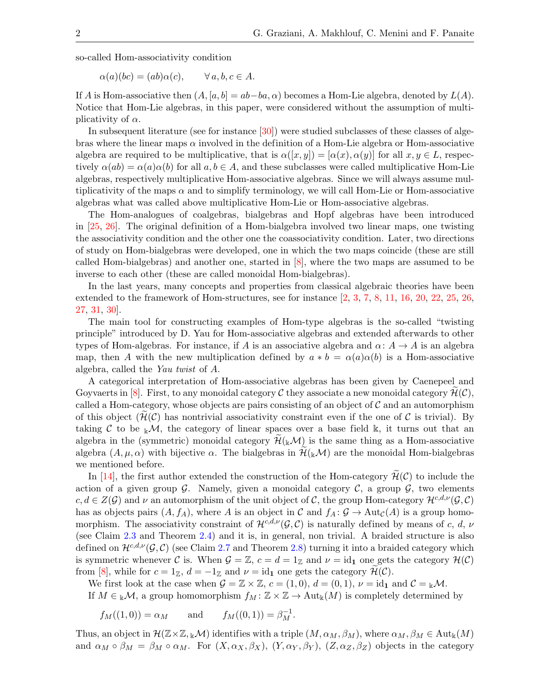so-called Hom-associativity condition

$$
\alpha(a)(bc) = (ab)\alpha(c), \qquad \forall a, b, c \in A.
$$

If A is Hom-associative then  $(A, [a, b] = ab - ba, \alpha)$  becomes a Hom-Lie algebra, denoted by  $L(A)$ . Notice that Hom-Lie algebras, in this paper, were considered without the assumption of multiplicativity of  $\alpha$ .

In subsequent literature (see for instance  $[30]$ ) were studied subclasses of these classes of algebras where the linear maps  $\alpha$  involved in the definition of a Hom-Lie algebra or Hom-associative algebra are required to be multiplicative, that is  $\alpha([x, y]) = [\alpha(x), \alpha(y)]$  for all  $x, y \in L$ , respectively  $\alpha(ab) = \alpha(a)\alpha(b)$  for all  $a, b \in A$ , and these subclasses were called multiplicative Hom-Lie algebras, respectively multiplicative Hom-associative algebras. Since we will always assume multiplicativity of the maps  $\alpha$  and to simplify terminology, we will call Hom-Lie or Hom-associative algebras what was called above multiplicative Hom-Lie or Hom-associative algebras.

The Hom-analogues of coalgebras, bialgebras and Hopf algebras have been introduced in [\[25,](#page-33-7) [26\]](#page-33-8). The original definition of a Hom-bialgebra involved two linear maps, one twisting the associativity condition and the other one the coassociativity condition. Later, two directions of study on Hom-bialgebras were developed, one in which the two maps coincide (these are still called Hom-bialgebras) and another one, started in [\[8\]](#page-32-1), where the two maps are assumed to be inverse to each other (these are called monoidal Hom-bialgebras).

In the last years, many concepts and properties from classical algebraic theories have been extended to the framework of Hom-structures, see for instance [\[2,](#page-32-2) [3,](#page-32-3) [7,](#page-32-4) [8,](#page-32-1) [11,](#page-33-9) [16,](#page-33-10) [20,](#page-33-11) [22,](#page-33-12) [25,](#page-33-7) [26,](#page-33-8) [27,](#page-33-13) [31,](#page-33-14) [30\]](#page-33-6).

The main tool for constructing examples of Hom-type algebras is the so-called "twisting principle" introduced by D. Yau for Hom-associative algebras and extended afterwards to other types of Hom-algebras. For instance, if A is an associative algebra and  $\alpha: A \to A$  is an algebra map, then A with the new multiplication defined by  $a * b = \alpha(a)\alpha(b)$  is a Hom-associative algebra, called the Yau twist of A.

A categorical interpretation of Hom-associative algebras has been given by Caenepeel and Goyvaerts in [\[8\]](#page-32-1). First, to any monoidal category C they associate a new monoidal category  $\mathcal{H}(\mathcal{C})$ , called a Hom-category, whose objects are pairs consisting of an object of  $\mathcal C$  and an automorphism of this object  $(H(\mathcal{C}))$  has nontrivial associativity constraint even if the one of  $\mathcal{C}$  is trivial). By taking C to be  $\mathbb{K}M$ , the category of linear spaces over a base field  $\mathbb{K}$ , it turns out that an algebra in the (symmetric) monoidal category  $\mathcal{H}(\mathbf{k}|\mathcal{M})$  is the same thing as a Hom-associative algebra  $(A, \mu, \alpha)$  with bijective  $\alpha$ . The bialgebras in  $\mathcal{H}(\mathbb{R}^{\mathcal{M}})$  are the monoidal Hom-bialgebras we mentioned before.

In [\[14\]](#page-33-15), the first author extended the construction of the Hom-category  $\mathcal{H}(\mathcal{C})$  to include the action of a given group  $G$ . Namely, given a monoidal category  $C$ , a group  $G$ , two elements  $c, d \in Z(G)$  and  $\nu$  an automorphism of the unit object of C, the group Hom-category  $\mathcal{H}^{c,d,\nu}(\mathcal{G},\mathcal{C})$ has as objects pairs  $(A, f_A)$ , where A is an object in C and  $f_A : \mathcal{G} \to \text{Aut}_{\mathcal{C}}(A)$  is a group homomorphism. The associativity constraint of  $\mathcal{H}^{c,d,\nu}(\mathcal{G},\mathcal{C})$  is naturally defined by means of c, d, v (see Claim [2.3](#page-4-0) and Theorem [2.4\)](#page-4-1) and it is, in general, non trivial. A braided structure is also defined on  $\mathcal{H}^{c,d,\nu}(\mathcal{G},\mathcal{C})$  (see Claim [2.7](#page-5-0) and Theorem [2.8\)](#page-5-1) turning it into a braided category which is symmetric whenever C is. When  $\mathcal{G} = \mathbb{Z}$ ,  $c = d = 1_{\mathbb{Z}}$  and  $\nu = id_1$  one gets the category  $\mathcal{H}(\mathcal{C})$ from [\[8\]](#page-32-1), while for  $c = 1_{\mathbb{Z}}$ ,  $d = -1_{\mathbb{Z}}$  and  $\nu = id_1$  one gets the category  $\mathcal{H}(\mathcal{C})$ .

We first look at the case when  $\mathcal{G} = \mathbb{Z} \times \mathbb{Z}$ ,  $c = (1, 0)$ ,  $d = (0, 1)$ ,  $\nu = id_1$  and  $\mathcal{C} = \mathbb{R} \mathcal{M}$ .

If  $M \in \mathbb{R}M$ , a group homomorphism  $f_M : \mathbb{Z} \times \mathbb{Z} \to \text{Aut}_\mathbb{R}(M)$  is completely determined by

$$
f_M((1,0)) = \alpha_M
$$
 and  $f_M((0,1)) = \beta_M^{-1}$ .

Thus, an object in  $\mathcal{H}(\mathbb{Z}\times\mathbb{Z}, k\mathcal{M})$  identifies with a triple  $(M, \alpha_M, \beta_M)$ , where  $\alpha_M, \beta_M \in \text{Aut}_k(M)$ and  $\alpha_M \circ \beta_M = \beta_M \circ \alpha_M$ . For  $(X, \alpha_X, \beta_X), (Y, \alpha_Y, \beta_Y), (Z, \alpha_Z, \beta_Z)$  objects in the category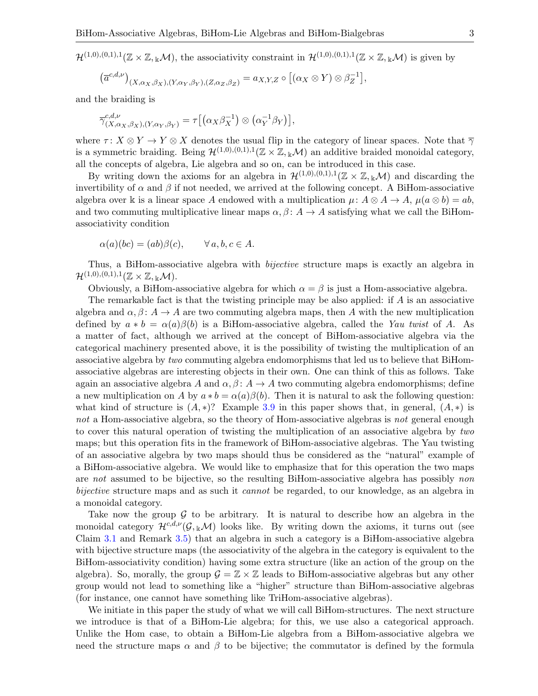$\mathcal{H}^{(1,0),(0,1),1}(\mathbb{Z}\times\mathbb{Z},_{\mathbb{K}}\mathcal{M}),$  the associativity constraint in  $\mathcal{H}^{(1,0),(0,1),1}(\mathbb{Z}\times\mathbb{Z},_{\mathbb{K}}\mathcal{M})$  is given by

$$
(\overline{a}^{c,d,\nu})_{(X,\alpha_X,\beta_X),(Y,\alpha_Y,\beta_Y),(Z,\alpha_Z,\beta_Z)} = a_{X,Y,Z} \circ [(\alpha_X \otimes Y) \otimes \beta_Z^{-1}],
$$

and the braiding is

$$
\overline{\gamma}_{(X,\alpha_X,\beta_X),(Y,\alpha_Y,\beta_Y)}^{c,d,\nu} = \tau \big[ \big( \alpha_X \beta_X^{-1} \big) \otimes \big( \alpha_Y^{-1} \beta_Y \big) \big],
$$

where  $\tau: X \otimes Y \to Y \otimes X$  denotes the usual flip in the category of linear spaces. Note that  $\overline{\gamma}$ is a symmetric braiding. Being  $\mathcal{H}^{(1,0),(0,1),1}(\mathbb{Z}\times\mathbb{Z},_{\mathbb{k}}\mathcal{M})$  an additive braided monoidal category, all the concepts of algebra, Lie algebra and so on, can be introduced in this case.

By writing down the axioms for an algebra in  $\mathcal{H}^{(1,0),(0,1),1}(\mathbb{Z}\times\mathbb{Z},\mathbb{Z}\mathcal{M})$  and discarding the invertibility of  $\alpha$  and  $\beta$  if not needed, we arrived at the following concept. A BiHom-associative algebra over k is a linear space A endowed with a multiplication  $\mu: A \otimes A \to A$ ,  $\mu(a \otimes b) = ab$ , and two commuting multiplicative linear maps  $\alpha, \beta \colon A \to A$  satisfying what we call the BiHomassociativity condition

$$
\alpha(a)(bc) = (ab)\beta(c), \qquad \forall a, b, c \in A.
$$

Thus, a BiHom-associative algebra with *bijective* structure maps is exactly an algebra in  $\mathcal{H}^{(1,0),(0,1),1}(\mathbb{Z}\times\mathbb{Z},{}_{\Bbbk}\mathcal{M}).$ 

Obviously, a BiHom-associative algebra for which  $\alpha = \beta$  is just a Hom-associative algebra.

The remarkable fact is that the twisting principle may be also applied: if  $A$  is an associative algebra and  $\alpha, \beta \colon A \to A$  are two commuting algebra maps, then A with the new multiplication defined by  $a * b = \alpha(a)\beta(b)$  is a BiHom-associative algebra, called the Yau twist of A. As a matter of fact, although we arrived at the concept of BiHom-associative algebra via the categorical machinery presented above, it is the possibility of twisting the multiplication of an associative algebra by two commuting algebra endomorphisms that led us to believe that BiHomassociative algebras are interesting objects in their own. One can think of this as follows. Take again an associative algebra A and  $\alpha, \beta \colon A \to A$  two commuting algebra endomorphisms; define a new multiplication on A by  $a * b = \alpha(a)\beta(b)$ . Then it is natural to ask the following question: what kind of structure is  $(A, *)$ ? Example [3.9](#page-9-0) in this paper shows that, in general,  $(A, *)$  is not a Hom-associative algebra, so the theory of Hom-associative algebras is not general enough to cover this natural operation of twisting the multiplication of an associative algebra by two maps; but this operation fits in the framework of BiHom-associative algebras. The Yau twisting of an associative algebra by two maps should thus be considered as the "natural" example of a BiHom-associative algebra. We would like to emphasize that for this operation the two maps are not assumed to be bijective, so the resulting BiHom-associative algebra has possibly non bijective structure maps and as such it cannot be regarded, to our knowledge, as an algebra in a monoidal category.

Take now the group  $\mathcal G$  to be arbitrary. It is natural to describe how an algebra in the monoidal category  $\mathcal{H}^{c,d,\nu}(\mathcal{G},k\mathcal{M})$  looks like. By writing down the axioms, it turns out (see Claim [3.1](#page-7-0) and Remark [3.5\)](#page-8-0) that an algebra in such a category is a BiHom-associative algebra with bijective structure maps (the associativity of the algebra in the category is equivalent to the BiHom-associativity condition) having some extra structure (like an action of the group on the algebra). So, morally, the group  $\mathcal{G} = \mathbb{Z} \times \mathbb{Z}$  leads to BiHom-associative algebras but any other group would not lead to something like a "higher" structure than BiHom-associative algebras (for instance, one cannot have something like TriHom-associative algebras).

We initiate in this paper the study of what we will call BiHom-structures. The next structure we introduce is that of a BiHom-Lie algebra; for this, we use also a categorical approach. Unlike the Hom case, to obtain a BiHom-Lie algebra from a BiHom-associative algebra we need the structure maps  $\alpha$  and  $\beta$  to be bijective; the commutator is defined by the formula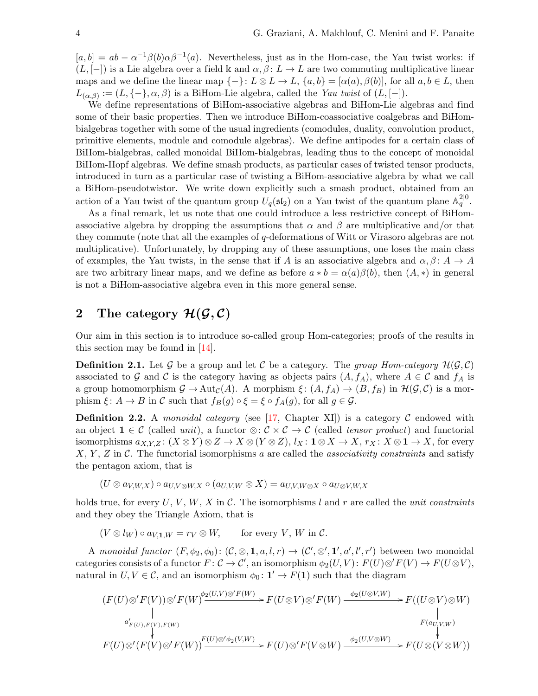$[a, b] = ab - \alpha^{-1}\beta(b)\alpha\beta^{-1}(a)$ . Nevertheless, just as in the Hom-case, the Yau twist works: if  $(L, [-])$  is a Lie algebra over a field k and  $\alpha, \beta \colon L \to L$  are two commuting multiplicative linear maps and we define the linear map  $\{-\}$ :  $L \otimes L \to L$ ,  $\{a, b\} = [\alpha(a), \beta(b)]$ , for all  $a, b \in L$ , then  $L_{(\alpha,\beta)} := (L, \{-\}, \alpha, \beta)$  is a BiHom-Lie algebra, called the Yau twist of  $(L, [-])$ .

We define representations of BiHom-associative algebras and BiHom-Lie algebras and find some of their basic properties. Then we introduce BiHom-coassociative coalgebras and BiHombialgebras together with some of the usual ingredients (comodules, duality, convolution product, primitive elements, module and comodule algebras). We define antipodes for a certain class of BiHom-bialgebras, called monoidal BiHom-bialgebras, leading thus to the concept of monoidal BiHom-Hopf algebras. We define smash products, as particular cases of twisted tensor products, introduced in turn as a particular case of twisting a BiHom-associative algebra by what we call a BiHom-pseudotwistor. We write down explicitly such a smash product, obtained from an action of a Yau twist of the quantum group  $U_q(\mathfrak{sl}_2)$  on a Yau twist of the quantum plane  $\mathbb{A}_q^{2|0}$ .

As a final remark, let us note that one could introduce a less restrictive concept of BiHomassociative algebra by dropping the assumptions that  $\alpha$  and  $\beta$  are multiplicative and/or that they commute (note that all the examples of q-deformations of Witt or Virasoro algebras are not multiplicative). Unfortunately, by dropping any of these assumptions, one loses the main class of examples, the Yau twists, in the sense that if A is an associative algebra and  $\alpha, \beta \colon A \to A$ are two arbitrary linear maps, and we define as before  $a * b = \alpha(a)\beta(b)$ , then  $(A, *)$  in general is not a BiHom-associative algebra even in this more general sense.

# 2 The category  $\mathcal{H}(\mathcal{G}, \mathcal{C})$

Our aim in this section is to introduce so-called group Hom-categories; proofs of the results in this section may be found in [\[14\]](#page-33-15).

**Definition 2.1.** Let G be a group and let C be a category. The group Hom-category  $\mathcal{H}(\mathcal{G}, \mathcal{C})$ associated to G and C is the category having as objects pairs  $(A, f_A)$ , where  $A \in \mathcal{C}$  and  $f_A$  is a group homomorphism  $\mathcal{G} \to \text{Aut}_{\mathcal{C}}(A)$ . A morphism  $\xi : (A, f_A) \to (B, f_B)$  in  $\mathcal{H}(\mathcal{G}, \mathcal{C})$  is a morphism  $\xi: A \to B$  in C such that  $f_B(g) \circ \xi = \xi \circ f_A(g)$ , for all  $g \in \mathcal{G}$ .

**Definition 2.2.** A monoidal category (see [\[17,](#page-33-16) Chapter XI]) is a category  $\mathcal C$  endowed with an object  $1 \in \mathcal{C}$  (called unit), a functor  $\otimes : \mathcal{C} \times \mathcal{C} \to \mathcal{C}$  (called tensor product) and functorial isomorphisms  $a_{X,Y,Z}$ :  $(X \otimes Y) \otimes Z \to X \otimes (Y \otimes Z)$ ,  $l_X$ :  $\mathbf{1} \otimes X \to X$ ,  $r_X$ :  $X \otimes \mathbf{1} \to X$ , for every  $X, Y, Z$  in C. The functorial isomorphisms a are called the associativity constraints and satisfy the pentagon axiom, that is

$$
(U\otimes a_{V,W,X})\circ a_{U,V\otimes W,X}\circ (a_{U,V,W}\otimes X)=a_{U,V,W\otimes X}\circ a_{U\otimes V,W,X}
$$

holds true, for every  $U, V, W, X$  in C. The isomorphisms l and r are called the *unit constraints* and they obey the Triangle Axiom, that is

 $(V \otimes l_W) \circ a_{V1\ W} = r_V \otimes W$ , for every V, W in C.

A monoidal functor  $(F, \phi_2, \phi_0)$ :  $(\mathcal{C}, \otimes, \mathbf{1}, a, l, r) \to (\mathcal{C}', \otimes', \mathbf{1}', a', l', r')$  between two monoidal categories consists of a functor  $F: \mathcal{C} \to \mathcal{C}'$ , an isomorphism  $\phi_2(U, V) : F(U) \otimes' F(V) \to F(U \otimes V)$ , natural in  $U, V \in \mathcal{C}$ , and an isomorphism  $\phi_0 \colon \mathbf{1}' \to F(\mathbf{1})$  such that the diagram

$$
(F(U)\otimes' F(V))\otimes' F(W)\xrightarrow{\phi_2(U,V)\otimes' F(W)} F(U\otimes V)\otimes' F(W)\xrightarrow{\phi_2(U\otimes V,W)} F((U\otimes V)\otimes W)
$$
  
\n
$$
\downarrow
$$
  
\n
$$
F(a_{U,V,W})
$$
  
\n
$$
F(U)\otimes'(F(V)\otimes' F(W))\xrightarrow{F(U)\otimes'\phi_2(V,W)} F(U)\otimes' F(V\otimes W)\xrightarrow{\phi_2(U,V\otimes W)} F(U\otimes (V\otimes W))
$$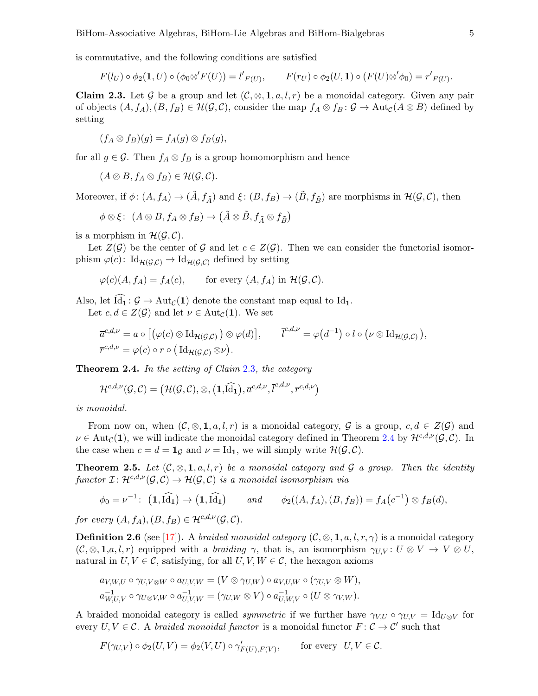is commutative, and the following conditions are satisfied

$$
F(l_U) \circ \phi_2(\mathbf{1}, U) \circ (\phi_0 \otimes' F(U)) = l'_{F(U)}, \qquad F(r_U) \circ \phi_2(U, \mathbf{1}) \circ (F(U) \otimes' \phi_0) = r'_{F(U)}.
$$

<span id="page-4-0"></span>**Claim 2.3.** Let G be a group and let  $(C, \otimes, 1, a, l, r)$  be a monoidal category. Given any pair of objects  $(A, f_A), (B, f_B) \in \mathcal{H}(\mathcal{G}, \mathcal{C})$ , consider the map  $f_A \otimes f_B : \mathcal{G} \to \text{Aut}_{\mathcal{C}}(A \otimes B)$  defined by setting

$$
(f_A \otimes f_B)(g) = f_A(g) \otimes f_B(g),
$$

for all  $g \in \mathcal{G}$ . Then  $f_A \otimes f_B$  is a group homomorphism and hence

$$
(A\otimes B, f_A\otimes f_B)\in \mathcal{H}(\mathcal{G},\mathcal{C}).
$$

Moreover, if  $\phi: (A, f_A) \to (\tilde{A}, f_{\tilde{A}})$  and  $\xi: (B, f_B) \to (\tilde{B}, f_{\tilde{B}})$  are morphisms in  $\mathcal{H}(\mathcal{G}, \mathcal{C})$ , then

$$
\phi \otimes \xi \colon \ (A \otimes B, f_A \otimes f_B) \to \big(\tilde{A} \otimes \tilde{B}, f_{\tilde{A}} \otimes f_{\tilde{B}}\big)
$$

is a morphism in  $\mathcal{H}(\mathcal{G}, \mathcal{C})$ .

Let  $Z(G)$  be the center of G and let  $c \in Z(G)$ . Then we can consider the functorial isomorphism  $\varphi(c)$ : Id $_{\mathcal{H}(\mathcal{G},\mathcal{C})}$   $\to$  Id $_{\mathcal{H}(\mathcal{G},\mathcal{C})}$  defined by setting

$$
\varphi(c)(A, f_A) = f_A(c)
$$
, for every  $(A, f_A)$  in  $\mathcal{H}(\mathcal{G}, \mathcal{C})$ .

Also, let  $\widehat{Id}_1 : \mathcal{G} \to \text{Aut}_{\mathcal{C}}(1)$  denote the constant map equal to  $Id_1$ .

Let  $c, d \in Z(\mathcal{G})$  and let  $\nu \in \text{Aut}_{\mathcal{C}}(1)$ . We set

$$
\overline{a}^{c,d,\nu} = a \circ [(\varphi(c) \otimes \mathrm{Id}_{\mathcal{H}(\mathcal{G},\mathcal{C})}) \otimes \varphi(d)], \qquad \overline{l}^{c,d,\nu} = \varphi(d^{-1}) \circ l \circ (\nu \otimes \mathrm{Id}_{\mathcal{H}(\mathcal{G},\mathcal{C})}),
$$
  

$$
\overline{r}^{c,d,\nu} = \varphi(c) \circ r \circ (\mathrm{Id}_{\mathcal{H}(\mathcal{G},\mathcal{C})} \otimes \nu).
$$

<span id="page-4-1"></span>**Theorem 2.4.** In the setting of Claim  $2.3$ , the category

$$
\mathcal{H}^{c,d,\nu}(\mathcal{G},\mathcal{C})=\big(\mathcal{H}(\mathcal{G},\mathcal{C}),\otimes,\big(\mathbf{1},\widehat{\mathrm{Id}_\mathbf{1}}\big),\overline{a}^{c,d,\nu},\overline{l}^{c,d,\nu},\overline{r}^{c,d,\nu}\big)
$$

is monoidal.

From now on, when  $(C, \otimes, 1, a, l, r)$  is a monoidal category, G is a group,  $c, d \in Z(\mathcal{G})$  and  $\nu \in \text{Aut}_{\mathcal{C}}(1)$ , we will indicate the monoidal category defined in Theorem [2.4](#page-4-1) by  $\mathcal{H}^{c,d,\nu}(\mathcal{G},\mathcal{C})$ . In the case when  $c = d = \mathbf{1}_{\mathcal{G}}$  and  $\nu = \text{Id}_{\mathbf{1}}$ , we will simply write  $\mathcal{H}(\mathcal{G}, \mathcal{C})$ .

<span id="page-4-2"></span>**Theorem 2.5.** Let  $(C, \otimes, 1, a, l, r)$  be a monoidal category and G a group. Then the identity functor  $\mathcal{I} \colon \mathcal{H}^{c,d,\nu}(\mathcal{G},\mathcal{C}) \to \mathcal{H}(\mathcal{G},\mathcal{C})$  is a monoidal isomorphism via

$$
\phi_0 = \nu^{-1} \colon \left( \mathbf{1}, \widehat{\mathrm{Id}_1} \right) \to \left( \mathbf{1}, \widehat{\mathrm{Id}_1} \right) \qquad \text{and} \qquad \phi_2((A, f_A), (B, f_B)) = f_A(c^{-1}) \otimes f_B(d),
$$

for every  $(A, f_A), (B, f_B) \in \mathcal{H}^{c,d,\nu}(\mathcal{G}, \mathcal{C}).$ 

**Definition 2.6** (see [\[17\]](#page-33-16)). A *braided monoidal category*  $(C, \otimes, 1, a, l, r, \gamma)$  is a monoidal category  $(C, \otimes, \mathbf{1}, a, l, r)$  equipped with a *braiding*  $\gamma$ , that is, an isomorphism  $\gamma_{UV}: U \otimes V \to V \otimes U$ , natural in  $U, V \in \mathcal{C}$ , satisfying, for all  $U, V, W \in \mathcal{C}$ , the hexagon axioms

$$
a_{V,W,U} \circ \gamma_{U,V\otimes W} \circ a_{U,V,W} = (V \otimes \gamma_{U,W}) \circ a_{V,U,W} \circ (\gamma_{U,V} \otimes W),
$$
  

$$
a_{W,U,V}^{-1} \circ \gamma_{U\otimes V,W} \circ a_{U,V,W}^{-1} = (\gamma_{U,W} \otimes V) \circ a_{U,W,V}^{-1} \circ (U \otimes \gamma_{V,W}).
$$

A braided monoidal category is called *symmetric* if we further have  $\gamma_{V,U} \circ \gamma_{U,V} = \text{Id}_{U \otimes V}$  for every  $U, V \in \mathcal{C}$ . A braided monoidal functor is a monoidal functor  $F: \mathcal{C} \to \mathcal{C}'$  such that

$$
F(\gamma_{U,V}) \circ \phi_2(U,V) = \phi_2(V,U) \circ \gamma'_{F(U),F(V)}, \quad \text{for every } U, V \in \mathcal{C}.
$$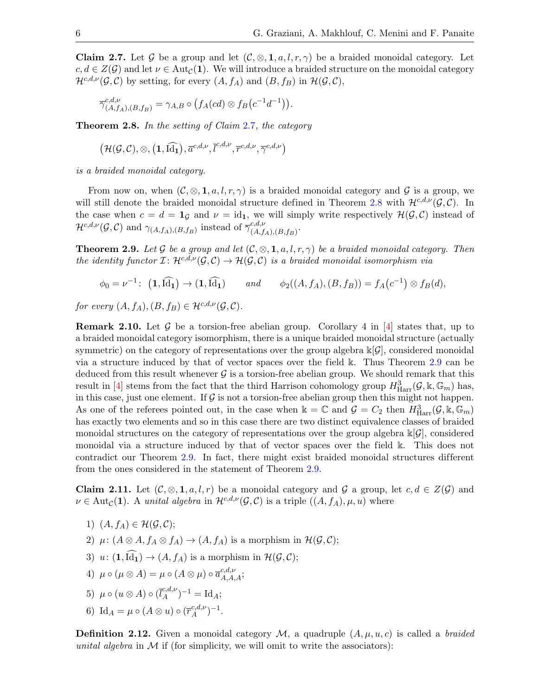<span id="page-5-0"></span>Claim 2.7. Let G be a group and let  $(C, \otimes, 1, a, l, r, \gamma)$  be a braided monoidal category. Let  $c, d \in Z(\mathcal{G})$  and let  $\nu \in \text{Aut}_{\mathcal{C}}(1)$ . We will introduce a braided structure on the monoidal category  $\mathcal{H}^{c,d,\nu}(\mathcal{G},\mathcal{C})$  by setting, for every  $(A, f_A)$  and  $(B, f_B)$  in  $\mathcal{H}(\mathcal{G},\mathcal{C})$ ,

$$
\overline{\gamma}_{(A,f_A),(B,f_B)}^{c,d,\nu}=\gamma_{A,B}\circ (f_A(cd)\otimes f_B\big(c^{-1}d^{-1}\big)\big).
$$

<span id="page-5-1"></span>**Theorem 2.8.** In the setting of Claim  $2.7$ , the category

$$
\big(\mathcal{H}(\mathcal{G},\mathcal{C}), \otimes, \big(1,\widehat{\mathrm{Id}_1}\big), \overline{a}^{c,d,\nu}, \overline{l}^{c,d,\nu}, \overline{r}^{c,d,\nu}, \overline{\gamma}^{c,d,\nu}\big)
$$

is a braided monoidal category.

From now on, when  $(C, \otimes, 1, a, l, r, \gamma)$  is a braided monoidal category and G is a group, we will still denote the braided monoidal structure defined in Theorem [2.8](#page-5-1) with  $\mathcal{H}^{c,d,\nu}(\mathcal{G},\mathcal{C})$ . In the case when  $c = d = \mathbf{1}_{\mathcal{G}}$  and  $\nu = id_{\mathbf{1}}$ , we will simply write respectively  $\mathcal{H}(\mathcal{G}, \mathcal{C})$  instead of  $\mathcal{H}^{c,d,\nu}(\mathcal{G},\mathcal{C})$  and  $\gamma_{(A,f_A),(B,f_B)}$  instead of  $\overline{\gamma}_{(A,f_A)}^{c,d,\nu}$  ${}_{(A,f_A),(B,f_B)}^{c,a,\nu}$ .

<span id="page-5-2"></span>**Theorem 2.9.** Let G be a group and let  $(C, \otimes, 1, a, l, r, \gamma)$  be a braided monoidal category. Then the identity functor  $\mathcal{I} : \mathcal{H}^{c,d,\nu}(\mathcal{G},\mathcal{C}) \to \mathcal{H}(\mathcal{G},\mathcal{C})$  is a braided monoidal isomorphism via

$$
\phi_0 = \nu^{-1} \colon \left( \mathbf{1}, \widehat{\mathrm{Id}_1} \right) \to \left( \mathbf{1}, \widehat{\mathrm{Id}_1} \right) \qquad \text{and} \qquad \phi_2((A, f_A), (B, f_B)) = f_A(c^{-1}) \otimes f_B(d),
$$

for every  $(A, f_A), (B, f_B) \in \mathcal{H}^{c,d,\nu}(\mathcal{G}, \mathcal{C}).$ 

**Remark 2.10.** Let G be a torsion-free abelian group. Corollary 4 in  $[4]$  states that, up to a braided monoidal category isomorphism, there is a unique braided monoidal structure (actually symmetric) on the category of representations over the group algebra  $\mathbb{K}[\mathcal{G}]$ , considered monoidal via a structure induced by that of vector spaces over the field k. Thus Theorem [2.9](#page-5-2) can be deduced from this result whenever  $\mathcal G$  is a torsion-free abelian group. We should remark that this result in [\[4\]](#page-32-5) stems from the fact that the third Harrison cohomology group  $H^3_{\text{Harr}}(\mathcal{G}, \mathbb{k}, \mathbb{G}_m)$  has, in this case, just one element. If  $G$  is not a torsion-free abelian group then this might not happen. As one of the referees pointed out, in the case when  $\mathbb{k} = \mathbb{C}$  and  $\mathcal{G} = C_2$  then  $H^3_{\text{Harr}}(\mathcal{G}, \mathbb{k}, \mathbb{G}_m)$ has exactly two elements and so in this case there are two distinct equivalence classes of braided monoidal structures on the category of representations over the group algebra  $\kappa[\mathcal{G}]$ , considered monoidal via a structure induced by that of vector spaces over the field k. This does not contradict our Theorem [2.9.](#page-5-2) In fact, there might exist braided monoidal structures different from the ones considered in the statement of Theorem [2.9.](#page-5-2)

<span id="page-5-3"></span>**Claim 2.11.** Let  $(C, \otimes, 1, a, l, r)$  be a monoidal category and G a group, let  $c, d \in Z(G)$  and  $\nu \in \text{Aut}_{\mathcal{C}}(1)$ . A unital algebra in  $\mathcal{H}^{c,d,\nu}(\mathcal{G},\mathcal{C})$  is a triple  $((A, f_A), \mu, u)$  where

- 1)  $(A, f_A) \in \mathcal{H}(\mathcal{G}, \mathcal{C});$
- 2)  $\mu: (A \otimes A, f_A \otimes f_A) \rightarrow (A, f_A)$  is a morphism in  $\mathcal{H}(\mathcal{G}, \mathcal{C});$
- 3)  $u: (\mathbf{1}, \widehat{\mathrm{Id}_1}) \to (A, f_A)$  is a morphism in  $\mathcal{H}(\mathcal{G}, \mathcal{C})$ ;
- 4)  $\mu \circ (\mu \otimes A) = \mu \circ (A \otimes \mu) \circ \overline{a}_{A,A,A}^{c,d,\nu};$

5) 
$$
\mu \circ (u \otimes A) \circ (\overline{l}_A^{c,d,\nu})^{-1} = \mathrm{Id}_A;
$$

6) Id $_A=\mu\circ (A\otimes u)\circ (\overline{r}_{A}^{c,d,\nu}% -a_{A}^{c,d,\nu})=a_{A}^{c,d,\nu}$  $\frac{c,d,\nu}{A}$ ) $^{-1}$ .

**Definition 2.12.** Given a monoidal category  $M$ , a quadruple  $(A, \mu, u, c)$  is called a *braided* unital algebra in  $M$  if (for simplicity, we will omit to write the associators):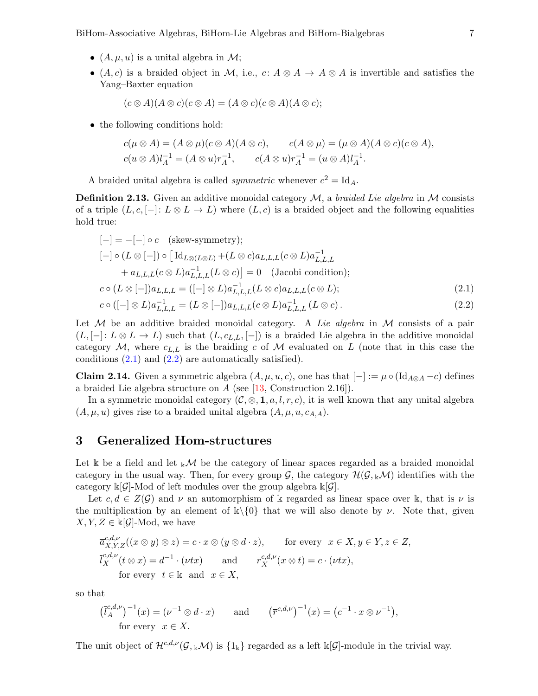- $(A, \mu, u)$  is a unital algebra in M;
- (A, c) is a braided object in M, i.e., c:  $A \otimes A \rightarrow A \otimes A$  is invertible and satisfies the Yang–Baxter equation

$$
(c \otimes A)(A \otimes c)(c \otimes A) = (A \otimes c)(c \otimes A)(A \otimes c);
$$

• the following conditions hold:

$$
c(\mu \otimes A) = (A \otimes \mu)(c \otimes A)(A \otimes c), \qquad c(A \otimes \mu) = (\mu \otimes A)(A \otimes c)(c \otimes A),
$$
  

$$
c(u \otimes A)l_A^{-1} = (A \otimes u)r_A^{-1}, \qquad c(A \otimes u)r_A^{-1} = (u \otimes A)l_A^{-1}.
$$

A braided unital algebra is called *symmetric* whenever  $c^2 = \text{Id}_A$ .

<span id="page-6-2"></span>**Definition 2.13.** Given an additive monoidal category  $M$ , a *braided Lie algebra* in  $M$  consists of a triple  $(L, c, [-]: L \otimes L \to L)$  where  $(L, c)$  is a braided object and the following equalities hold true:

$$
[-] = -[-] \circ c \quad \text{(skew-symmetry)};
$$
  
\n
$$
[-] \circ (L \otimes [-]) \circ [Id_{L \otimes (L \otimes L)} + (L \otimes c)a_{L,L,L}(c \otimes L)a_{L,L,L}^{-1}
$$
  
\n
$$
+ a_{L,L,L}(c \otimes L)a_{L,L,L}^{-1}(L \otimes c)] = 0 \quad \text{(Jacobi condition)};
$$
  
\n
$$
c \circ (L \otimes [-])a_{L,L,L} = ([-] \otimes L)a_{L,L,L}^{-1}(L \otimes c)a_{L,L,L}(c \otimes L);
$$
  
\n
$$
(\text{L} \otimes L) = [(-] \otimes (L \otimes L)a_{L,L,L}(L \otimes c)a_{L,L,L}(c \otimes L);
$$
  
\n
$$
(2.1)
$$

<span id="page-6-1"></span><span id="page-6-0"></span>
$$
c \circ ([-] \otimes L)a_{L,L,L}^{-1} = (L \otimes [-])a_{L,L,L}(c \otimes L)a_{L,L,L}^{-1}(L \otimes c).
$$
\n(2.2)

Let  $M$  be an additive braided monoidal category. A Lie algebra in  $M$  consists of a pair  $(L, [-]: L \otimes L \to L)$  such that  $(L, c_{L,L}, [-])$  is a braided Lie algebra in the additive monoidal category  $M$ , where  $c_{L,L}$  is the braiding c of M evaluated on L (note that in this case the conditions  $(2.1)$  and  $(2.2)$  are automatically satisfied).

<span id="page-6-3"></span>**Claim 2.14.** Given a symmetric algebra  $(A, \mu, u, c)$ , one has that  $[-] := \mu \circ (\text{Id}_{A \otimes A} - c)$  defines a braided Lie algebra structure on  $A$  (see [\[13,](#page-33-17) Construction 2.16]).

In a symmetric monoidal category  $(C, \otimes, 1, a, l, r, c)$ , it is well known that any unital algebra  $(A, \mu, u)$  gives rise to a braided unital algebra  $(A, \mu, u, c_{A,A}).$ 

# 3 Generalized Hom-structures

Let k be a field and let  $\mathbb{R}M$  be the category of linear spaces regarded as a braided monoidal category in the usual way. Then, for every group  $\mathcal{G}$ , the category  $\mathcal{H}(\mathcal{G}, k\mathcal{M})$  identifies with the category  $\kappa[\mathcal{G}]$ -Mod of left modules over the group algebra  $\kappa[\mathcal{G}]$ .

Let  $c, d \in Z(G)$  and  $\nu$  an automorphism of k regarded as linear space over k, that is  $\nu$  is the multiplication by an element of  $\kappa\setminus\{0\}$  that we will also denote by  $\nu$ . Note that, given  $X, Y, Z \in \mathbb{K}[\mathcal{G}]$ -Mod, we have

$$
\overline{a}_{X,Y,Z}^{c,d,\nu}((x \otimes y) \otimes z) = c \cdot x \otimes (y \otimes d \cdot z), \quad \text{for every} \quad x \in X, y \in Y, z \in Z,
$$
  
\n
$$
\overline{l}_X^{c,d,\nu}(t \otimes x) = d^{-1} \cdot (\nu tx) \quad \text{and} \quad \overline{r}_X^{c,d,\nu}(x \otimes t) = c \cdot (\nu tx),
$$
  
\nfor every  $t \in \mathbb{k}$  and  $x \in X$ ,

so that

$$
(\overline{l}_A^{c,d,\nu})^{-1}(x) = (\nu^{-1} \otimes d \cdot x) \qquad \text{and} \qquad (\overline{r}^{c,d,\nu})^{-1}(x) = (c^{-1} \cdot x \otimes \nu^{-1}),
$$
  
for every  $x \in X$ .

The unit object of  $\mathcal{H}^{c,d,\nu}(\mathcal{G}, k\mathcal{M})$  is  $\{1_k\}$  regarded as a left  $k[\mathcal{G}]$ -module in the trivial way.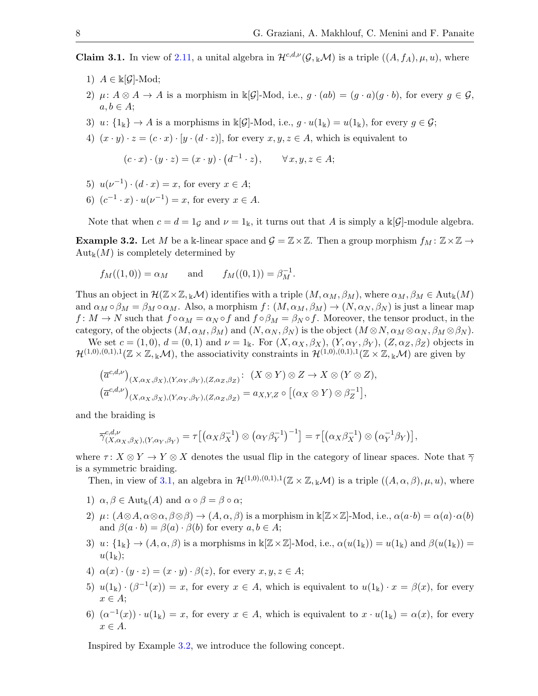<span id="page-7-0"></span>**Claim 3.1.** In view of [2.11,](#page-5-3) a unital algebra in  $\mathcal{H}^{c,d,\nu}(\mathcal{G},k\mathcal{M})$  is a triple  $((A, f_A), \mu, u)$ , where

- 1)  $A \in \mathbb{k}[\mathcal{G}]\text{-Mod};$
- 2)  $\mu: A \otimes A \to A$  is a morphism in  $\Bbbk[\mathcal{G}]-\text{Mod}$ , i.e.,  $g \cdot (ab) = (g \cdot a)(g \cdot b)$ , for every  $g \in \mathcal{G}$ ,  $a, b \in A$ ;
- 3)  $u: \{1_{\mathbb{k}}\} \to A$  is a morphisms in  $\mathbb{k}[\mathcal{G}]-\text{Mod}$ , i.e.,  $g \cdot u(1_{\mathbb{k}}) = u(1_{\mathbb{k}})$ , for every  $g \in \mathcal{G}$ ;
- 4)  $(x \cdot y) \cdot z = (c \cdot x) \cdot [y \cdot (d \cdot z)]$ , for every  $x, y, z \in A$ , which is equivalent to

$$
(c \cdot x) \cdot (y \cdot z) = (x \cdot y) \cdot (d^{-1} \cdot z), \qquad \forall x, y, z \in A;
$$

- 5)  $u(\nu^{-1}) \cdot (d \cdot x) = x$ , for every  $x \in A$ ;
- 6)  $(c^{-1} \cdot x) \cdot u(\nu^{-1}) = x$ , for every  $x \in A$ .

Note that when  $c = d = 1$ <sub>G</sub> and  $\nu = 1$ <sub>k</sub>, it turns out that A is simply a k[G]-module algebra.

<span id="page-7-1"></span>**Example 3.2.** Let M be a k-linear space and  $\mathcal{G} = \mathbb{Z} \times \mathbb{Z}$ . Then a group morphism  $f_M : \mathbb{Z} \times \mathbb{Z} \to$  $\mathrm{Aut}_{\mathbb{k}}(M)$  is completely determined by

$$
f_M((1,0)) = \alpha_M
$$
 and  $f_M((0,1)) = \beta_M^{-1}$ .

Thus an object in  $\mathcal{H}(\mathbb{Z}\times\mathbb{Z}, k\mathcal{M})$  identifies with a triple  $(M, \alpha_M, \beta_M)$ , where  $\alpha_M, \beta_M \in \text{Aut}_k(M)$ and  $\alpha_M \circ \beta_M = \beta_M \circ \alpha_M$ . Also, a morphism  $f: (M, \alpha_M, \beta_M) \to (N, \alpha_N, \beta_N)$  is just a linear map  $f: M \to N$  such that  $f \circ \alpha_M = \alpha_N \circ f$  and  $f \circ \beta_M = \beta_N \circ f$ . Moreover, the tensor product, in the category, of the objects  $(M, \alpha_M, \beta_M)$  and  $(N, \alpha_N, \beta_N)$  is the object  $(M \otimes N, \alpha_M \otimes \alpha_N, \beta_M \otimes \beta_N)$ .

We set  $c = (1,0), d = (0,1)$  and  $\nu = 1_k$ . For  $(X, \alpha_X, \beta_X), (Y, \alpha_Y, \beta_Y), (Z, \alpha_Z, \beta_Z)$  objects in  $\mathcal{H}^{(1,0),(0,1),1}(\mathbb{Z}\times\mathbb{Z},_{\mathbb{K}}\mathcal{M}),$  the associativity constraints in  $\mathcal{H}^{(1,0),(0,1),1}(\mathbb{Z}\times\mathbb{Z},_{\mathbb{K}}\mathcal{M})$  are given by

$$
(\overline{a}^{c,d,\nu})_{(X,\alpha_X,\beta_X),(Y,\alpha_Y,\beta_Y),(Z,\alpha_Z,\beta_Z)}: (X \otimes Y) \otimes Z \to X \otimes (Y \otimes Z),
$$
  

$$
(\overline{a}^{c,d,\nu})_{(X,\alpha_X,\beta_X),(Y,\alpha_Y,\beta_Y),(Z,\alpha_Z,\beta_Z)} = a_{X,Y,Z} \circ [(\alpha_X \otimes Y) \otimes \beta_Z^{-1}],
$$

and the braiding is

$$
\overline{\gamma}_{(X,\alpha_X,\beta_X),(Y,\alpha_Y,\beta_Y)}^{c,d,\nu} = \tau \big[ \big( \alpha_X \beta_X^{-1} \big) \otimes \big( \alpha_Y \beta_Y^{-1} \big)^{-1} \big] = \tau \big[ \big( \alpha_X \beta_X^{-1} \big) \otimes \big( \alpha_Y^{-1} \beta_Y \big) \big],
$$

where  $\tau: X \otimes Y \to Y \otimes X$  denotes the usual flip in the category of linear spaces. Note that  $\overline{\gamma}$ is a symmetric braiding.

Then, in view of [3.1,](#page-7-0) an algebra in  $\mathcal{H}^{(1,0),(0,1),1}(\mathbb{Z}\times\mathbb{Z},_{\mathbb{K}}M)$  is a triple  $((A,\alpha,\beta),\mu,u)$ , where

- 1)  $\alpha, \beta \in \text{Aut}_{\mathbb{k}}(A)$  and  $\alpha \circ \beta = \beta \circ \alpha$ ;
- 2)  $\mu$ :  $(A \otimes A, \alpha \otimes \alpha, \beta \otimes \beta) \rightarrow (A, \alpha, \beta)$  is a morphism in  $\Bbbk[\mathbb{Z} \times \mathbb{Z}]$ -Mod, i.e.,  $\alpha(a \cdot b) = \alpha(a) \cdot \alpha(b)$ and  $\beta(a \cdot b) = \beta(a) \cdot \beta(b)$  for every  $a, b \in A$ ;
- 3)  $u: \{1_k\} \to (A, \alpha, \beta)$  is a morphisms in  $\Bbbk[\mathbb{Z} \times \mathbb{Z}]$ -Mod, i.e.,  $\alpha(u(1_k)) = u(1_k)$  and  $\beta(u(1_k)) =$  $u(1_{\mathbb{k}});$
- 4)  $\alpha(x) \cdot (y \cdot z) = (x \cdot y) \cdot \beta(z)$ , for every  $x, y, z \in A$ ;
- 5)  $u(1_{\mathbb{k}}) \cdot (\beta^{-1}(x)) = x$ , for every  $x \in A$ , which is equivalent to  $u(1_{\mathbb{k}}) \cdot x = \beta(x)$ , for every  $x \in A$ ;
- 6)  $(\alpha^{-1}(x)) \cdot u(1_k) = x$ , for every  $x \in A$ , which is equivalent to  $x \cdot u(1_k) = \alpha(x)$ , for every  $x \in A$ .

Inspired by Example [3.2,](#page-7-1) we introduce the following concept.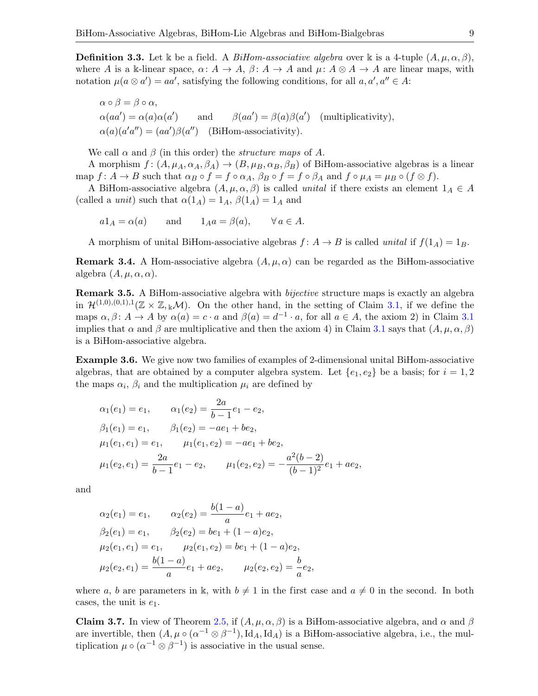**Definition 3.3.** Let k be a field. A *BiHom-associative algebra* over k is a 4-tuple  $(A, \mu, \alpha, \beta)$ , where A is a k-linear space,  $\alpha: A \to A$ ,  $\beta: A \to A$  and  $\mu: A \otimes A \to A$  are linear maps, with notation  $\mu(a \otimes a') = aa'$ , satisfying the following conditions, for all  $a, a', a'' \in A$ :

$$
\alpha \circ \beta = \beta \circ \alpha,
$$
  
\n
$$
\alpha(aa') = \alpha(a)\alpha(a')
$$
 and 
$$
\beta(aa') = \beta(a)\beta(a')
$$
 (multiplicativity),  
\n
$$
\alpha(a)(a'a'') = (aa')\beta(a'')
$$
 (BiHom-associativity).

We call  $\alpha$  and  $\beta$  (in this order) the *structure maps* of A.

A morphism  $f: (A, \mu_A, \alpha_A, \beta_A) \to (B, \mu_B, \alpha_B, \beta_B)$  of BiHom-associative algebras is a linear map  $f: A \to B$  such that  $\alpha_B \circ f = f \circ \alpha_A$ ,  $\beta_B \circ f = f \circ \beta_A$  and  $f \circ \mu_A = \mu_B \circ (f \otimes f)$ .

A BiHom-associative algebra  $(A, \mu, \alpha, \beta)$  is called *unital* if there exists an element  $1_A \in A$ (called a *unit*) such that  $\alpha(1_A) = 1_A$ ,  $\beta(1_A) = 1_A$  and

 $a1_A = \alpha(a)$  and  $1_Aa = \beta(a), \forall a \in A.$ 

A morphism of unital BiHom-associative algebras  $f: A \rightarrow B$  is called unital if  $f(1_A) = 1_B$ .

**Remark 3.4.** A Hom-associative algebra  $(A, \mu, \alpha)$  can be regarded as the BiHom-associative algebra  $(A, \mu, \alpha, \alpha)$ .

<span id="page-8-0"></span>Remark 3.5. A BiHom-associative algebra with *bijective* structure maps is exactly an algebra in  $\mathcal{H}^{(1,0),(0,1),1}(\mathbb{Z}\times\mathbb{Z},\mathbb{Z}\mathcal{M})$ . On the other hand, in the setting of Claim [3.1,](#page-7-0) if we define the maps  $\alpha, \beta \colon A \to A$  by  $\alpha(a) = c \cdot a$  and  $\beta(a) = d^{-1} \cdot a$ , for all  $a \in A$ , the axiom 2) in Claim [3.1](#page-7-0) implies that  $\alpha$  and  $\beta$  are multiplicative and then the axiom 4) in Claim [3.1](#page-7-0) says that  $(A, \mu, \alpha, \beta)$ is a BiHom-associative algebra.

Example 3.6. We give now two families of examples of 2-dimensional unital BiHom-associative algebras, that are obtained by a computer algebra system. Let  $\{e_1, e_2\}$  be a basis; for  $i = 1, 2$ the maps  $\alpha_i$ ,  $\beta_i$  and the multiplication  $\mu_i$  are defined by

$$
\alpha_1(e_1) = e_1, \qquad \alpha_1(e_2) = \frac{2a}{b-1}e_1 - e_2,
$$
  
\n
$$
\beta_1(e_1) = e_1, \qquad \beta_1(e_2) = -ae_1 + be_2,
$$
  
\n
$$
\mu_1(e_1, e_1) = e_1, \qquad \mu_1(e_1, e_2) = -ae_1 + be_2,
$$
  
\n
$$
\mu_1(e_2, e_1) = \frac{2a}{b-1}e_1 - e_2, \qquad \mu_1(e_2, e_2) = -\frac{a^2(b-2)}{(b-1)^2}e_1 + ae_2,
$$

and

$$
\alpha_2(e_1) = e_1, \qquad \alpha_2(e_2) = \frac{b(1-a)}{a}e_1 + ae_2,
$$
  
\n
$$
\beta_2(e_1) = e_1, \qquad \beta_2(e_2) = be_1 + (1-a)e_2,
$$
  
\n
$$
\mu_2(e_1, e_1) = e_1, \qquad \mu_2(e_1, e_2) = be_1 + (1-a)e_2,
$$
  
\n
$$
\mu_2(e_2, e_1) = \frac{b(1-a)}{a}e_1 + ae_2, \qquad \mu_2(e_2, e_2) = \frac{b}{a}e_2,
$$

where a, b are parameters in k, with  $b \neq 1$  in the first case and  $a \neq 0$  in the second. In both cases, the unit is  $e_1$ .

<span id="page-8-1"></span>**Claim 3.7.** In view of Theorem [2.5,](#page-4-2) if  $(A, \mu, \alpha, \beta)$  is a BiHom-associative algebra, and  $\alpha$  and  $\beta$ are invertible, then  $(A, \mu \circ (\alpha^{-1} \otimes \beta^{-1}), \mathrm{Id}_A, \mathrm{Id}_A)$  is a BiHom-associative algebra, i.e., the multiplication  $\mu \circ (\alpha^{-1} \otimes \beta^{-1})$  is associative in the usual sense.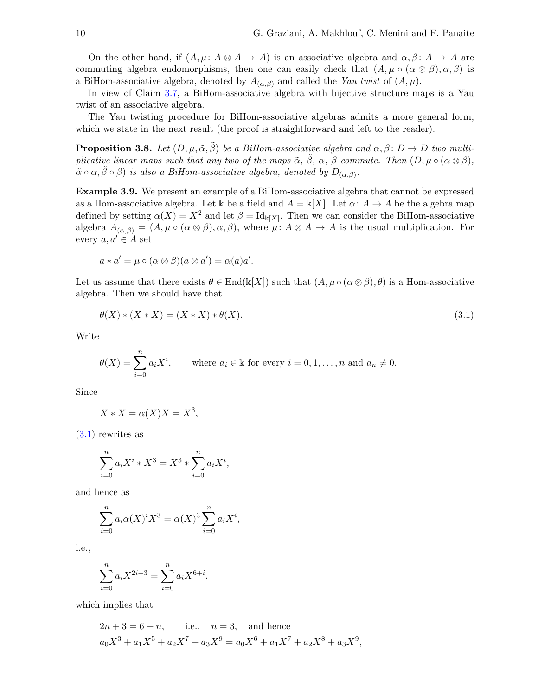On the other hand, if  $(A, \mu: A \otimes A \rightarrow A)$  is an associative algebra and  $\alpha, \beta: A \rightarrow A$  are commuting algebra endomorphisms, then one can easily check that  $(A, \mu \circ (\alpha \otimes \beta), \alpha, \beta)$  is a BiHom-associative algebra, denoted by  $A_{(\alpha,\beta)}$  and called the Yau twist of  $(A,\mu)$ .

In view of Claim [3.7,](#page-8-1) a BiHom-associative algebra with bijective structure maps is a Yau twist of an associative algebra.

The Yau twisting procedure for BiHom-associative algebras admits a more general form, which we state in the next result (the proof is straightforward and left to the reader).

<span id="page-9-2"></span>**Proposition 3.8.** Let  $(D, \mu, \tilde{\alpha}, \beta)$  be a BiHom-associative algebra and  $\alpha, \beta \colon D \to D$  two multiplicative linear maps such that any two of the maps  $\tilde{\alpha}$ ,  $\tilde{\beta}$ ,  $\alpha$ ,  $\beta$  commute. Then  $(D, \mu \circ (\alpha \otimes \beta))$ ,  $\tilde{\alpha} \circ \alpha, \tilde{\beta} \circ \beta)$  is also a BiHom-associative algebra, denoted by  $D_{(\alpha,\beta)}$ .

<span id="page-9-0"></span>Example 3.9. We present an example of a BiHom-associative algebra that cannot be expressed as a Hom-associative algebra. Let k be a field and  $A = k[X]$ . Let  $\alpha: A \to A$  be the algebra map defined by setting  $\alpha(X) = X^2$  and let  $\beta = Id_{\mathbb{k}[X]}$ . Then we can consider the BiHom-associative algebra  $A_{(\alpha,\beta)} = (A, \mu \circ (\alpha \otimes \beta), \alpha, \beta)$ , where  $\mu: A \otimes A \rightarrow A$  is the usual multiplication. For every  $a, a' \in A$  set

$$
a * a' = \mu \circ (\alpha \otimes \beta)(a \otimes a') = \alpha(a)a'.
$$

Let us assume that there exists  $\theta \in \text{End}(\mathbb{k}[X])$  such that  $(A, \mu \circ (\alpha \otimes \beta), \theta)$  is a Hom-associative algebra. Then we should have that

<span id="page-9-1"></span>
$$
\theta(X) * (X * X) = (X * X) * \theta(X). \tag{3.1}
$$

Write

$$
\theta(X) = \sum_{i=0}^{n} a_i X^i, \quad \text{where } a_i \in \mathbb{k} \text{ for every } i = 0, 1, \dots, n \text{ and } a_n \neq 0.
$$

Since

$$
X * X = \alpha(X)X = X^3,
$$

[\(3.1\)](#page-9-1) rewrites as

$$
\sum_{i=0}^{n} a_i X^i * X^3 = X^3 * \sum_{i=0}^{n} a_i X^i,
$$

and hence as

$$
\sum_{i=0}^{n} a_i \alpha(X)^i X^3 = \alpha(X)^3 \sum_{i=0}^{n} a_i X^i,
$$

i.e.,

$$
\sum_{i=0}^{n} a_i X^{2i+3} = \sum_{i=0}^{n} a_i X^{6+i},
$$

which implies that

$$
2n + 3 = 6 + n
$$
, i.e.,  $n = 3$ , and hence  
 $a_0X^3 + a_1X^5 + a_2X^7 + a_3X^9 = a_0X^6 + a_1X^7 + a_2X^8 + a_3X^9$ ,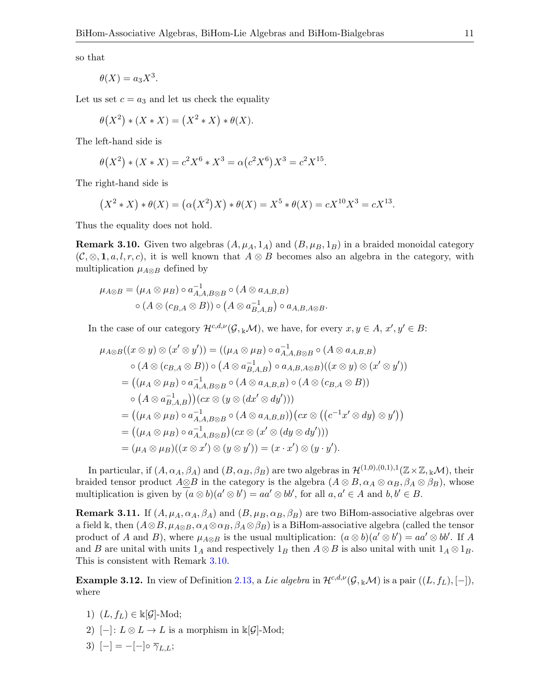so that

$$
\theta(X) = a_3 X^3.
$$

Let us set  $c = a_3$  and let us check the equality

$$
\theta(X^2) * (X * X) = (X^2 * X) * \theta(X).
$$

The left-hand side is

$$
\theta(X^2) * (X * X) = c^2 X^6 * X^3 = \alpha (c^2 X^6) X^3 = c^2 X^{15}.
$$

The right-hand side is

$$
(X^{2} * X) * \theta(X) = (\alpha(X^{2})X) * \theta(X) = X^{5} * \theta(X) = cX^{10}X^{3} = cX^{13}.
$$

Thus the equality does not hold.

<span id="page-10-0"></span>**Remark 3.10.** Given two algebras  $(A, \mu_A, 1_A)$  and  $(B, \mu_B, 1_B)$  in a braided monoidal category  $(C, \otimes, \mathbf{1}, a, l, r, c)$ , it is well known that  $A \otimes B$  becomes also an algebra in the category, with multiplication  $\mu_{A\otimes B}$  defined by

$$
\mu_{A\otimes B} = (\mu_A \otimes \mu_B) \circ a_{A,A,B\otimes B}^{-1} \circ (A \otimes a_{A,B,B})
$$
  

$$
\circ (A \otimes (c_{B,A} \otimes B)) \circ (A \otimes a_{B,A,B}^{-1}) \circ a_{A,B,A\otimes B}.
$$

In the case of our category  $\mathcal{H}^{c,d,\nu}(\mathcal{G},_{\mathbb{k}}M)$ , we have, for every  $x, y \in A$ ,  $x', y' \in B$ :

$$
\mu_{A\otimes B}((x\otimes y)\otimes (x'\otimes y')) = ((\mu_A\otimes \mu_B)\circ a_{A,A,B\otimes B}^{-1}\circ (A\otimes a_{A,B,B})
$$
  
\n
$$
\circ (A\otimes (c_{B,A}\otimes B))\circ (A\otimes a_{B,A,B}^{-1})\circ a_{A,B,A\otimes B})((x\otimes y)\otimes (x'\otimes y'))
$$
  
\n
$$
= ((\mu_A\otimes \mu_B)\circ a_{A,A,B\otimes B}^{-1}\circ (A\otimes a_{A,B,B})\circ (A\otimes (c_{B,A}\otimes B))
$$
  
\n
$$
\circ (A\otimes a_{B,A,B}^{-1})) (cx\otimes (y\otimes (dx'\otimes dy')))
$$
  
\n
$$
= ((\mu_A\otimes \mu_B)\circ a_{A,A,B\otimes B}^{-1}\circ (A\otimes a_{A,B,B})) (cx\otimes ((c^{-1}x'\otimes dy)\otimes y'))
$$
  
\n
$$
= ((\mu_A\otimes \mu_B)\circ a_{A,A,B\otimes B}^{-1})(cx\otimes (x'\otimes (dy\otimes dy')))
$$
  
\n
$$
= (\mu_A\otimes \mu_B)((x\otimes x')\otimes (y\otimes y')) = (x\cdot x')\otimes (y\cdot y').
$$

In particular, if  $(A, \alpha_A, \beta_A)$  and  $(B, \alpha_B, \beta_B)$  are two algebras in  $\mathcal{H}^{(1,0),(0,1),1}(\mathbb{Z}\times\mathbb{Z}, \mathbb{Z}\mathcal{M})$ , their braided tensor product  $A\otimes B$  in the category is the algebra  $(A\otimes B, \alpha_A\otimes \alpha_B, \beta_A\otimes \beta_B)$ , whose multiplication is given by  $(a \otimes b)(a' \otimes b') = aa' \otimes bb'$ , for all  $a, a' \in A$  and  $b, b' \in B$ .

**Remark 3.11.** If  $(A, \mu_A, \alpha_A, \beta_A)$  and  $(B, \mu_B, \alpha_B, \beta_B)$  are two BiHom-associative algebras over a field k, then  $(A \otimes B, \mu_{A \otimes B}, \alpha_A \otimes \alpha_B, \beta_A \otimes \beta_B)$  is a BiHom-associative algebra (called the tensor product of A and B), where  $\mu_{A\otimes B}$  is the usual multiplication:  $(a\otimes b)(a'\otimes b') = aa'\otimes bb'$ . If A and B are unital with units  $1_A$  and respectively  $1_B$  then  $A \otimes B$  is also unital with unit  $1_A \otimes 1_B$ . This is consistent with Remark [3.10.](#page-10-0)

<span id="page-10-1"></span>**Example 3.12.** In view of Definition [2.13,](#page-6-2) a Lie algebra in  $\mathcal{H}^{c,d,\nu}(\mathcal{G}, k\mathcal{M})$  is a pair  $((L, f_L), [-])$ , where

- 1)  $(L, f_L) \in \mathbb{k}[\mathcal{G}]$ -Mod;
- 2) [-]:  $L \otimes L \to L$  is a morphism in  $\Bbbk[\mathcal{G}]$ -Mod;
- 3)  $[-] = -[-] \circ \overline{\gamma}_{L,L};$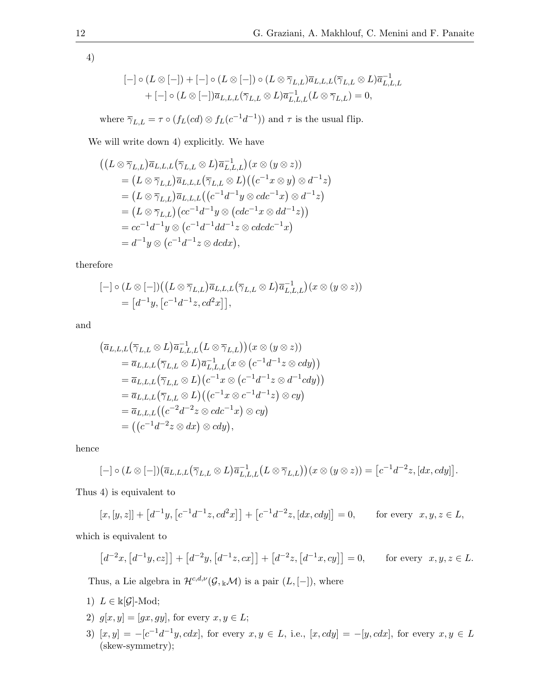4)

$$
[-] \circ (L \otimes [-]) + [-] \circ (L \otimes [-]) \circ (L \otimes \overline{\gamma}_{L,L}) \overline{a}_{L,L,L} (\overline{\gamma}_{L,L} \otimes L) \overline{a}_{L,L,L}^{-1}
$$

$$
+ [-] \circ (L \otimes [-]) \overline{a}_{L,L,L} (\overline{\gamma}_{L,L} \otimes L) \overline{a}_{L,L,L}^{-1} (L \otimes \overline{\gamma}_{L,L}) = 0,
$$

where  $\overline{\gamma}_{L,L} = \tau \circ (f_L(cd) \otimes f_L(c^{-1}d^{-1}))$  and  $\tau$  is the usual flip.

We will write down 4) explicitly. We have

$$
\begin{split}\n&\left(\left(L\otimes\overline{\gamma}_{L,L}\right)\overline{a}_{L,L,L}\left(\overline{\gamma}_{L,L}\otimes L\right)\overline{a}_{L,L,L}^{-1}\right)(x\otimes(y\otimes z))\right.\\
&=\left(L\otimes\overline{\gamma}_{L,L}\right)\overline{a}_{L,L,L}\left(\overline{\gamma}_{L,L}\otimes L\right)\left(\left(c^{-1}x\otimes y\right)\otimes d^{-1}z\right)\\
&=\left(L\otimes\overline{\gamma}_{L,L}\right)\overline{a}_{L,L,L}\left(\left(c^{-1}d^{-1}y\otimes cdc^{-1}x\right)\otimes d^{-1}z\right)\\
&=\left(L\otimes\overline{\gamma}_{L,L}\right)\left(cc^{-1}d^{-1}y\otimes\left(cdc^{-1}x\otimes dd^{-1}z\right)\right)\\
&=\left(cc^{-1}d^{-1}y\otimes\left(c^{-1}d^{-1}dd^{-1}z\otimes cdcdc^{-1}x\right)\\
&=\left.d^{-1}y\otimes\left(c^{-1}d^{-1}z\otimes dcdx\right),\n\end{split}
$$

therefore

$$
[-] \circ (L \otimes [-]) ((L \otimes \overline{\gamma}_{L,L}) \overline{a}_{L,L,L} (\overline{\gamma}_{L,L} \otimes L) \overline{a}_{L,L,L}^{-1})(x \otimes (y \otimes z))
$$
  
=  $[d^{-1}y, [c^{-1}d^{-1}z, cd^2x]],$ 

and

$$
(\overline{a}_{L,L,L}(\overline{\gamma}_{L,L}\otimes L)\overline{a}_{L,L,L}^{-1}(L\otimes \overline{\gamma}_{L,L})) (x\otimes (y\otimes z))
$$
  
\n
$$
= \overline{a}_{L,L,L}(\overline{\gamma}_{L,L}\otimes L)\overline{a}_{L,L,L}^{-1}(x\otimes (c^{-1}d^{-1}z\otimes cdy))
$$
  
\n
$$
= \overline{a}_{L,L,L}(\overline{\gamma}_{L,L}\otimes L)(c^{-1}x\otimes (c^{-1}d^{-1}z\otimes d^{-1}cdy))
$$
  
\n
$$
= \overline{a}_{L,L,L}(\overline{\gamma}_{L,L}\otimes L)((c^{-1}x\otimes c^{-1}d^{-1}z)\otimes cy)
$$
  
\n
$$
= \overline{a}_{L,L,L}((c^{-2}d^{-2}z\otimes cdc^{-1}x)\otimes cy)
$$
  
\n
$$
= ((c^{-1}d^{-2}z\otimes dx)\otimes cdy),
$$

hence

$$
[-] \circ (L \otimes [-]) (\overline{a}_{L,L,L} (\overline{\gamma}_{L,L} \otimes L) \overline{a}_{L,L,L}^{-1} (L \otimes \overline{\gamma}_{L,L})) (x \otimes (y \otimes z)) = [c^{-1} d^{-2} z, [dx, c dy]].
$$

Thus 4) is equivalent to

$$
[x, [y, z]] + [d^{-1}y, [c^{-1}d^{-1}z, cd^2x]] + [c^{-1}d^{-2}z, [dx, cdy]] = 0, \quad \text{for every } x, y, z \in L,
$$

which is equivalent to

$$
[d^{-2}x, [d^{-1}y, cz]] + [d^{-2}y, [d^{-1}z, cx]] + [d^{-2}z, [d^{-1}x, cy]] = 0, \quad \text{for every } x, y, z \in L.
$$

Thus, a Lie algebra in  $\mathcal{H}^{c,d,\nu}(\mathcal{G}, k\mathcal{M})$  is a pair  $(L, [-])$ , where

- 1)  $L \in \mathbb{k}[\mathcal{G}]\text{-Mod};$
- 2)  $g[x, y] = [gx, gy]$ , for every  $x, y \in L$ ;
- 3)  $[x, y] = -[c^{-1}d^{-1}y, cdx]$ , for every  $x, y \in L$ , i.e.,  $[x, cdy] = -[y, cdx]$ , for every  $x, y \in L$ (skew-symmetry);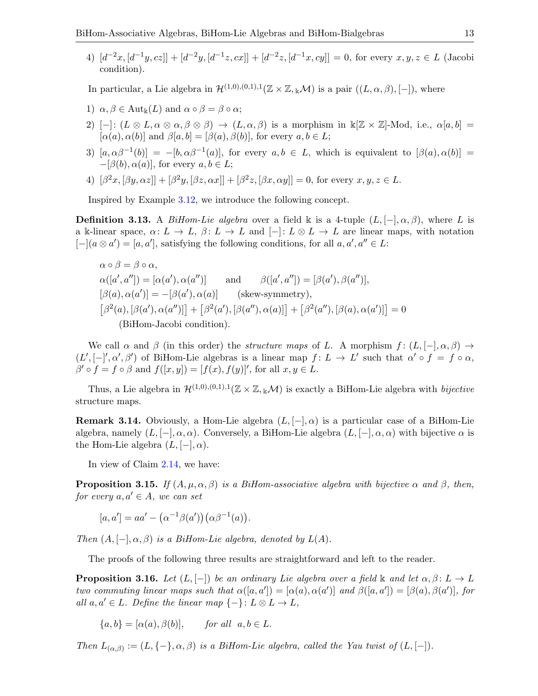4)  $[d^{-2}x, [d^{-1}y, cz]] + [d^{-2}y, [d^{-1}z, cx]] + [d^{-2}z, [d^{-1}x, cy]] = 0$ , for every  $x, y, z \in L$  (Jacobi condition).

In particular, a Lie algebra in  $\mathcal{H}^{(1,0),(0,1),1}(\mathbb{Z}\times\mathbb{Z},\mathbb{Z}\mathcal{M})$  is a pair  $((L,\alpha,\beta),[-])$ , where

- 1)  $\alpha, \beta \in \text{Aut}_{\mathbb{k}}(L)$  and  $\alpha \circ \beta = \beta \circ \alpha$ ;
- 2) [-]:  $(L \otimes L, \alpha \otimes \alpha, \beta \otimes \beta) \rightarrow (L, \alpha, \beta)$  is a morphism in  $\mathbb{K}[\mathbb{Z} \times \mathbb{Z}]$ -Mod, i.e.,  $\alpha[a, b] =$  $[\alpha(a), \alpha(b)]$  and  $\beta[a, b] = [\beta(a), \beta(b)]$ , for every  $a, b \in L$ ;
- 3)  $[a, \alpha\beta^{-1}(b)] = -[b, \alpha\beta^{-1}(a)]$ , for every  $a, b \in L$ , which is equivalent to  $[\beta(a), \alpha(b)] =$  $-[β(b), α(a)],$  for every  $a, b \in L$ ;
- 4)  $[\beta^2 x, [\beta y, \alpha z]] + [\beta^2 y, [\beta z, \alpha x]] + [\beta^2 z, [\beta x, \alpha y]] = 0$ , for every  $x, y, z \in L$ .

Inspired by Example [3.12,](#page-10-1) we introduce the following concept.

**Definition 3.13.** A BiHom-Lie algebra over a field k is a 4-tuple  $(L, [-], \alpha, \beta)$ , where L is a k-linear space,  $\alpha: L \to L$ ,  $\beta: L \to L$  and  $[-]: L \otimes L \to L$  are linear maps, with notation  $[-](a \otimes a') = [a, a'],$  satisfying the following conditions, for all  $a, a', a'' \in L$ :

$$
\alpha \circ \beta = \beta \circ \alpha,
$$
  
\n
$$
\alpha([a', a'']) = [\alpha(a'), \alpha(a'')]
$$
 and 
$$
\beta([a', a'']) = [\beta(a'), \beta(a'')],
$$
  
\n
$$
[\beta(a), \alpha(a')] = -[\beta(a'), \alpha(a)]
$$
 (skew-symmetry),  
\n
$$
[\beta^2(a), [\beta(a'), \alpha(a'')] + [\beta^2(a'), [\beta(a''), \alpha(a)]] + [\beta^2(a''), [\beta(a), \alpha(a')]] = 0
$$
  
\n(BiHom-Jacobi condition).

We call  $\alpha$  and  $\beta$  (in this order) the *structure maps* of L. A morphism  $f : (L, [-], \alpha, \beta) \rightarrow$  $(L', [-]', \alpha', \beta')$  of BiHom-Lie algebras is a linear map  $f: L \to L'$  such that  $\alpha' \circ f = f \circ \alpha$ ,  $\beta' \circ f = f \circ \beta$  and  $f([x, y]) = [f(x), f(y)]'$ , for all  $x, y \in L$ .

Thus, a Lie algebra in  $\mathcal{H}^{(1,0),(0,1),1}(\mathbb{Z}\times\mathbb{Z},\mathbb{R}\mathcal{M})$  is exactly a BiHom-Lie algebra with *bijective* structure maps.

**Remark 3.14.** Obviously, a Hom-Lie algebra  $(L, [-], \alpha)$  is a particular case of a BiHom-Lie algebra, namely  $(L, [-], \alpha, \alpha)$ . Conversely, a BiHom-Lie algebra  $(L, [-], \alpha, \alpha)$  with bijective  $\alpha$  is the Hom-Lie algebra  $(L, [-], \alpha)$ .

In view of Claim [2.14,](#page-6-3) we have:

<span id="page-12-0"></span>**Proposition 3.15.** If  $(A, \mu, \alpha, \beta)$  is a BiHom-associative algebra with bijective  $\alpha$  and  $\beta$ , then, for every  $a, a' \in A$ , we can set

$$
[a, a'] = aa' - (\alpha^{-1}\beta(a'))(\alpha\beta^{-1}(a)).
$$

Then  $(A, [-], \alpha, \beta)$  is a BiHom-Lie algebra, denoted by  $L(A)$ .

The proofs of the following three results are straightforward and left to the reader.

**Proposition 3.16.** Let  $(L, [-])$  be an ordinary Lie algebra over a field k and let  $\alpha, \beta \colon L \to L$ two commuting linear maps such that  $\alpha([a, a']) = [\alpha(a), \alpha(a')]$  and  $\beta([a, a']) = [\beta(a), \beta(a')]$ , for all  $a, a' \in L$ . Define the linear map  $\{-\} \colon L \otimes L \to L$ ,

 $\{a, b\} = [\alpha(a), \beta(b)], \quad \text{for all} \ \ a, b \in L.$ 

Then  $L_{(\alpha,\beta)} := (L, \{-\}, \alpha, \beta)$  is a BiHom-Lie algebra, called the Yau twist of  $(L, [-])$ .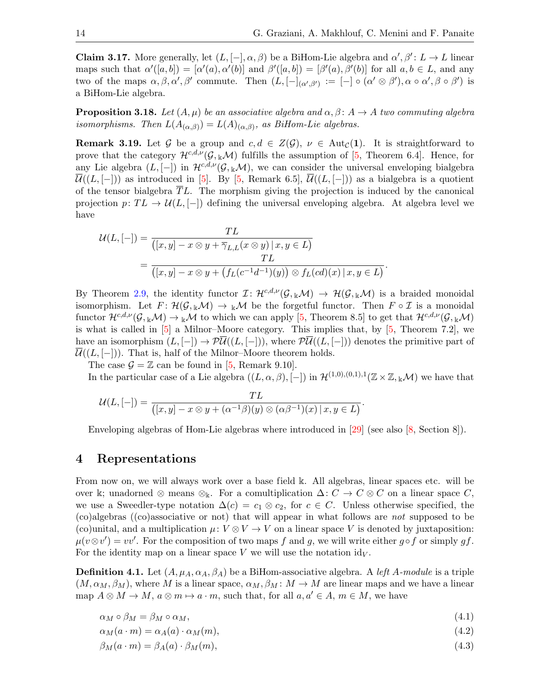**Claim 3.17.** More generally, let  $(L, [-], \alpha, \beta)$  be a BiHom-Lie algebra and  $\alpha', \beta': L \to L$  linear maps such that  $\alpha'([a, b]) = [\alpha'(a), \alpha'(b)]$  and  $\beta'([a, b]) = [\beta'(a), \beta'(b)]$  for all  $a, b \in L$ , and any two of the maps  $\alpha, \beta, \alpha', \beta'$  commute. Then  $(L, [-]_{(\alpha', \beta')} := [-] \circ (\alpha' \otimes \beta'), \alpha \circ \alpha', \beta \circ \beta')$  is a BiHom-Lie algebra.

**Proposition 3.18.** Let  $(A, \mu)$  be an associative algebra and  $\alpha, \beta \colon A \to A$  two commuting algebra isomorphisms. Then  $L(A_{(\alpha,\beta)}) = L(A)_{(\alpha,\beta)}$ , as BiHom-Lie algebras.

**Remark 3.19.** Let G be a group and  $c, d \in Z(G)$ ,  $\nu \in \text{Aut}_{\mathcal{C}}(1)$ . It is straightforward to prove that the category  $\mathcal{H}^{c,d,\nu}(\mathcal{G},\kappa,\mathcal{M})$  fulfills the assumption of [\[5,](#page-32-6) Theorem 6.4]. Hence, for any Lie algebra  $(L, [-])$  in  $\mathcal{H}^{c,d,\nu}(\mathcal{G}, k\mathcal{M})$ , we can consider the universal enveloping bialgebra  $\overline{\mathcal{U}}((L, [-])$  as introduced in [\[5\]](#page-32-6). By [\[5,](#page-32-6) Remark 6.5],  $\overline{\mathcal{U}}((L, [-])$  as a bialgebra is a quotient of the tensor bialgebra  $TL$ . The morphism giving the projection is induced by the canonical projection  $p: TL \rightarrow U(L, [-])$  defining the universal enveloping algebra. At algebra level we have

$$
\mathcal{U}(L,[-]) = \frac{TL}{([x,y] - x \otimes y + \overline{\gamma}_{L,L}(x \otimes y) \mid x, y \in L)}
$$
  
= 
$$
\frac{TL}{([x,y] - x \otimes y + (f_L(c^{-1}d^{-1})(y)) \otimes f_L(cd)(x) \mid x, y \in L)}.
$$

By Theorem [2.9,](#page-5-2) the identity functor  $\mathcal{I} : \mathcal{H}^{c,d,\nu}(\mathcal{G}, k\mathcal{M}) \to \mathcal{H}(\mathcal{G}, k\mathcal{M})$  is a braided monoidal isomorphism. Let  $F: \mathcal{H}(\mathcal{G}, k\mathcal{M}) \to k\mathcal{M}$  be the forgetful functor. Then  $F \circ \mathcal{I}$  is a monoidal functor  $\mathcal{H}^{c,d,\nu}(\mathcal{G}, k\mathcal{M}) \to k\mathcal{M}$  to which we can apply [\[5,](#page-32-6) Theorem 8.5] to get that  $\mathcal{H}^{c,d,\nu}(\mathcal{G}, k\mathcal{M})$ is what is called in [\[5\]](#page-32-6) a Milnor–Moore category. This implies that, by [\[5,](#page-32-6) Theorem 7.2], we have an isomorphism  $(L, [-]) \rightarrow \mathcal{P}U((L, [-]))$ , where  $\mathcal{P}U((L, [-])$  denotes the primitive part of  $\mathcal{U}((L, [-])$ . That is, half of the Milnor–Moore theorem holds.

The case  $\mathcal{G} = \mathbb{Z}$  can be found in [\[5,](#page-32-6) Remark 9.10].

In the particular case of a Lie algebra  $((L, \alpha, \beta), [-])$  in  $\mathcal{H}^{(1,0),(0,1),1}(\mathbb{Z}\times \mathbb{Z},_{\mathbb{K}}M)$  we have that

$$
\mathcal{U}(L,[-]) = \frac{TL}{([x,y]-x\otimes y+(\alpha^{-1}\beta)(y)\otimes(\alpha\beta^{-1})(x) \mid x,y\in L)}.
$$

Enveloping algebras of Hom-Lie algebras where introduced in [\[29\]](#page-33-18) (see also [\[8,](#page-32-1) Section 8]).

### 4 Representations

From now on, we will always work over a base field k. All algebras, linear spaces etc. will be over k; unadorned ⊗ means ⊗<sub>k</sub>. For a comultiplication  $\Delta: C \to C \otimes C$  on a linear space C, we use a Sweedler-type notation  $\Delta(c) = c_1 \otimes c_2$ , for  $c \in C$ . Unless otherwise specified, the (co)algebras ((co)associative or not) that will appear in what follows are not supposed to be (co)unital, and a multiplication  $\mu: V \otimes V \to V$  on a linear space V is denoted by juxtaposition:  $\mu(v \otimes v') = vv'$ . For the composition of two maps f and g, we will write either g of or simply gf. For the identity map on a linear space V we will use the notation  $\mathrm{id}_V$ .

**Definition 4.1.** Let  $(A, \mu_A, \alpha_A, \beta_A)$  be a BiHom-associative algebra. A *left A-module* is a triple  $(M, \alpha_M, \beta_M)$ , where M is a linear space,  $\alpha_M, \beta_M \colon M \to M$  are linear maps and we have a linear map  $A \otimes M \to M$ ,  $a \otimes m \to a \cdot m$ , such that, for all  $a, a' \in A$ ,  $m \in M$ , we have

<span id="page-13-1"></span><span id="page-13-0"></span>
$$
\alpha_M \circ \beta_M = \beta_M \circ \alpha_M,\tag{4.1}
$$

 $\alpha_M(a \cdot m) = \alpha_A(a) \cdot \alpha_M(m),$ (4.2)

$$
\beta_M(a \cdot m) = \beta_A(a) \cdot \beta_M(m),\tag{4.3}
$$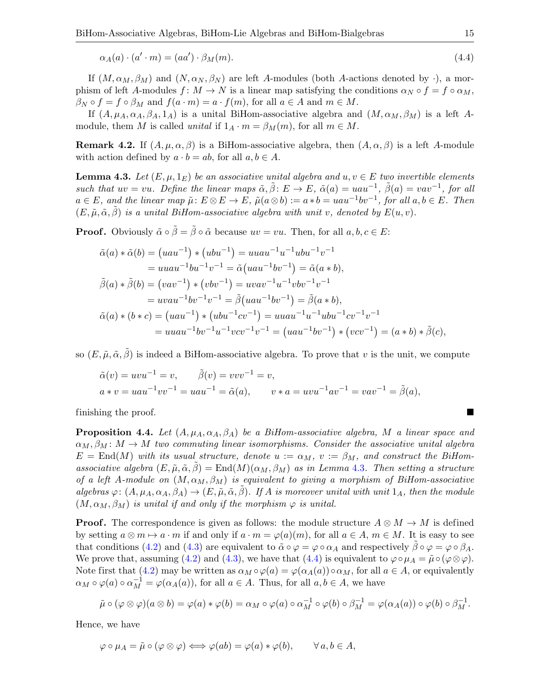<span id="page-14-1"></span>
$$
\alpha_A(a) \cdot (a' \cdot m) = (aa') \cdot \beta_M(m). \tag{4.4}
$$

If  $(M, \alpha_M, \beta_M)$  and  $(N, \alpha_N, \beta_N)$  are left A-modules (both A-actions denoted by  $\cdot$ ), a morphism of left A-modules  $f: M \to N$  is a linear map satisfying the conditions  $\alpha_N \circ f = f \circ \alpha_M$ ,  $\beta_N \circ f = f \circ \beta_M$  and  $f(a \cdot m) = a \cdot f(m)$ , for all  $a \in A$  and  $m \in M$ .

If  $(A, \mu_A, \alpha_A, \beta_A, 1_A)$  is a unital BiHom-associative algebra and  $(M, \alpha_M, \beta_M)$  is a left Amodule, them M is called unital if  $1_A \cdot m = \beta_M(m)$ , for all  $m \in M$ .

**Remark 4.2.** If  $(A, \mu, \alpha, \beta)$  is a BiHom-associative algebra, then  $(A, \alpha, \beta)$  is a left A-module with action defined by  $a \cdot b = ab$ , for all  $a, b \in A$ .

<span id="page-14-0"></span>**Lemma 4.3.** Let  $(E, \mu, 1_E)$  be an associative unital algebra and  $u, v \in E$  two invertible elements such that  $uv = vu$ . Define the linear maps  $\tilde{\alpha}, \tilde{\beta} : E \to E$ ,  $\tilde{\alpha}(a) = uau^{-1}$ ,  $\tilde{\beta}(a) = vav^{-1}$ , for all  $a \in E$ , and the linear map  $\tilde{\mu} \colon E \otimes E \to E$ ,  $\tilde{\mu}(a \otimes b) := a * b = u a u^{-1} b v^{-1}$ , for all  $a, b \in E$ . Then  $(E, \tilde{\mu}, \tilde{\alpha}, \beta)$  is a unital BiHom-associative algebra with unit v, denoted by  $E(u, v)$ .

**Proof.** Obviously  $\tilde{\alpha} \circ \tilde{\beta} = \tilde{\beta} \circ \tilde{\alpha}$  because  $uv = vu$ . Then, for all  $a, b, c \in E$ :

$$
\tilde{\alpha}(a) * \tilde{\alpha}(b) = (uau^{-1}) * (ubu^{-1}) = uuau^{-1}u^{-1}ubu^{-1}v^{-1}
$$
  
\n
$$
= uuau^{-1}bu^{-1}v^{-1} = \tilde{\alpha}(uau^{-1}bv^{-1}) = \tilde{\alpha}(a * b),
$$
  
\n
$$
\tilde{\beta}(a) * \tilde{\beta}(b) = (vav^{-1}) * (vbv^{-1}) = uvav^{-1}u^{-1}vbv^{-1}v^{-1}
$$
  
\n
$$
= uvau^{-1}bv^{-1}v^{-1} = \tilde{\beta}(uau^{-1}bv^{-1}) = \tilde{\beta}(a * b),
$$
  
\n
$$
\tilde{\alpha}(a) * (b * c) = (uau^{-1}) * (ubu^{-1}cv^{-1}) = uuau^{-1}u^{-1}ubu^{-1}cv^{-1}v^{-1}
$$
  
\n
$$
= uuau^{-1}bv^{-1}u^{-1}vcv^{-1}v^{-1} = (uau^{-1}bv^{-1}) * (vcv^{-1}) = (a * b) * \tilde{\beta}(c),
$$

so  $(E, \tilde{\mu}, \tilde{\alpha}, \tilde{\beta})$  is indeed a BiHom-associative algebra. To prove that v is the unit, we compute

$$
\tilde{\alpha}(v) = uvu^{-1} = v, \qquad \tilde{\beta}(v) = vvv^{-1} = v,
$$
  
\n
$$
a * v = uau^{-1}vv^{-1} = uau^{-1} = \tilde{\alpha}(a), \qquad v * a = uvu^{-1}av^{-1} = vav^{-1} = \tilde{\beta}(a),
$$

finishing the proof.

**Proposition 4.4.** Let  $(A, \mu_A, \alpha_A, \beta_A)$  be a BiHom-associative algebra, M a linear space and  $\alpha_M, \beta_M \colon M \to M$  two commuting linear isomorphisms. Consider the associative unital algebra  $E = \text{End}(M)$  with its usual structure, denote  $u := \alpha_M$ ,  $v := \beta_M$ , and construct the BiHomassociative algebra  $(E, \tilde{\mu}, \tilde{\alpha}, \beta) = \text{End}(M)(\alpha_M, \beta_M)$  as in Lemma [4.3](#page-14-0). Then setting a structure of a left A-module on  $(M, \alpha_M, \beta_M)$  is equivalent to giving a morphism of BiHom-associative algebras  $\varphi: (A, \mu_A, \alpha_A, \beta_A) \to (E, \tilde{\mu}, \tilde{\alpha}, \beta)$ . If A is moreover unital with unit  $1_A$ , then the module  $(M, \alpha_M, \beta_M)$  is unital if and only if the morphism  $\varphi$  is unital.

**Proof.** The correspondence is given as follows: the module structure  $A \otimes M \rightarrow M$  is defined by setting  $a \otimes m \mapsto a \cdot m$  if and only if  $a \cdot m = \varphi(a)(m)$ , for all  $a \in A$ ,  $m \in M$ . It is easy to see that conditions [\(4.2\)](#page-13-0) and [\(4.3\)](#page-13-1) are equivalent to  $\tilde{\alpha} \circ \varphi = \varphi \circ \alpha_A$  and respectively  $\beta \circ \varphi = \varphi \circ \beta_A$ . We prove that, assuming [\(4.2\)](#page-13-0) and [\(4.3\)](#page-13-1), we have that [\(4.4\)](#page-14-1) is equivalent to  $\varphi \circ \mu_A = \tilde{\mu} \circ (\varphi \otimes \varphi)$ . Note first that [\(4.2\)](#page-13-0) may be written as  $\alpha_M \circ \varphi(a) = \varphi(\alpha_A(a)) \circ \alpha_M$ , for all  $a \in A$ , or equivalently  $\alpha_M \circ \varphi(a) \circ \alpha_M^{-1} = \varphi(\alpha_A(a)),$  for all  $a \in A$ . Thus, for all  $a, b \in A$ , we have

$$
\tilde{\mu}\circ(\varphi\otimes\varphi)(a\otimes b)=\varphi(a)*\varphi(b)=\alpha_M\circ\varphi(a)\circ\alpha_M^{-1}\circ\varphi(b)\circ\beta_M^{-1}=\varphi(\alpha_A(a))\circ\varphi(b)\circ\beta_M^{-1}.
$$

Hence, we have

$$
\varphi \circ \mu_A = \tilde{\mu} \circ (\varphi \otimes \varphi) \Longleftrightarrow \varphi(ab) = \varphi(a) * \varphi(b), \qquad \forall a, b \in A,
$$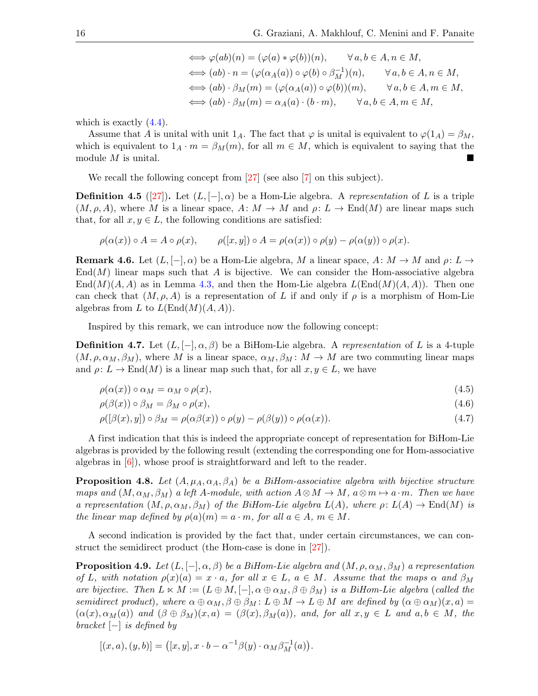$$
\iff \varphi(ab)(n) = (\varphi(a) * \varphi(b))(n), \qquad \forall a, b \in A, n \in M,
$$
  
\n
$$
\iff (ab) \cdot n = (\varphi(\alpha_A(a)) \circ \varphi(b) \circ \beta_M^{-1})(n), \qquad \forall a, b \in A, n \in M,
$$
  
\n
$$
\iff (ab) \cdot \beta_M(m) = (\varphi(\alpha_A(a)) \circ \varphi(b))(m), \qquad \forall a, b \in A, m \in M,
$$
  
\n
$$
\iff (ab) \cdot \beta_M(m) = \alpha_A(a) \cdot (b \cdot m), \qquad \forall a, b \in A, m \in M,
$$

which is exactly  $(4.4)$ .

Assume that A is unital with unit  $1_A$ . The fact that  $\varphi$  is unital is equivalent to  $\varphi(1_A) = \beta_M$ , which is equivalent to  $1_A \cdot m = \beta_M(m)$ , for all  $m \in M$ , which is equivalent to saying that the module  $M$  is unital.

We recall the following concept from [\[27\]](#page-33-13) (see also [\[7\]](#page-32-4) on this subject).

**Definition 4.5** ([\[27\]](#page-33-13)). Let  $(L, [-], \alpha)$  be a Hom-Lie algebra. A representation of L is a triple  $(M, \rho, A)$ , where M is a linear space,  $A: M \to M$  and  $\rho: L \to \text{End}(M)$  are linear maps such that, for all  $x, y \in L$ , the following conditions are satisfied:

$$
\rho(\alpha(x)) \circ A = A \circ \rho(x), \qquad \rho([x, y]) \circ A = \rho(\alpha(x)) \circ \rho(y) - \rho(\alpha(y)) \circ \rho(x).
$$

**Remark 4.6.** Let  $(L, [-], \alpha)$  be a Hom-Lie algebra, M a linear space,  $A: M \to M$  and  $\rho: L \to$  $\text{End}(M)$  linear maps such that A is bijective. We can consider the Hom-associative algebra  $\text{End}(M)(A, A)$  as in Lemma [4.3,](#page-14-0) and then the Hom-Lie algebra  $L(\text{End}(M)(A, A))$ . Then one can check that  $(M, \rho, A)$  is a representation of L if and only if  $\rho$  is a morphism of Hom-Lie algebras from L to  $L(\text{End}(M)(A, A)).$ 

Inspired by this remark, we can introduce now the following concept:

**Definition 4.7.** Let  $(L, [-], \alpha, \beta)$  be a BiHom-Lie algebra. A representation of L is a 4-tuple  $(M, \rho, \alpha_M, \beta_M)$ , where M is a linear space,  $\alpha_M, \beta_M \colon M \to M$  are two commuting linear maps and  $\rho: L \to \text{End}(M)$  is a linear map such that, for all  $x, y \in L$ , we have

<span id="page-15-1"></span><span id="page-15-0"></span>
$$
\rho(\alpha(x)) \circ \alpha_M = \alpha_M \circ \rho(x), \tag{4.5}
$$

<span id="page-15-2"></span>
$$
\rho(\beta(x)) \circ \beta_M = \beta_M \circ \rho(x),\tag{4.6}
$$

$$
\rho([\beta(x), y]) \circ \beta_M = \rho(\alpha \beta(x)) \circ \rho(y) - \rho(\beta(y)) \circ \rho(\alpha(x)). \tag{4.7}
$$

A first indication that this is indeed the appropriate concept of representation for BiHom-Lie algebras is provided by the following result (extending the corresponding one for Hom-associative algebras in [\[6\]](#page-32-7)), whose proof is straightforward and left to the reader.

**Proposition 4.8.** Let  $(A, \mu_A, \alpha_A, \beta_A)$  be a BiHom-associative algebra with bijective structure maps and  $(M, \alpha_M, \beta_M)$  a left A-module, with action  $A \otimes M \to M$ ,  $a \otimes m \mapsto a \cdot m$ . Then we have a representation  $(M, \rho, \alpha_M, \beta_M)$  of the BiHom-Lie algebra  $L(A)$ , where  $\rho: L(A) \to End(M)$  is the linear map defined by  $\rho(a)(m) = a \cdot m$ , for all  $a \in A$ ,  $m \in M$ .

A second indication is provided by the fact that, under certain circumstances, we can construct the semidirect product (the Hom-case is done in [\[27\]](#page-33-13)).

**Proposition 4.9.** Let  $(L, [-], \alpha, \beta)$  be a BiHom-Lie algebra and  $(M, \rho, \alpha_M, \beta_M)$  a representation of L, with notation  $\rho(x)(a) = x \cdot a$ , for all  $x \in L$ ,  $a \in M$ . Assume that the maps  $\alpha$  and  $\beta_M$ are bijective. Then  $L \ltimes M := (L \oplus M, [-], \alpha \oplus \alpha_M, \beta \oplus \beta_M)$  is a BiHom-Lie algebra (called the semidirect product), where  $\alpha \oplus \alpha_M$ ,  $\beta \oplus \beta_M$ :  $L \oplus M \to L \oplus M$  are defined by  $(\alpha \oplus \alpha_M)(x, a) =$  $(\alpha(x), \alpha_M(a))$  and  $(\beta \oplus \beta_M)(x, a) = (\beta(x), \beta_M(a)),$  and, for all  $x, y \in L$  and  $a, b \in M$ , the  $bracket$  [−] is defined by

$$
[(x, a), (y, b)] = ([x, y], x \cdot b - \alpha^{-1}\beta(y) \cdot \alpha_M \beta_M^{-1}(a)).
$$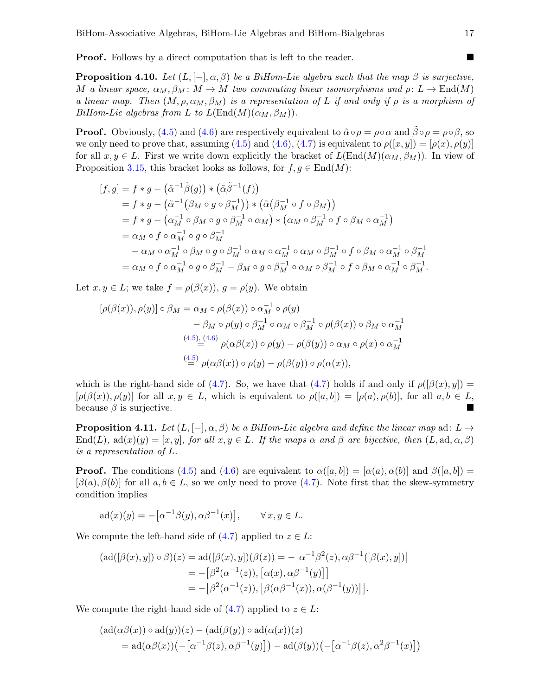**Proof.** Follows by a direct computation that is left to the reader.

**Proposition 4.10.** Let  $(L, [-], \alpha, \beta)$  be a BiHom-Lie algebra such that the map  $\beta$  is surjective, M a linear space,  $\alpha_M$ ,  $\beta_M$ :  $M \to M$  two commuting linear isomorphisms and  $\rho: L \to \text{End}(M)$ a linear map. Then  $(M, \rho, \alpha_M, \beta_M)$  is a representation of L if and only if  $\rho$  is a morphism of BiHom-Lie algebras from L to  $L(\text{End}(M)(\alpha_M, \beta_M)).$ 

**Proof.** Obviously, [\(4.5\)](#page-15-0) and [\(4.6\)](#page-15-1) are respectively equivalent to  $\tilde{\alpha} \circ \rho = \rho \circ \alpha$  and  $\tilde{\beta} \circ \rho = \rho \circ \beta$ , so we only need to prove that, assuming [\(4.5\)](#page-15-0) and [\(4.6\)](#page-15-1), [\(4.7\)](#page-15-2) is equivalent to  $\rho([x, y]) = [\rho(x), \rho(y)]$ for all  $x, y \in L$ . First we write down explicitly the bracket of  $L(End(M)(\alpha_M, \beta_M))$ . In view of Proposition [3.15,](#page-12-0) this bracket looks as follows, for  $f, g \in \text{End}(M)$ :

$$
[f,g] = f * g - (\tilde{\alpha}^{-1}\tilde{\beta}(g)) * (\tilde{\alpha}\tilde{\beta}^{-1}(f))
$$
  
\n
$$
= f * g - (\tilde{\alpha}^{-1}(\beta_M \circ g \circ \beta_M^{-1})) * (\tilde{\alpha}(\beta_M^{-1} \circ f \circ \beta_M))
$$
  
\n
$$
= f * g - (\alpha_M^{-1} \circ \beta_M \circ g \circ \beta_M^{-1} \circ \alpha_M) * (\alpha_M \circ \beta_M^{-1} \circ f \circ \beta_M \circ \alpha_M^{-1})
$$
  
\n
$$
= \alpha_M \circ f \circ \alpha_M^{-1} \circ g \circ \beta_M^{-1}
$$
  
\n
$$
- \alpha_M \circ \alpha_M^{-1} \circ \beta_M \circ g \circ \beta_M^{-1} \circ \alpha_M \circ \alpha_M^{-1} \circ \alpha_M \circ \beta_M^{-1} \circ f \circ \beta_M \circ \alpha_M^{-1} \circ \beta_M^{-1}
$$
  
\n
$$
= \alpha_M \circ f \circ \alpha_M^{-1} \circ g \circ \beta_M^{-1} - \beta_M \circ g \circ \beta_M^{-1} \circ \alpha_M \circ \beta_M^{-1} \circ f \circ \beta_M \circ \alpha_M^{-1} \circ \beta_M^{-1}.
$$

Let  $x, y \in L$ ; we take  $f = \rho(\beta(x)), g = \rho(y)$ . We obtain

$$
[\rho(\beta(x)), \rho(y)] \circ \beta_M = \alpha_M \circ \rho(\beta(x)) \circ \alpha_M^{-1} \circ \rho(y)
$$
  

$$
- \beta_M \circ \rho(y) \circ \beta_M^{-1} \circ \alpha_M \circ \beta_M^{-1} \circ \rho(\beta(x)) \circ \beta_M \circ \alpha_M^{-1}
$$
  

$$
\stackrel{(4.5), (4.6)}{=} \rho(\alpha\beta(x)) \circ \rho(y) - \rho(\beta(y)) \circ \alpha_M \circ \rho(x) \circ \alpha_M^{-1}
$$
  

$$
\stackrel{(4.5)}{=} \rho(\alpha\beta(x)) \circ \rho(y) - \rho(\beta(y)) \circ \rho(\alpha(x)),
$$

which is the right-hand side of [\(4.7\)](#page-15-2). So, we have that (4.7) holds if and only if  $\rho([\beta(x), y]) =$  $[\rho(\beta(x)), \rho(y)]$  for all  $x, y \in L$ , which is equivalent to  $\rho([a, b]) = [\rho(a), \rho(b)]$ , for all  $a, b \in L$ , because  $\beta$  is surjective.

**Proposition 4.11.** Let  $(L, [-], \alpha, \beta)$  be a BiHom-Lie algebra and define the linear map ad: L  $\rightarrow$  $\text{End}(L)$ ,  $\text{ad}(x)(y) = [x, y]$ , for all  $x, y \in L$ . If the maps  $\alpha$  and  $\beta$  are bijective, then  $(L, \text{ad}, \alpha, \beta)$ is a representation of L.

**Proof.** The conditions [\(4.5\)](#page-15-0) and [\(4.6\)](#page-15-1) are equivalent to  $\alpha([a, b]) = [\alpha(a), \alpha(b)]$  and  $\beta([a, b]) =$  $[\beta(a), \beta(b)]$  for all  $a, b \in L$ , so we only need to prove [\(4.7\)](#page-15-2). Note first that the skew-symmetry condition implies

$$
ad(x)(y) = -[\alpha^{-1}\beta(y), \alpha\beta^{-1}(x)], \qquad \forall x, y \in L.
$$

We compute the left-hand side of  $(4.7)$  applied to  $z \in L$ :

$$
(\text{ad}([\beta(x), y]) \circ \beta)(z) = \text{ad}([\beta(x), y])(\beta(z)) = -[\alpha^{-1}\beta^{2}(z), \alpha\beta^{-1}([\beta(x), y])]
$$
  
= -[\beta^{2}(\alpha^{-1}(z)), [\alpha(x), \alpha\beta^{-1}(y)]]  
= -[\beta^{2}(\alpha^{-1}(z)), [\beta(\alpha\beta^{-1}(x)), \alpha(\beta^{-1}(y))]].

We compute the right-hand side of  $(4.7)$  applied to  $z \in L$ :

$$
(\mathrm{ad}(\alpha\beta(x)) \circ \mathrm{ad}(y))(z) - (\mathrm{ad}(\beta(y)) \circ \mathrm{ad}(\alpha(x))(z)
$$
  
= 
$$
\mathrm{ad}(\alpha\beta(x))(-[\alpha^{-1}\beta(z), \alpha\beta^{-1}(y)]) - \mathrm{ad}(\beta(y))(-[\alpha^{-1}\beta(z), \alpha^2\beta^{-1}(x)])
$$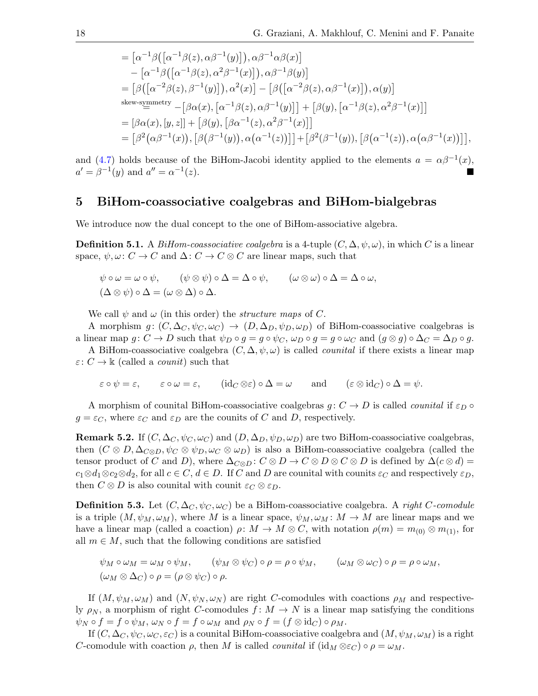$$
= [\alpha^{-1}\beta([\alpha^{-1}\beta(z),\alpha\beta^{-1}(y)]),\alpha\beta^{-1}\alpha\beta(x)]
$$
  
\n
$$
- [\alpha^{-1}\beta([\alpha^{-1}\beta(z),\alpha^2\beta^{-1}(x)]),\alpha\beta^{-1}\beta(y)]
$$
  
\n
$$
= [\beta([\alpha^{-2}\beta(z),\beta^{-1}(y)]),\alpha^2(x)] - [\beta([\alpha^{-2}\beta(z),\alpha\beta^{-1}(x)]),\alpha(y)]
$$
  
\nskew-symmetry  
\n
$$
- [\beta\alpha(x), [\alpha^{-1}\beta(z),\alpha\beta^{-1}(y)]] + [\beta(y), [\alpha^{-1}\beta(z),\alpha^2\beta^{-1}(x)]]
$$
  
\n
$$
= [\beta\alpha(x), [y, z]] + [\beta(y), [\beta\alpha^{-1}(z),\alpha^2\beta^{-1}(x)]]
$$
  
\n
$$
= [\beta^2(\alpha\beta^{-1}(x)), [\beta(\beta^{-1}(y)),\alpha(\alpha^{-1}(z))]] + [\beta^2(\beta^{-1}(y)), [\beta(\alpha^{-1}(z)),\alpha(\alpha\beta^{-1}(x))]]
$$
,

and [\(4.7\)](#page-15-2) holds because of the BiHom-Jacobi identity applied to the elements  $a = \alpha \beta^{-1}(x)$ ,  $a' = \beta^{-1}(y)$  and  $a'' = \alpha^{-1}$  $(z)$ .

# 5 BiHom-coassociative coalgebras and BiHom-bialgebras

We introduce now the dual concept to the one of BiHom-associative algebra.

**Definition 5.1.** A BiHom-coassociative coalgebra is a 4-tuple  $(C, \Delta, \psi, \omega)$ , in which C is a linear space,  $\psi, \omega: C \to C$  and  $\Delta: C \to C \otimes C$  are linear maps, such that

$$
\psi \circ \omega = \omega \circ \psi, \qquad (\psi \otimes \psi) \circ \Delta = \Delta \circ \psi, \qquad (\omega \otimes \omega) \circ \Delta = \Delta \circ \omega, (\Delta \otimes \psi) \circ \Delta = (\omega \otimes \Delta) \circ \Delta.
$$

We call  $\psi$  and  $\omega$  (in this order) the *structure maps* of C.

A morphism  $g: (C, \Delta_C, \psi_C, \omega_C) \to (D, \Delta_D, \psi_D, \omega_D)$  of BiHom-coassociative coalgebras is a linear map  $g: C \to D$  such that  $\psi_D \circ g = g \circ \psi_C$ ,  $\omega_D \circ g = g \circ \omega_C$  and  $(g \otimes g) \circ \Delta_C = \Delta_D \circ g$ .

A BiHom-coassociative coalgebra  $(C, \Delta, \psi, \omega)$  is called *counital* if there exists a linear map  $\varepsilon: C \to \mathbb{k}$  (called a *counit*) such that

$$
\varepsilon \circ \psi = \varepsilon
$$
,  $\varepsilon \circ \omega = \varepsilon$ ,  $(id_C \otimes \varepsilon) \circ \Delta = \omega$  and  $(\varepsilon \otimes id_C) \circ \Delta = \psi$ .

A morphism of counital BiHom-coassociative coalgebras  $g: C \to D$  is called *counital* if  $\varepsilon_D \circ$  $g = \varepsilon_C$ , where  $\varepsilon_C$  and  $\varepsilon_D$  are the counits of C and D, respectively.

**Remark 5.2.** If  $(C, \Delta_C, \psi_C, \omega_C)$  and  $(D, \Delta_D, \psi_D, \omega_D)$  are two BiHom-coassociative coalgebras, then  $(C \otimes D, \Delta_{C \otimes D}, \psi_C \otimes \psi_D, \omega_C \otimes \omega_D)$  is also a BiHom-coassociative coalgebra (called the tensor product of C and D), where  $\Delta_{C\otimes D}: C\otimes D \to C\otimes D\otimes C\otimes D$  is defined by  $\Delta(c\otimes d)=$  $c_1 \otimes d_1 \otimes c_2 \otimes d_2$ , for all  $c \in C$ ,  $d \in D$ . If C and D are counital with counits  $\varepsilon_C$  and respectively  $\varepsilon_D$ , then  $C \otimes D$  is also counital with counit  $\varepsilon_C \otimes \varepsilon_D$ .

**Definition 5.3.** Let  $(C, \Delta_C, \psi_C, \omega_C)$  be a BiHom-coassociative coalgebra. A right C-comodule is a triple  $(M, \psi_M, \omega_M)$ , where M is a linear space,  $\psi_M, \omega_M \colon M \to M$  are linear maps and we have a linear map (called a coaction)  $\rho: M \to M \otimes C$ , with notation  $\rho(m) = m_{(0)} \otimes m_{(1)}$ , for all  $m \in M$ , such that the following conditions are satisfied

$$
\psi_M \circ \omega_M = \omega_M \circ \psi_M, \qquad (\psi_M \otimes \psi_C) \circ \rho = \rho \circ \psi_M, \qquad (\omega_M \otimes \omega_C) \circ \rho = \rho \circ \omega_M,
$$
  

$$
(\omega_M \otimes \Delta_C) \circ \rho = (\rho \otimes \psi_C) \circ \rho.
$$

If  $(M, \psi_M, \omega_M)$  and  $(N, \psi_N, \omega_N)$  are right C-comodules with coactions  $\rho_M$  and respectively  $\rho_N$ , a morphism of right C-comodules  $f: M \to N$  is a linear map satisfying the conditions  $\psi_N \circ f = f \circ \psi_M$ ,  $\omega_N \circ f = f \circ \omega_M$  and  $\rho_N \circ f = (f \otimes id_C) \circ \rho_M$ .

If  $(C, \Delta_C, \psi_C, \omega_C, \varepsilon_C)$  is a counital BiHom-coassociative coalgebra and  $(M, \psi_M, \omega_M)$  is a right C-comodule with coaction  $\rho$ , then M is called *counital* if  $(id_M \otimes \varepsilon_C) \circ \rho = \omega_M$ .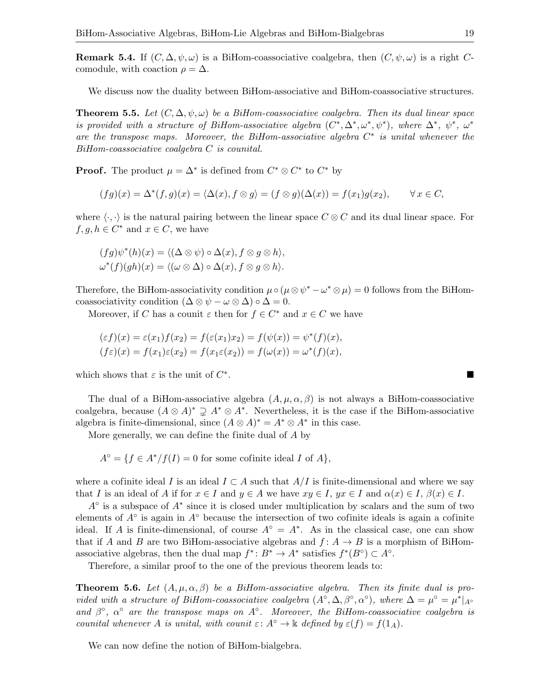**Remark 5.4.** If  $(C, \Delta, \psi, \omega)$  is a BiHom-coassociative coalgebra, then  $(C, \psi, \omega)$  is a right Ccomodule, with coaction  $\rho = \Delta$ .

We discuss now the duality between BiHom-associative and BiHom-coassociative structures.

**Theorem 5.5.** Let  $(C, \Delta, \psi, \omega)$  be a BiHom-coassociative coalgebra. Then its dual linear space is provided with a structure of BiHom-associative algebra  $(C^*, \Delta^*, \omega^*, \psi^*)$ , where  $\Delta^*, \psi^*, \omega^*$ are the transpose maps. Moreover, the BiHom-associative algebra  $C^*$  is unital whenever the BiHom-coassociative coalgebra C is counital.

**Proof.** The product  $\mu = \Delta^*$  is defined from  $C^* \otimes C^*$  to  $C^*$  by

$$
(fg)(x) = \Delta^*(f,g)(x) = \langle \Delta(x), f \otimes g \rangle = (f \otimes g)(\Delta(x)) = f(x_1)g(x_2), \qquad \forall x \in C,
$$

where  $\langle \cdot, \cdot \rangle$  is the natural pairing between the linear space C ⊗ C and its dual linear space. For  $f, g, h \in C^*$  and  $x \in C$ , we have

$$
(fg)\psi^*(h)(x) = \langle (\Delta \otimes \psi) \circ \Delta(x), f \otimes g \otimes h \rangle,
$$
  

$$
\omega^*(f)(gh)(x) = \langle (\omega \otimes \Delta) \circ \Delta(x), f \otimes g \otimes h \rangle.
$$

Therefore, the BiHom-associativity condition  $\mu \circ (\mu \otimes \psi^* - \omega^* \otimes \mu) = 0$  follows from the BiHomcoassociativity condition  $(\Delta \otimes \psi - \omega \otimes \Delta) \circ \Delta = 0$ .

Moreover, if C has a counit  $\varepsilon$  then for  $f \in C^*$  and  $x \in C$  we have

$$
(\varepsilon f)(x) = \varepsilon(x_1)f(x_2) = f(\varepsilon(x_1)x_2) = f(\psi(x)) = \psi^*(f)(x),
$$
  
\n
$$
(f\varepsilon)(x) = f(x_1)\varepsilon(x_2) = f(x_1\varepsilon(x_2)) = f(\omega(x)) = \omega^*(f)(x),
$$

which shows that  $\varepsilon$  is the unit of  $C^*$ .

The dual of a BiHom-associative algebra  $(A, \mu, \alpha, \beta)$  is not always a BiHom-coassociative coalgebra, because  $(A \otimes A)^* \supsetneq A^* \otimes A^*$ . Nevertheless, it is the case if the BiHom-associative algebra is finite-dimensional, since  $(A \otimes A)^* = A^* \otimes A^*$  in this case.

More generally, we can define the finite dual of A by

 $A^{\circ} = \{ f \in A^* / f(I) = 0 \text{ for some cofinite ideal } I \text{ of } A \},\$ 

where a cofinite ideal I is an ideal  $I \subset A$  such that  $A/I$  is finite-dimensional and where we say that I is an ideal of A if for  $x \in I$  and  $y \in A$  we have  $xy \in I$ ,  $yx \in I$  and  $\alpha(x) \in I$ ,  $\beta(x) \in I$ .

 $A^{\circ}$  is a subspace of  $A^*$  since it is closed under multiplication by scalars and the sum of two elements of  $A^{\circ}$  is again in  $A^{\circ}$  because the intersection of two cofinite ideals is again a cofinite ideal. If A is finite-dimensional, of course  $A^{\circ} = A^*$ . As in the classical case, one can show that if A and B are two BiHom-associative algebras and  $f: A \rightarrow B$  is a morphism of BiHomassociative algebras, then the dual map  $f^*: B^* \to A^*$  satisfies  $f^*(B^{\circ}) \subset A^{\circ}$ .

Therefore, a similar proof to the one of the previous theorem leads to:

**Theorem 5.6.** Let  $(A, \mu, \alpha, \beta)$  be a BiHom-associative algebra. Then its finite dual is provided with a structure of BiHom-coassociative coalgebra  $(A^{\circ}, \Delta, \beta^{\circ}, \alpha^{\circ})$ , where  $\Delta = \mu^{\circ} = \mu^*|_{A^{\circ}}$ and  $\beta^{\circ}$ ,  $\alpha^{\circ}$  are the transpose maps on  $A^{\circ}$ . Moreover, the BiHom-coassociative coalgebra is counital whenever A is unital, with counit  $\varepsilon: A^{\circ} \to \Bbbk$  defined by  $\varepsilon(f) = f(1_A)$ .

We can now define the notion of BiHom-bialgebra.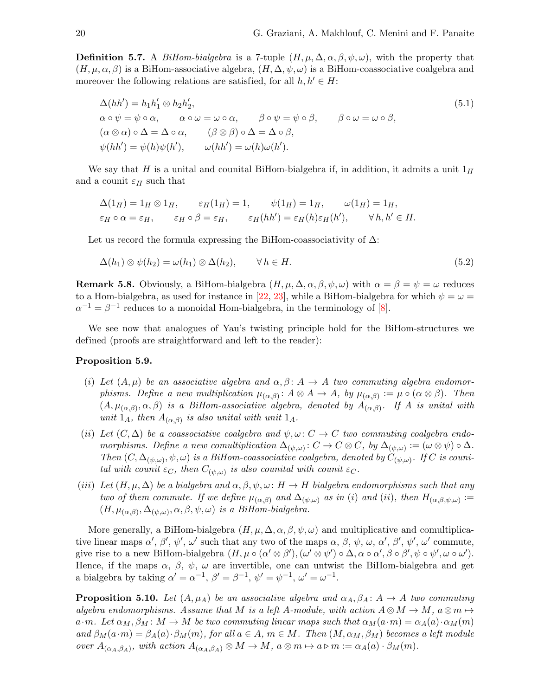**Definition 5.7.** A BiHom-bialgebra is a 7-tuple  $(H, \mu, \Delta, \alpha, \beta, \psi, \omega)$ , with the property that  $(H, \mu, \alpha, \beta)$  is a BiHom-associative algebra,  $(H, \Delta, \psi, \omega)$  is a BiHom-coassociative coalgebra and moreover the following relations are satisfied, for all  $h, h' \in H$ :

<span id="page-19-1"></span>
$$
\Delta(hh') = h_1h'_1 \otimes h_2h'_2,
$$
  
\n
$$
\alpha \circ \psi = \psi \circ \alpha, \qquad \alpha \circ \omega = \omega \circ \alpha, \qquad \beta \circ \psi = \psi \circ \beta, \qquad \beta \circ \omega = \omega \circ \beta,
$$
  
\n
$$
(\alpha \otimes \alpha) \circ \Delta = \Delta \circ \alpha, \qquad (\beta \otimes \beta) \circ \Delta = \Delta \circ \beta,
$$
  
\n
$$
\psi(hh') = \psi(h)\psi(h'), \qquad \omega(hh') = \omega(h)\omega(h').
$$
\n(5.1)

We say that H is a unital and counital BiHom-bialgebra if, in addition, it admits a unit  $1_H$ and a counit  $\varepsilon_H$  such that

$$
\Delta(1_H) = 1_H \otimes 1_H, \qquad \varepsilon_H(1_H) = 1, \qquad \psi(1_H) = 1_H, \qquad \omega(1_H) = 1_H,
$$
  
\n
$$
\varepsilon_H \circ \alpha = \varepsilon_H, \qquad \varepsilon_H \circ \beta = \varepsilon_H, \qquad \varepsilon_H(hh') = \varepsilon_H(h)\varepsilon_H(h'), \qquad \forall h, h' \in H.
$$

Let us record the formula expressing the BiHom-coassociativity of  $\Delta$ :

<span id="page-19-0"></span>
$$
\Delta(h_1) \otimes \psi(h_2) = \omega(h_1) \otimes \Delta(h_2), \qquad \forall \, h \in H. \tag{5.2}
$$

**Remark 5.8.** Obviously, a BiHom-bialgebra  $(H, \mu, \Delta, \alpha, \beta, \psi, \omega)$  with  $\alpha = \beta = \psi = \omega$  reduces to a Hom-bialgebra, as used for instance in [\[22,](#page-33-12) [23\]](#page-33-19), while a BiHom-bialgebra for which  $\psi = \omega =$  $\alpha^{-1} = \beta^{-1}$  reduces to a monoidal Hom-bialgebra, in the terminology of [\[8\]](#page-32-1).

We see now that analogues of Yau's twisting principle hold for the BiHom-structures we defined (proofs are straightforward and left to the reader):

#### <span id="page-19-2"></span>Proposition 5.9.

- (i) Let  $(A, \mu)$  be an associative algebra and  $\alpha, \beta \colon A \to A$  two commuting algebra endomorphisms. Define a new multiplication  $\mu_{(\alpha,\beta)}: A \otimes A \to A$ , by  $\mu_{(\alpha,\beta)} := \mu \circ (\alpha \otimes \beta)$ . Then  $(A, \mu_{(\alpha,\beta)}, \alpha, \beta)$  is a BiHom-associative algebra, denoted by  $A_{(\alpha,\beta)}$ . If A is unital with unit  $1_A$ , then  $A_{(\alpha,\beta)}$  is also unital with unit  $1_A$ .
- (ii) Let  $(C, \Delta)$  be a coassociative coalgebra and  $\psi, \omega: C \to C$  two commuting coalgebra endomorphisms. Define a new comultiplication  $\Delta_{(\psi,\omega)} : C \to C \otimes C$ , by  $\Delta_{(\psi,\omega)} := (\omega \otimes \psi) \circ \Delta$ . Then  $(C, \Delta_{(\psi,\omega)}, \psi, \omega)$  is a BiHom-coassociative coalgebra, denoted by  $C_{(\psi,\omega)}$ . If C is counital with counit  $\varepsilon_C$ , then  $C_{(\psi,\omega)}$  is also counital with counit  $\varepsilon_C$ .
- (iii) Let  $(H, \mu, \Delta)$  be a bialgebra and  $\alpha, \beta, \psi, \omega \colon H \to H$  bialgebra endomorphisms such that any two of them commute. If we define  $\mu_{(\alpha,\beta)}$  and  $\Delta_{(\psi,\omega)}$  as in (i) and (ii), then  $H_{(\alpha,\beta,\psi,\omega)} :=$  $(H, \mu_{(\alpha,\beta)}, \Delta_{(\psi,\omega)}, \alpha, \beta, \psi, \omega)$  is a BiHom-bialgebra.

More generally, a BiHom-bialgebra  $(H, \mu, \Delta, \alpha, \beta, \psi, \omega)$  and multiplicative and comultiplicative linear maps  $\alpha'$ ,  $\beta'$ ,  $\psi'$ ,  $\omega'$  such that any two of the maps  $\alpha$ ,  $\beta$ ,  $\psi$ ,  $\omega$ ,  $\alpha'$ ,  $\beta'$ ,  $\psi'$ ,  $\omega'$  commute, give rise to a new BiHom-bialgebra  $(H, \mu \circ (\alpha' \otimes \beta'), (\omega' \otimes \psi') \circ \Delta, \alpha \circ \alpha', \beta \circ \beta', \psi \circ \psi', \omega \circ \omega').$ Hence, if the maps  $\alpha$ ,  $\beta$ ,  $\psi$ ,  $\omega$  are invertible, one can untwist the BiHom-bialgebra and get a bialgebra by taking  $\alpha' = \alpha^{-1}$ ,  $\beta' = \beta^{-1}$ ,  $\psi' = \psi^{-1}$ ,  $\omega' = \omega^{-1}$ .

**Proposition 5.10.** Let  $(A, \mu_A)$  be an associative algebra and  $\alpha_A, \beta_A \colon A \to A$  two commuting algebra endomorphisms. Assume that M is a left A-module, with action  $A \otimes M \to M$ ,  $a \otimes m \mapsto$ a·m. Let  $\alpha_M, \beta_M \colon M \to M$  be two commuting linear maps such that  $\alpha_M(a \cdot m) = \alpha_A(a) \cdot \alpha_M(m)$ and  $\beta_M(a \cdot m) = \beta_A(a) \cdot \beta_M(m)$ , for all  $a \in A$ ,  $m \in M$ . Then  $(M, \alpha_M, \beta_M)$  becomes a left module over  $A_{(\alpha_A,\beta_A)}$ , with action  $A_{(\alpha_A,\beta_A)} \otimes M \to M$ ,  $a \otimes m \mapsto a \triangleright m := \alpha_A(a) \cdot \beta_M(m)$ .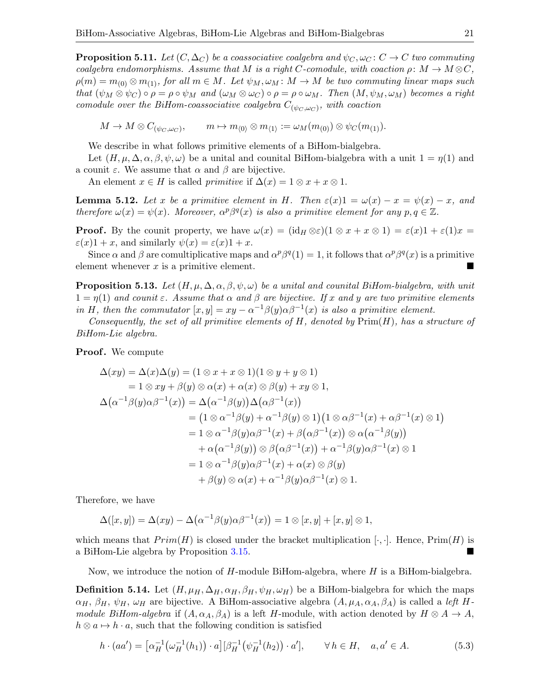**Proposition 5.11.** Let  $(C, \Delta_C)$  be a coassociative coalgebra and  $\psi_C, \omega_C \colon C \to C$  two commuting coalgebra endomorphisms. Assume that M is a right C-comodule, with coaction  $\rho \colon M \to M \otimes C$ ,  $\rho(m) = m_{(0)} \otimes m_{(1)}$ , for all  $m \in M$ . Let  $\psi_M, \omega_M : M \to M$  be two commuting linear maps such that  $(\psi_M \otimes \psi_C) \circ \rho = \rho \circ \psi_M$  and  $(\omega_M \otimes \omega_C) \circ \rho = \rho \circ \omega_M$ . Then  $(M, \psi_M, \omega_M)$  becomes a right comodule over the BiHom-coassociative coalgebra  $C_{(\psi_C, \omega_C)}$ , with coaction

 $M \to M \otimes C_{(\psi_C, \omega_C)},$  $, \qquad m \mapsto m_{\langle 0 \rangle} \otimes m_{\langle 1 \rangle} := \omega_M(m_{(0)}) \otimes \psi_C(m_{(1)}).$ 

We describe in what follows primitive elements of a BiHom-bialgebra.

Let  $(H, \mu, \Delta, \alpha, \beta, \psi, \omega)$  be a unital and counital BiHom-bialgebra with a unit  $1 = \eta(1)$  and a counit  $\varepsilon$ . We assume that  $\alpha$  and  $\beta$  are bijective.

An element  $x \in H$  is called *primitive* if  $\Delta(x) = 1 \otimes x + x \otimes 1$ .

**Lemma 5.12.** Let x be a primitive element in H. Then  $\varepsilon(x)1 = \omega(x) - x = \psi(x) - x$ , and therefore  $\omega(x) = \psi(x)$ . Moreover,  $\alpha^p \beta^q(x)$  is also a primitive element for any  $p, q \in \mathbb{Z}$ .

**Proof.** By the counit property, we have  $\omega(x) = (\mathrm{id}_H \otimes \varepsilon)(1 \otimes x + x \otimes 1) = \varepsilon(x)1 + \varepsilon(1)x =$  $\varepsilon(x)1 + x$ , and similarly  $\psi(x) = \varepsilon(x)1 + x$ .

Since  $\alpha$  and  $\beta$  are comultiplicative maps and  $\alpha^p\beta^q(1)=1$ , it follows that  $\alpha^p\beta^q(x)$  is a primitive element whenever  $x$  is a primitive element.

**Proposition 5.13.** Let  $(H, \mu, \Delta, \alpha, \beta, \psi, \omega)$  be a unital and counital BiHom-bialgebra, with unit  $1 = \eta(1)$  and counit  $\varepsilon$ . Assume that  $\alpha$  and  $\beta$  are bijective. If x and y are two primitive elements in H, then the commutator  $[x, y] = xy - \alpha^{-1}\beta(y)\alpha\beta^{-1}(x)$  is also a primitive element.

Consequently, the set of all primitive elements of  $H$ , denoted by  $\text{Prim}(H)$ , has a structure of BiHom-Lie algebra.

**Proof.** We compute

$$
\Delta(xy) = \Delta(x)\Delta(y) = (1 \otimes x + x \otimes 1)(1 \otimes y + y \otimes 1)
$$
  
\n
$$
= 1 \otimes xy + \beta(y) \otimes \alpha(x) + \alpha(x) \otimes \beta(y) + xy \otimes 1,
$$
  
\n
$$
\Delta(\alpha^{-1}\beta(y)\alpha\beta^{-1}(x)) = \Delta(\alpha^{-1}\beta(y))\Delta(\alpha\beta^{-1}(x))
$$
  
\n
$$
= (1 \otimes \alpha^{-1}\beta(y) + \alpha^{-1}\beta(y) \otimes 1)(1 \otimes \alpha\beta^{-1}(x) + \alpha\beta^{-1}(x) \otimes 1)
$$
  
\n
$$
= 1 \otimes \alpha^{-1}\beta(y)\alpha\beta^{-1}(x) + \beta(\alpha\beta^{-1}(x)) \otimes \alpha(\alpha^{-1}\beta(y))
$$
  
\n
$$
+ \alpha(\alpha^{-1}\beta(y)) \otimes \beta(\alpha\beta^{-1}(x)) + \alpha^{-1}\beta(y)\alpha\beta^{-1}(x) \otimes 1
$$
  
\n
$$
= 1 \otimes \alpha^{-1}\beta(y)\alpha\beta^{-1}(x) + \alpha(x) \otimes \beta(y)
$$
  
\n
$$
+ \beta(y) \otimes \alpha(x) + \alpha^{-1}\beta(y)\alpha\beta^{-1}(x) \otimes 1.
$$

Therefore, we have

$$
\Delta([x,y]) = \Delta(xy) - \Delta(\alpha^{-1}\beta(y)\alpha\beta^{-1}(x)) = 1 \otimes [x,y] + [x,y] \otimes 1,
$$

which means that  $Prim(H)$  is closed under the bracket multiplication  $[\cdot, \cdot]$ . Hence,  $Prim(H)$  is a BiHom-Lie algebra by Proposition [3.15.](#page-12-0)

Now, we introduce the notion of  $H$ -module BiHom-algebra, where  $H$  is a BiHom-bialgebra.

**Definition 5.14.** Let  $(H, \mu_H, \Delta_H, \alpha_H, \beta_H, \psi_H, \omega_H)$  be a BiHom-bialgebra for which the maps  $\alpha_H, \beta_H, \psi_H, \omega_H$  are bijective. A BiHom-associative algebra  $(A, \mu_A, \alpha_A, \beta_A)$  is called a left Hmodule BiHom-algebra if  $(A, \alpha_A, \beta_A)$  is a left H-module, with action denoted by  $H \otimes A \to A$ ,  $h \otimes a \mapsto h \cdot a$ , such that the following condition is satisfied

<span id="page-20-0"></span>
$$
h \cdot (aa') = \left[\alpha_H^{-1}\left(\omega_H^{-1}(h_1)\right) \cdot a\right] \left[\beta_H^{-1}\left(\psi_H^{-1}(h_2)\right) \cdot a'\right], \qquad \forall \, h \in H, \quad a, a' \in A. \tag{5.3}
$$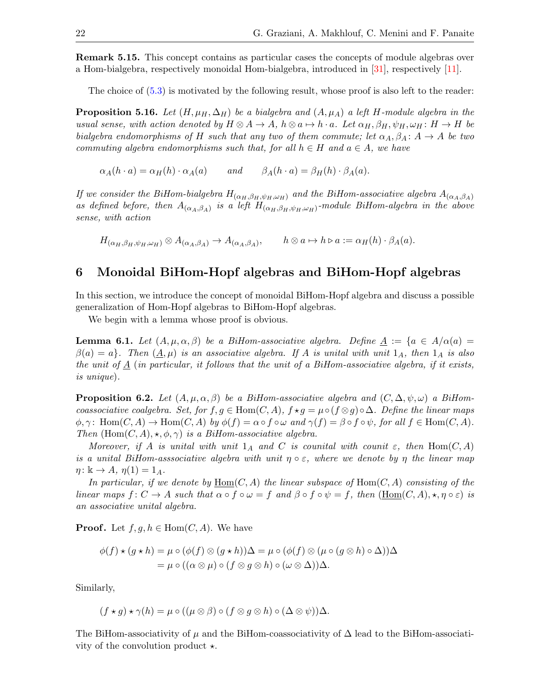Remark 5.15. This concept contains as particular cases the concepts of module algebras over a Hom-bialgebra, respectively monoidal Hom-bialgebra, introduced in [\[31\]](#page-33-14), respectively [\[11\]](#page-33-9).

The choice of [\(5.3\)](#page-20-0) is motivated by the following result, whose proof is also left to the reader:

<span id="page-21-1"></span>**Proposition 5.16.** Let  $(H, \mu_H, \Delta_H)$  be a bialgebra and  $(A, \mu_A)$  a left H-module algebra in the usual sense, with action denoted by  $H \otimes A \to A$ ,  $h \otimes a \mapsto h \cdot a$ . Let  $\alpha_H, \beta_H, \psi_H, \omega_H : H \to H$  be bialgebra endomorphisms of H such that any two of them commute; let  $\alpha_A, \beta_A : A \to A$  be two commuting algebra endomorphisms such that, for all  $h \in H$  and  $a \in A$ , we have

$$
\alpha_A(h \cdot a) = \alpha_H(h) \cdot \alpha_A(a) \quad \text{and} \quad \beta_A(h \cdot a) = \beta_H(h) \cdot \beta_A(a).
$$

If we consider the BiHom-bialgebra  $H_{(\alpha_H,\beta_H,\psi_H,\omega_H)}$  and the BiHom-associative algebra  $A_{(\alpha_A,\beta_A)}$ as defined before, then  $A_{(\alpha_A,\beta_A)}$  is a left  $H_{(\alpha_H,\beta_H,\psi_H,\omega_H)}$ -module BiHom-algebra in the above sense, with action

 $H_{(\alpha_H, \beta_H, \psi_H, \omega_H)} \otimes A_{(\alpha_A, \beta_A)} \to A_{(\alpha_A, \beta_A)}, \qquad h \otimes a \mapsto h \triangleright a := \alpha_H(h) \cdot \beta_A(a).$ 

# 6 Monoidal BiHom-Hopf algebras and BiHom-Hopf algebras

In this section, we introduce the concept of monoidal BiHom-Hopf algebra and discuss a possible generalization of Hom-Hopf algebras to BiHom-Hopf algebras.

We begin with a lemma whose proof is obvious.

<span id="page-21-0"></span>**Lemma 6.1.** Let  $(A, \mu, \alpha, \beta)$  be a BiHom-associative algebra. Define  $\underline{A} := \{a \in A/\alpha(a) =$  $\beta(a) = a$ . Then  $(A, \mu)$  is an associative algebra. If A is unital with unit  $1_A$ , then  $1_A$  is also the unit of  $\underline{A}$  (in particular, it follows that the unit of a BiHom-associative algebra, if it exists, is unique).

**Proposition 6.2.** Let  $(A, \mu, \alpha, \beta)$  be a BiHom-associative algebra and  $(C, \Delta, \psi, \omega)$  a BiHomcoassociative coalgebra. Set, for  $f, g \in \text{Hom}(C, A), f \star g = \mu \circ (f \otimes g) \circ \Delta$ . Define the linear maps  $\phi, \gamma: \text{Hom}(C, A) \to \text{Hom}(C, A)$  by  $\phi(f) = \alpha \circ f \circ \omega$  and  $\gamma(f) = \beta \circ f \circ \psi$ , for all  $f \in \text{Hom}(C, A)$ . Then  $(Hom(C, A), \star, \phi, \gamma)$  is a BiHom-associative algebra.

Moreover, if A is unital with unit  $1_A$  and C is counital with counit  $\varepsilon$ , then Hom $(C, A)$ is a unital BiHom-asssociative algebra with unit  $\eta \circ \varepsilon$ , where we denote by  $\eta$  the linear map  $\eta: \mathbb{k} \to A, \eta(1) = 1_A.$ 

In particular, if we denote by  $\underline{\text{Hom}}(C, A)$  the linear subspace of  $\text{Hom}(C, A)$  consisting of the linear maps  $f: C \to A$  such that  $\alpha \circ f \circ \omega = f$  and  $\beta \circ f \circ \psi = f$ , then  $(\underline{Hom}(C, A), \star, \eta \circ \varepsilon)$  is an associative unital algebra.

**Proof.** Let  $f, g, h \in \text{Hom}(C, A)$ . We have

$$
\phi(f) \star (g \star h) = \mu \circ (\phi(f) \otimes (g \star h))\Delta = \mu \circ (\phi(f) \otimes (\mu \circ (g \otimes h) \circ \Delta))\Delta = \mu \circ ((\alpha \otimes \mu) \circ (f \otimes g \otimes h) \circ (\omega \otimes \Delta))\Delta.
$$

Similarly,

$$
(f \star g) \star \gamma(h) = \mu \circ ((\mu \otimes \beta) \circ (f \otimes g \otimes h) \circ (\Delta \otimes \psi))\Delta.
$$

The BiHom-associativity of  $\mu$  and the BiHom-coassociativity of  $\Delta$  lead to the BiHom-associativity of the convolution product  $\star$ .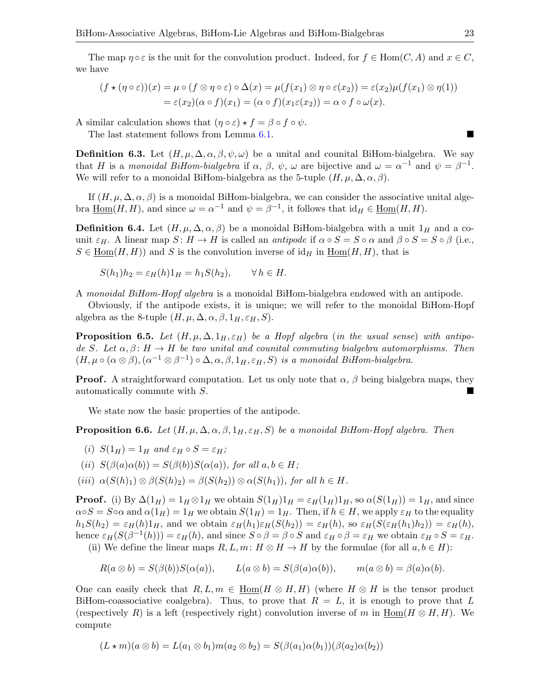The map  $\eta \circ \varepsilon$  is the unit for the convolution product. Indeed, for  $f \in Hom(C, A)$  and  $x \in C$ , we have

$$
(f \star (\eta \circ \varepsilon))(x) = \mu \circ (f \otimes \eta \circ \varepsilon) \circ \Delta(x) = \mu(f(x_1) \otimes \eta \circ \varepsilon(x_2)) = \varepsilon(x_2)\mu(f(x_1) \otimes \eta(1))
$$
  
=  $\varepsilon(x_2)(\alpha \circ f)(x_1) = (\alpha \circ f)(x_1\varepsilon(x_2)) = \alpha \circ f \circ \omega(x).$ 

A similar calculation shows that  $(\eta \circ \varepsilon) \star f = \beta \circ f \circ \psi$ .

The last statement follows from Lemma [6.1.](#page-21-0)

**Definition 6.3.** Let  $(H, \mu, \Delta, \alpha, \beta, \psi, \omega)$  be a unital and counital BiHom-bialgebra. We say that H is a monoidal BiHom-bialgebra if  $\alpha$ ,  $\beta$ ,  $\psi$ ,  $\omega$  are bijective and  $\omega = \alpha^{-1}$  and  $\psi = \beta^{-1}$ . We will refer to a monoidal BiHom-bialgebra as the 5-tuple  $(H, \mu, \Delta, \alpha, \beta)$ .

If  $(H, \mu, \Delta, \alpha, \beta)$  is a monoidal BiHom-bialgebra, we can consider the associative unital algebra  $\underline{\text{Hom}}(H, H)$ , and since  $\omega = \alpha^{-1}$  and  $\psi = \beta^{-1}$ , it follows that  $\text{id}_H \in \underline{\text{Hom}}(H, H)$ .

**Definition 6.4.** Let  $(H, \mu, \Delta, \alpha, \beta)$  be a monoidal BiHom-bialgebra with a unit  $1_H$  and a counit  $\varepsilon_H$ . A linear map  $S: H \to H$  is called an *antipode* if  $\alpha \circ S = S \circ \alpha$  and  $\beta \circ S = S \circ \beta$  (i.e.,  $S \in \text{Hom}(H, H)$  and S is the convolution inverse of  $\text{id}_H$  in  $\text{Hom}(H, H)$ , that is

$$
S(h_1)h_2 = \varepsilon_H(h)1_H = h_1S(h_2), \qquad \forall h \in H.
$$

A monoidal BiHom-Hopf algebra is a monoidal BiHom-bialgebra endowed with an antipode.

Obviously, if the antipode exists, it is unique; we will refer to the monoidal BiHom-Hopf algebra as the 8-tuple  $(H, \mu, \Delta, \alpha, \beta, 1_H, \varepsilon_H, S)$ .

**Proposition 6.5.** Let  $(H, \mu, \Delta, 1_H, \varepsilon_H)$  be a Hopf algebra (in the usual sense) with antipode S. Let  $\alpha, \beta \colon H \to H$  be two unital and counital commuting bialgebra automorphisms. Then  $(H, \mu \circ (\alpha \otimes \beta), (\alpha^{-1} \otimes \beta^{-1}) \circ \Delta, \alpha, \beta, 1_H, \varepsilon_H, S)$  is a monoidal BiHom-bialgebra.

**Proof.** A straightforward computation. Let us only note that  $\alpha$ ,  $\beta$  being bialgebra maps, they automatically commute with S.

We state now the basic properties of the antipode.

**Proposition 6.6.** Let  $(H, \mu, \Delta, \alpha, \beta, 1_H, \varepsilon_H, S)$  be a monoidal BiHom-Hopf algebra. Then

(i) 
$$
S(1_H) = 1_H
$$
 and  $\varepsilon_H \circ S = \varepsilon_H$ ;

- (ii)  $S(\beta(a)\alpha(b)) = S(\beta(b))S(\alpha(a))$ , for all  $a, b \in H$ ;
- (iii)  $\alpha(S(h)_1) \otimes \beta(S(h)_2) = \beta(S(h_2)) \otimes \alpha(S(h_1))$ , for all  $h \in H$ .

**Proof.** (i) By  $\Delta(1_H) = 1_H \otimes 1_H$  we obtain  $S(1_H)1_H = \varepsilon_H(1_H)1_H$ , so  $\alpha(S(1_H)) = 1_H$ , and since  $\alpha \circ S = S \circ \alpha$  and  $\alpha(1_H) = 1_H$  we obtain  $S(1_H) = 1_H$ . Then, if  $h \in H$ , we apply  $\varepsilon_H$  to the equality  $h_1S(h_2) = \varepsilon_H(h)1_H$ , and we obtain  $\varepsilon_H(h_1)\varepsilon_H(S(h_2)) = \varepsilon_H(h)$ , so  $\varepsilon_H(S(\varepsilon_H(h_1)h_2)) = \varepsilon_H(h)$ , hence  $\varepsilon_H(S(\beta^{-1}(h))) = \varepsilon_H(h)$ , and since  $S \circ \beta = \beta \circ S$  and  $\varepsilon_H \circ \beta = \varepsilon_H$  we obtain  $\varepsilon_H \circ S = \varepsilon_H$ . (ii) We define the linear maps  $R, L, m: H \otimes H \to H$  by the formulae (for all  $a, b \in H$ ):

 $R(a \otimes b) = S(\beta(b))S(\alpha(a)), \qquad L(a \otimes b) = S(\beta(a)\alpha(b)), \qquad m(a \otimes b) = \beta(a)\alpha(b).$ 

One can easily check that  $R, L, m \in \underline{\text{Hom}}(H \otimes H, H)$  (where  $H \otimes H$  is the tensor product BiHom-coassociative coalgebra). Thus, to prove that  $R = L$ , it is enough to prove that L (respectively R) is a left (respectively right) convolution inverse of m in  $\underline{\text{Hom}}(H \otimes H, H)$ . We compute

$$
(L\star m)(a\otimes b)=L(a_1\otimes b_1)m(a_2\otimes b_2)=S(\beta(a_1)\alpha(b_1))(\beta(a_2)\alpha(b_2))
$$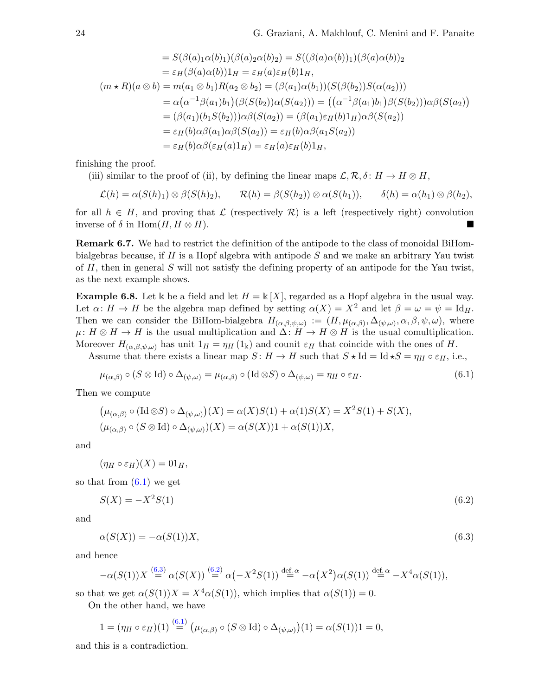$$
= S(\beta(a)_1 \alpha(b)_1)(\beta(a)_2 \alpha(b)_2) = S((\beta(a)\alpha(b))_1)(\beta(a)\alpha(b))_2
$$
  
\n
$$
= \varepsilon_H(\beta(a)\alpha(b))1_H = \varepsilon_H(a)\varepsilon_H(b)1_H,
$$
  
\n
$$
(m \star R)(a \otimes b) = m(a_1 \otimes b_1)R(a_2 \otimes b_2) = (\beta(a_1)\alpha(b_1))(S(\beta(b_2))S(\alpha(a_2)))
$$
  
\n
$$
= \alpha(\alpha^{-1}\beta(a_1)b_1)(\beta(S(b_2))\alpha(S(a_2))) = ((\alpha^{-1}\beta(a_1)b_1)\beta(S(b_2)))\alpha\beta(S(a_2))
$$
  
\n
$$
= (\beta(a_1)(b_1S(b_2)))\alpha\beta(S(a_2)) = (\beta(a_1)\varepsilon_H(b)1_H)\alpha\beta(S(a_2))
$$
  
\n
$$
= \varepsilon_H(b)\alpha\beta(a_1)\alpha\beta(S(a_2)) = \varepsilon_H(b)\alpha\beta(a_1S(a_2))
$$
  
\n
$$
= \varepsilon_H(b)\alpha\beta(\varepsilon_H(a)1_H) = \varepsilon_H(a)\varepsilon_H(b)1_H,
$$

finishing the proof.

(iii) similar to the proof of (ii), by defining the linear maps  $\mathcal{L}, \mathcal{R}, \delta : H \to H \otimes H$ ,

$$
\mathcal{L}(h) = \alpha(S(h)_1) \otimes \beta(S(h)_2), \qquad \mathcal{R}(h) = \beta(S(h_2)) \otimes \alpha(S(h_1)), \qquad \delta(h) = \alpha(h_1) \otimes \beta(h_2),
$$

for all  $h \in H$ , and proving that  $\mathcal L$  (respectively  $\mathcal R$ ) is a left (respectively right) convolution inverse of  $\delta$  in Hom $(H, H \otimes H)$ .

Remark 6.7. We had to restrict the definition of the antipode to the class of monoidal BiHombialgebras because, if  $H$  is a Hopf algebra with antipode  $S$  and we make an arbitrary Yau twist of H, then in general S will not satisfy the defining property of an antipode for the Yau twist, as the next example shows.

**Example 6.8.** Let k be a field and let  $H = k[X]$ , regarded as a Hopf algebra in the usual way. Let  $\alpha: H \to H$  be the algebra map defined by setting  $\alpha(X) = X^2$  and let  $\beta = \omega = \psi = \mathrm{Id}_H$ . Then we can consider the BiHom-bialgebra  $H_{(\alpha,\beta,\psi,\omega)} := (H, \mu_{(\alpha,\beta)}, \Delta_{(\psi,\omega)}, \alpha, \beta, \psi, \omega)$ , where  $\mu: H \otimes H \to H$  is the usual multiplication and  $\Delta: H \to H \otimes H$  is the usual comultiplication. Moreover  $H_{(\alpha,\beta,\psi,\omega)}$  has unit  $1_H = \eta_H(1_k)$  and counit  $\varepsilon_H$  that coincide with the ones of H.

Assume that there exists a linear map  $S: H \to H$  such that  $S \star \mathrm{Id} = \mathrm{Id} \star S = \eta_H \circ \varepsilon_H$ , i.e.,

<span id="page-23-0"></span>
$$
\mu_{(\alpha,\beta)} \circ (S \otimes \text{Id}) \circ \Delta_{(\psi,\omega)} = \mu_{(\alpha,\beta)} \circ (\text{Id} \otimes S) \circ \Delta_{(\psi,\omega)} = \eta_H \circ \varepsilon_H. \tag{6.1}
$$

Then we compute

$$
(\mu_{(\alpha,\beta)} \circ (\text{Id}\otimes S) \circ \Delta_{(\psi,\omega)})(X) = \alpha(X)S(1) + \alpha(1)S(X) = X^2S(1) + S(X),
$$
  

$$
(\mu_{(\alpha,\beta)} \circ (S \otimes \text{Id}) \circ \Delta_{(\psi,\omega)})(X) = \alpha(S(X))1 + \alpha(S(1))X,
$$

and

$$
(\eta_H \circ \varepsilon_H)(X) = 01_H,
$$

so that from  $(6.1)$  we get

<span id="page-23-2"></span>
$$
S(X) = -X^2 S(1) \tag{6.2}
$$

and

<span id="page-23-1"></span>
$$
\alpha(S(X)) = -\alpha(S(1))X,\tag{6.3}
$$

and hence

$$
-\alpha(S(1))X \stackrel{(6.3)}{=} \alpha(S(X)) \stackrel{(6.2)}{=} \alpha(-X^2S(1)) \stackrel{\text{def. }\alpha}{=} -\alpha(X^2)\alpha(S(1)) \stackrel{\text{def. }\alpha}{=} -X^4\alpha(S(1)),
$$

so that we get  $\alpha(S(1))X = X^4 \alpha(S(1))$ , which implies that  $\alpha(S(1)) = 0$ .

On the other hand, we have

$$
1 = (\eta_H \circ \varepsilon_H)(1) \stackrel{(6.1)}{=} (\mu_{(\alpha,\beta)} \circ (S \otimes \text{Id}) \circ \Delta_{(\psi,\omega)})(1) = \alpha(S(1))1 = 0,
$$

and this is a contradiction.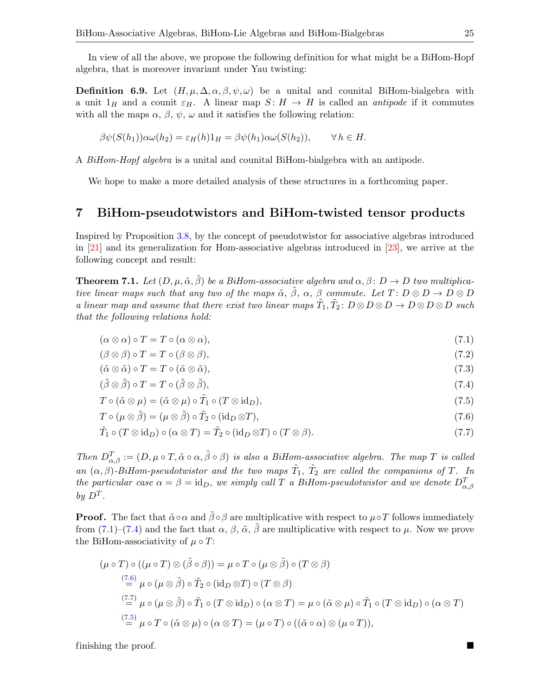In view of all the above, we propose the following definition for what might be a BiHom-Hopf algebra, that is moreover invariant under Yau twisting:

**Definition 6.9.** Let  $(H, \mu, \Delta, \alpha, \beta, \psi, \omega)$  be a unital and counital BiHom-bialgebra with a unit  $1_H$  and a counit  $\varepsilon_H$ . A linear map  $S: H \to H$  is called an *antipode* if it commutes with all the maps  $\alpha$ ,  $\beta$ ,  $\psi$ ,  $\omega$  and it satisfies the following relation:

$$
\beta\psi(S(h_1))\alpha\omega(h_2) = \varepsilon_H(h)1_H = \beta\psi(h_1)\alpha\omega(S(h_2)), \qquad \forall h \in H.
$$

A BiHom-Hopf algebra is a unital and counital BiHom-bialgebra with an antipode.

We hope to make a more detailed analysis of these structures in a forthcoming paper.

## 7 BiHom-pseudotwistors and BiHom-twisted tensor products

Inspired by Proposition [3.8,](#page-9-2) by the concept of pseudotwistor for associative algebras introduced in [\[21\]](#page-33-20) and its generalization for Hom-associative algebras introduced in [\[23\]](#page-33-19), we arrive at the following concept and result:

<span id="page-24-5"></span>**Theorem 7.1.** Let  $(D, \mu, \tilde{\alpha}, \beta)$  be a BiHom-associative algebra and  $\alpha, \beta \colon D \to D$  two multiplicative linear maps such that any two of the maps  $\tilde{\alpha}$ ,  $\tilde{\beta}$ ,  $\alpha$ ,  $\beta$  commute. Let  $T: D \otimes D \to D \otimes D$ a linear map and assume that there exist two linear maps  $\tilde{T}_1, \tilde{T}_2 \colon D \otimes D \otimes D \to D \otimes D \otimes D$  such that the following relations hold:

 $(\alpha \otimes \alpha) \circ T = T \circ (\alpha \otimes \alpha),$ (7.1)

<span id="page-24-0"></span>
$$
(\beta \otimes \beta) \circ T = T \circ (\beta \otimes \beta), \tag{7.2}
$$

$$
(\tilde{\alpha}\otimes\tilde{\alpha})\circ T = T \circ (\tilde{\alpha}\otimes\tilde{\alpha}),\tag{7.3}
$$

<span id="page-24-1"></span>
$$
(\tilde{\beta} \otimes \tilde{\beta}) \circ T = T \circ (\tilde{\beta} \otimes \tilde{\beta}), \tag{7.4}
$$

$$
T \circ (\tilde{\alpha} \otimes \mu) = (\tilde{\alpha} \otimes \mu) \circ \tilde{T}_1 \circ (T \otimes id_D), \tag{7.5}
$$

<span id="page-24-4"></span><span id="page-24-3"></span><span id="page-24-2"></span>
$$
T \circ (\mu \otimes \tilde{\beta}) = (\mu \otimes \tilde{\beta}) \circ \tilde{T}_2 \circ (\text{id}_D \otimes T), \tag{7.6}
$$

$$
\tilde{T}_1 \circ (T \otimes id_D) \circ (\alpha \otimes T) = \tilde{T}_2 \circ (id_D \otimes T) \circ (T \otimes \beta).
$$
\n(7.7)

Then  $D_{\alpha,\beta}^T := (D, \mu \circ T, \tilde{\alpha} \circ \alpha, \tilde{\beta} \circ \beta)$  is also a BiHom-associative algebra. The map T is called an  $(\alpha, \beta)$ -BiHom-pseudotwistor and the two maps  $\tilde{T}_1$ ,  $\tilde{T}_2$  are called the companions of T. In the particular case  $\alpha = \beta = id_D$ , we simply call T a BiHom-pseudotwistor and we denote  $D_{\alpha,\beta}^T$ by  $D^T$ .

**Proof.** The fact that  $\tilde{\alpha} ∘ \alpha$  and  $\tilde{\beta} ∘ \beta$  are multiplicative with respect to  $\mu ∘ T$  follows immediately from [\(7.1\)](#page-24-0)–[\(7.4\)](#page-24-1) and the fact that  $\alpha$ ,  $\beta$ ,  $\tilde{\alpha}$ ,  $\beta$  are multiplicative with respect to  $\mu$ . Now we prove the BiHom-associativity of  $\mu \circ T$ :

$$
(\mu \circ T) \circ ((\mu \circ T) \otimes (\tilde{\beta} \circ \beta)) = \mu \circ T \circ (\mu \otimes \tilde{\beta}) \circ (T \otimes \beta)
$$
  
\n
$$
\stackrel{(7.6)}{=} \mu \circ (\mu \otimes \tilde{\beta}) \circ \tilde{T}_2 \circ (\mathrm{id}_D \otimes T) \circ (T \otimes \beta)
$$
  
\n
$$
\stackrel{(7.7)}{=} \mu \circ (\mu \otimes \tilde{\beta}) \circ \tilde{T}_1 \circ (T \otimes \mathrm{id}_D) \circ (\alpha \otimes T) = \mu \circ (\tilde{\alpha} \otimes \mu) \circ \tilde{T}_1 \circ (T \otimes \mathrm{id}_D) \circ (\alpha \otimes T)
$$
  
\n
$$
\stackrel{(7.5)}{=} \mu \circ T \circ (\tilde{\alpha} \otimes \mu) \circ (\alpha \otimes T) = (\mu \circ T) \circ ((\tilde{\alpha} \circ \alpha) \otimes (\mu \circ T)),
$$

finishing the proof.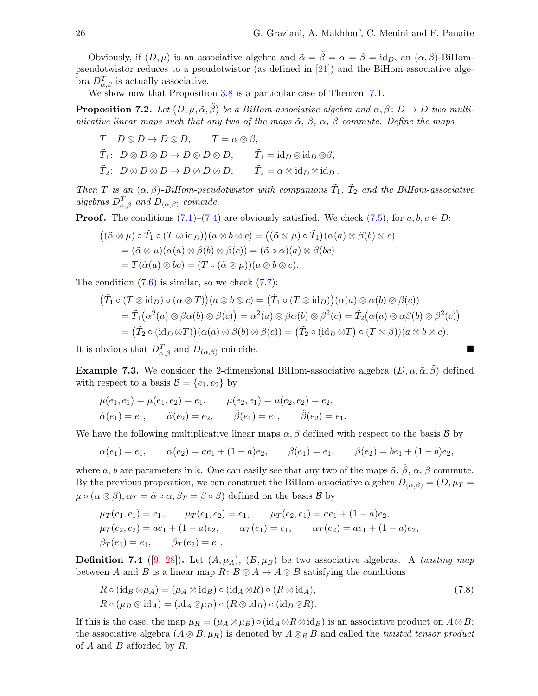Obviously, if  $(D, \mu)$  is an associative algebra and  $\tilde{\alpha} = \tilde{\beta} = \alpha = \beta = id_D$ , an  $(\alpha, \beta)$ -BiHompseudotwistor reduces to a pseudotwistor (as defined in [\[21\]](#page-33-20)) and the BiHom-associative algebra  $D_{\alpha,\beta}^T$  is actually associative.

We show now that Proposition  $3.8$  is a particular case of Theorem [7.1.](#page-24-5)

**Proposition 7.2.** Let  $(D, \mu, \tilde{\alpha}, \beta)$  be a BiHom-associative algebra and  $\alpha, \beta \colon D \to D$  two multiplicative linear maps such that any two of the maps  $\tilde{\alpha}$ ,  $\tilde{\beta}$ ,  $\alpha$ ,  $\beta$  commute. Define the maps

$$
T: D \otimes D \to D \otimes D, \qquad T = \alpha \otimes \beta,
$$
  

$$
\tilde{T}_1: D \otimes D \otimes D \to D \otimes D \otimes D, \qquad \tilde{T}_1 = id_D \otimes id_D \otimes \beta,
$$
  

$$
\tilde{T}_2: D \otimes D \otimes D \to D \otimes D \otimes D, \qquad \tilde{T}_2 = \alpha \otimes id_D \otimes id_D.
$$

Then T is an  $(\alpha, \beta)$ -BiHom-pseudotwistor with companions  $\tilde{T}_1$ ,  $\tilde{T}_2$  and the BiHom-associative algebras  $D_{\alpha,\beta}^T$  and  $D_{(\alpha,\beta)}$  coincide.

**Proof.** The conditions  $(7.1)$ – $(7.4)$  are obviously satisfied. We check  $(7.5)$ , for  $a, b, c \in D$ :

$$
\begin{aligned}\n((\tilde{\alpha} \otimes \mu) \circ \tilde{T}_1 \circ (T \otimes id_D))(a \otimes b \otimes c) &= ((\tilde{\alpha} \otimes \mu) \circ \tilde{T}_1)(\alpha(a) \otimes \beta(b) \otimes c) \\
&= (\tilde{\alpha} \otimes \mu)(\alpha(a) \otimes \beta(b) \otimes \beta(c)) = (\tilde{\alpha} \circ \alpha)(a) \otimes \beta(bc) \\
&= T(\tilde{\alpha}(a) \otimes bc) = (T \circ (\tilde{\alpha} \otimes \mu))(a \otimes b \otimes c).\n\end{aligned}
$$

The condition  $(7.6)$  is similar, so we check  $(7.7)$ :

$$
(\tilde{T}_1 \circ (T \otimes id_D) \circ (\alpha \otimes T))(a \otimes b \otimes c) = (\tilde{T}_1 \circ (T \otimes id_D))(\alpha(a) \otimes \alpha(b) \otimes \beta(c))
$$
  
=  $\tilde{T}_1(\alpha^2(a) \otimes \beta \alpha(b) \otimes \beta(c)) = \alpha^2(a) \otimes \beta \alpha(b) \otimes \beta^2(c) = \tilde{T}_2(\alpha(a) \otimes \alpha \beta(b) \otimes \beta^2(c))$   
=  $(\tilde{T}_2 \circ (id_D \otimes T))(\alpha(a) \otimes \beta(b) \otimes \beta(c)) = (\tilde{T}_2 \circ (id_D \otimes T) \circ (T \otimes \beta))(a \otimes b \otimes c).$ 

It is obvious that  $D_{\alpha,\beta}^T$  and  $D_{(\alpha,\beta)}$  coincide.

**Example 7.3.** We consider the 2-dimensional BiHom-associative algebra  $(D, \mu, \tilde{\alpha}, \tilde{\beta})$  defined with respect to a basis  $\mathcal{B} = \{e_1, e_2\}$  by

$$
\mu(e_1, e_1) = \mu(e_1, e_2) = e_1, \qquad \mu(e_2, e_1) = \mu(e_2, e_2) = e_2, \n\tilde{\alpha}(e_1) = e_1, \qquad \tilde{\alpha}(e_2) = e_2, \qquad \tilde{\beta}(e_1) = e_1, \qquad \tilde{\beta}(e_2) = e_1.
$$

We have the following multiplicative linear maps  $\alpha, \beta$  defined with respect to the basis  $\beta$  by

$$
\alpha(e_1) = e_1, \qquad \alpha(e_2) = ae_1 + (1 - a)e_2, \qquad \beta(e_1) = e_1, \qquad \beta(e_2) = be_1 + (1 - b)e_2,
$$

where a, b are parameters in k. One can easily see that any two of the maps  $\tilde{\alpha}$ ,  $\beta$ ,  $\alpha$ ,  $\beta$  commute. By the previous proposition, we can construct the BiHom-associative algebra  $D_{(\alpha,\beta)} = (D, \mu_T =$  $\mu \circ (\alpha \otimes \beta), \alpha_T = \tilde{\alpha} \circ \alpha, \beta_T = \tilde{\beta} \circ \beta$  defined on the basis  $\beta$  by

$$
\mu_T(e_1, e_1) = e_1, \qquad \mu_T(e_1, e_2) = e_1, \qquad \mu_T(e_2, e_1) = ae_1 + (1 - a)e_2, \n\mu_T(e_2, e_2) = ae_1 + (1 - a)e_2, \qquad \alpha_T(e_1) = e_1, \qquad \alpha_T(e_2) = ae_1 + (1 - a)e_2, \n\beta_T(e_1) = e_1, \qquad \beta_T(e_2) = e_1.
$$

**Definition 7.4** ([\[9,](#page-33-21) [28\]](#page-33-22)). Let  $(A, \mu_A)$ ,  $(B, \mu_B)$  be two associative algebras. A twisting map between A and B is a linear map  $R: B \otimes A \to A \otimes B$  satisfying the conditions

<span id="page-25-0"></span>
$$
R \circ (\mathrm{id}_B \otimes \mu_A) = (\mu_A \otimes \mathrm{id}_B) \circ (\mathrm{id}_A \otimes R) \circ (R \otimes \mathrm{id}_A),
$$
  
\n
$$
R \circ (\mu_B \otimes \mathrm{id}_A) = (\mathrm{id}_A \otimes \mu_B) \circ (R \otimes \mathrm{id}_B) \circ (\mathrm{id}_B \otimes R).
$$
\n(7.8)

If this is the case, the map  $\mu_R = (\mu_A \otimes \mu_B) \circ (\mathrm{id}_A \otimes R \otimes \mathrm{id}_B)$  is an associative product on  $A \otimes B$ ; the associative algebra  $(A \otimes B, \mu_R)$  is denoted by  $A \otimes_R B$  and called the *twisted tensor product* of  $A$  and  $B$  afforded by  $R$ .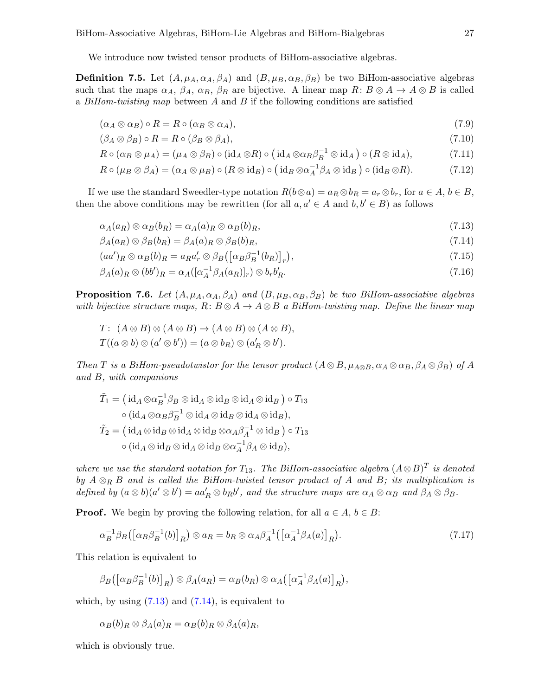We introduce now twisted tensor products of BiHom-associative algebras.

**Definition 7.5.** Let  $(A, \mu_A, \alpha_A, \beta_A)$  and  $(B, \mu_B, \alpha_B, \beta_B)$  be two BiHom-associative algebras such that the maps  $\alpha_A$ ,  $\beta_A$ ,  $\alpha_B$ ,  $\beta_B$  are bijective. A linear map  $R: B \otimes A \to A \otimes B$  is called a  $BiHom-twisting map$  between A and B if the following conditions are satisfied

<span id="page-26-5"></span><span id="page-26-4"></span>
$$
(\alpha_A \otimes \alpha_B) \circ R = R \circ (\alpha_B \otimes \alpha_A), \tag{7.9}
$$

$$
(\beta_A \otimes \beta_B) \circ R = R \circ (\beta_B \otimes \beta_A), \tag{7.10}
$$

<span id="page-26-6"></span>
$$
R \circ (\alpha_B \otimes \mu_A) = (\mu_A \otimes \beta_B) \circ (\mathrm{id}_A \otimes R) \circ (\mathrm{id}_A \otimes \alpha_B \beta_B^{-1} \otimes \mathrm{id}_A) \circ (R \otimes \mathrm{id}_A), \tag{7.11}
$$

<span id="page-26-7"></span>
$$
R \circ (\mu_B \otimes \beta_A) = (\alpha_A \otimes \mu_B) \circ (R \otimes \mathrm{id}_B) \circ (\mathrm{id}_B \otimes \alpha_A^{-1} \beta_A \otimes \mathrm{id}_B) \circ (\mathrm{id}_B \otimes R). \tag{7.12}
$$

If we use the standard Sweedler-type notation  $R(b \otimes a) = a_R \otimes b_R = a_r \otimes b_r$ , for  $a \in A, b \in B$ , then the above conditions may be rewritten (for all  $a, a' \in A$  and  $b, b' \in B$ ) as follows

<span id="page-26-0"></span>
$$
\alpha_A(a_R) \otimes \alpha_B(b_R) = \alpha_A(a_R) \otimes \alpha_B(b_R), \tag{7.13}
$$

<span id="page-26-1"></span>
$$
\beta_A(a_R) \otimes \beta_B(b_R) = \beta_A(a_R) \otimes \beta_B(b_R), \tag{7.14}
$$

<span id="page-26-3"></span>
$$
(aa')_R \otimes \alpha_B(b)_R = a_R a'_r \otimes \beta_B([\alpha_B \beta_B^{-1}(b_R)]_r), \qquad (7.15)
$$

$$
\beta_A(a)_R \otimes (bb')_R = \alpha_A([\alpha_A^{-1} \beta_A(a_R)]_r) \otimes b_r b'_R. \tag{7.16}
$$

**Proposition 7.6.** Let  $(A, \mu_A, \alpha_A, \beta_A)$  and  $(B, \mu_B, \alpha_B, \beta_B)$  be two BiHom-associative algebras with bijective structure maps,  $R: B \otimes A \to A \otimes B$  a BiHom-twisting map. Define the linear map

$$
T: (A \otimes B) \otimes (A \otimes B) \to (A \otimes B) \otimes (A \otimes B),
$$
  

$$
T((a \otimes b) \otimes (a' \otimes b')) = (a \otimes b_R) \otimes (a'_R \otimes b').
$$

Then T is a BiHom-pseudotwistor for the tensor product  $(A \otimes B, \mu_{A \otimes B}, \alpha_A \otimes \alpha_B, \beta_A \otimes \beta_B)$  of A and B, with companions

$$
\tilde{T}_1 = (\mathrm{id}_A \otimes \alpha_B^{-1} \beta_B \otimes \mathrm{id}_A \otimes \mathrm{id}_B \otimes \mathrm{id}_A \otimes \mathrm{id}_B) \circ T_{13}
$$

$$
\circ (\mathrm{id}_A \otimes \alpha_B \beta_B^{-1} \otimes \mathrm{id}_A \otimes \mathrm{id}_B \otimes \mathrm{id}_A \otimes \mathrm{id}_B),
$$

$$
\tilde{T}_2 = (\mathrm{id}_A \otimes \mathrm{id}_B \otimes \mathrm{id}_A \otimes \mathrm{id}_B \otimes \alpha_A \beta_A^{-1} \otimes \mathrm{id}_B) \circ T_{13}
$$

$$
\circ (\mathrm{id}_A \otimes \mathrm{id}_B \otimes \mathrm{id}_A \otimes \mathrm{id}_B \otimes \alpha_A^{-1} \beta_A \otimes \mathrm{id}_B),
$$

where we use the standard notation for  $T_{13}$ . The BiHom-associative algebra  $(A \otimes B)^T$  is denoted by  $A \otimes_R B$  and is called the BiHom-twisted tensor product of A and B; its multiplication is defined by  $(a \otimes b)(a' \otimes b') = aa'_R \otimes b_Rb'$ , and the structure maps are  $\alpha_A \otimes \alpha_B$  and  $\beta_A \otimes \beta_B$ .

**Proof.** We begin by proving the following relation, for all  $a \in A$ ,  $b \in B$ :

<span id="page-26-2"></span>
$$
\alpha_B^{-1}\beta_B\big(\big[\alpha_B\beta_B^{-1}(b)\big]_R\big)\otimes a_R = b_R\otimes\alpha_A\beta_A^{-1}\big(\big[\alpha_A^{-1}\beta_A(a)\big]_R\big). \tag{7.17}
$$

This relation is equivalent to

$$
\beta_B([\alpha_B\beta_B^{-1}(b)]_R)\otimes\beta_A(a_R)=\alpha_B(b_R)\otimes\alpha_A([\alpha_A^{-1}\beta_A(a)]_R),
$$

which, by using  $(7.13)$  and  $(7.14)$ , is equivalent to

$$
\alpha_B(b)_R \otimes \beta_A(a)_R = \alpha_B(b)_R \otimes \beta_A(a)_R,
$$

which is obviously true.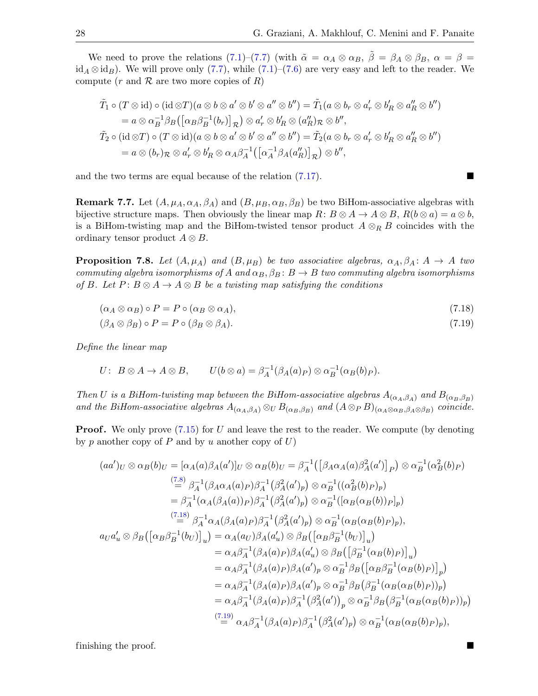We need to prove the relations [\(7.1\)](#page-24-0)–[\(7.7\)](#page-24-3) (with  $\tilde{\alpha} = \alpha_A \otimes \alpha_B$ ,  $\tilde{\beta} = \beta_A \otimes \beta_B$ ,  $\alpha = \beta =$  $id_A \otimes id_B$ . We will prove only [\(7.7\)](#page-24-3), while [\(7.1\)](#page-24-0)–[\(7.6\)](#page-24-2) are very easy and left to the reader. We compute (r and  $R$  are two more copies of R)

$$
\tilde{T}_1 \circ (T \otimes id) \circ (id \otimes T)(a \otimes b \otimes a' \otimes b' \otimes a'' \otimes b'') = \tilde{T}_1(a \otimes b_r \otimes a'_r \otimes b'_R \otimes a''_R \otimes b'')
$$
\n
$$
= a \otimes \alpha_B^{-1} \beta_B \left( [\alpha_B \beta_B^{-1}(b_r)]_{\mathcal{R}} \right) \otimes a'_r \otimes b'_R \otimes (a''_R)_{\mathcal{R}} \otimes b'',
$$
\n
$$
\tilde{T}_2 \circ (id \otimes T) \circ (T \otimes id)(a \otimes b \otimes a' \otimes b' \otimes a'' \otimes b'') = \tilde{T}_2(a \otimes b_r \otimes a'_r \otimes b'_R \otimes a''_R \otimes b'')
$$
\n
$$
= a \otimes (b_r)_{\mathcal{R}} \otimes a'_r \otimes b'_R \otimes \alpha_A \beta_A^{-1} \left( [\alpha_A^{-1} \beta_A(a''_R)]_{\mathcal{R}} \right) \otimes b'',
$$

and the two terms are equal because of the relation  $(7.17)$ .

**Remark 7.7.** Let  $(A, \mu_A, \alpha_A, \beta_A)$  and  $(B, \mu_B, \alpha_B, \beta_B)$  be two BiHom-associative algebras with bijective structure maps. Then obviously the linear map  $R: B \otimes A \to A \otimes B$ ,  $R(b \otimes a) = a \otimes b$ , is a BiHom-twisting map and the BiHom-twisted tensor product  $A \otimes_R B$  coincides with the ordinary tensor product  $A \otimes B$ .

<span id="page-27-2"></span>**Proposition 7.8.** Let  $(A, \mu_A)$  and  $(B, \mu_B)$  be two associative algebras,  $\alpha_A, \beta_A : A \to A$  two commuting algebra isomorphisms of A and  $\alpha_B$ ,  $\beta_B$ :  $B \to B$  two commuting algebra isomorphisms of B. Let  $P: B \otimes A \rightarrow A \otimes B$  be a twisting map satisfying the conditions

<span id="page-27-0"></span>
$$
(\alpha_A \otimes \alpha_B) \circ P = P \circ (\alpha_B \otimes \alpha_A), \tag{7.18}
$$

<span id="page-27-1"></span>
$$
(\beta_A \otimes \beta_B) \circ P = P \circ (\beta_B \otimes \beta_A). \tag{7.19}
$$

Define the linear map

$$
U: B \otimes A \to A \otimes B, \qquad U(b \otimes a) = \beta_A^{-1}(\beta_A(a)_P) \otimes \alpha_B^{-1}(\alpha_B(b)_P).
$$

Then U is a BiHom-twisting map between the BiHom-associative algebras  $A_{(\alpha_A,\beta_A)}$  and  $B_{(\alpha_B,\beta_B)}$ and the BiHom-associative algebras  $A_{(\alpha_A,\beta_A)} \otimes_{U} B_{(\alpha_B,\beta_B)}$  and  $(A \otimes_{P} B)_{(\alpha_A \otimes \alpha_B, \beta_A \otimes \beta_B)}$  coincide.

**Proof.** We only prove  $(7.15)$  for U and leave the rest to the reader. We compute (by denoting by p another copy of P and by u another copy of  $U$ )

$$
(aa')_U \otimes \alpha_B(b)_U = [\alpha_A(a)\beta_A(a')]_U \otimes \alpha_B(b)_U = \beta_A^{-1}([\beta_A\alpha_A(a)\beta_A^2(a')]_P) \otimes \alpha_B^{-1}(\alpha_B^2(b)_P)
$$
  
\n
$$
\stackrel{(7.8)}{=} \beta_A^{-1}(\beta_A\alpha_A(a)_P)\beta_A^{-1}(\beta_A^2(a')_P) \otimes \alpha_B^{-1}((\alpha_B^2(b)_P)_p)
$$
  
\n
$$
= \beta_A^{-1}(\alpha_A(\beta_A(a)_P)\beta_A^{-1}(\beta_A^2(a')_P) \otimes \alpha_B^{-1}([\alpha_B(\alpha_B(b))_P]_p)
$$
  
\n
$$
\stackrel{(7.18)}{=} \beta_A^{-1}\alpha_A(\beta_A(a)_P)\beta_A^{-1}(\beta_A^2(a')_P) \otimes \alpha_B^{-1}(\alpha_B(\alpha_B(b)_P)_p),
$$
  
\n
$$
a_Ua'_u \otimes \beta_B([\alpha_B\beta_B^{-1}(b_U)]_u) = \alpha_A(a_U)\beta_A(a'_u) \otimes \beta_B([\alpha_B\beta_B^{-1}(b_U)]_u)
$$
  
\n
$$
= \alpha_A\beta_A^{-1}(\beta_A(a)_P)\beta_A(a')_P \otimes \alpha_B^{-1}\beta_B([\alpha_B\beta_B^{-1}(\alpha_B(b)_P)]_p)
$$
  
\n
$$
= \alpha_A\beta_A^{-1}(\beta_A(a)_P)\beta_A(a')_P \otimes \alpha_B^{-1}\beta_B(\beta_B^{-1}(\alpha_B(a)_P)_p)
$$
  
\n
$$
= \alpha_A\beta_A^{-1}(\beta_A(a)_P)\beta_A(a')_P \otimes \alpha_B^{-1}\beta_B(\beta_B^{-1}(\alpha_B(a_B(b)_P))_p)
$$
  
\n
$$
= \alpha_A\beta_A^{-1}(\beta_A(a)_P)\beta_A^{-1}(\beta_A^2(a'))_P \otimes \alpha_B^{-1}\beta_B(\beta_B^{-1}(\alpha_B(a_B(b)_P))_p)
$$
  
\n
$$
\stackrel{(7.19)}{=} \alpha_A\beta_A^{-1}(\beta_A(a)_P)\beta_A^{-1}(\beta_A^2(a')_P) \otimes \alpha_B^{-1}(\alpha_B(a_B(b)_P)_p),
$$

finishing the proof.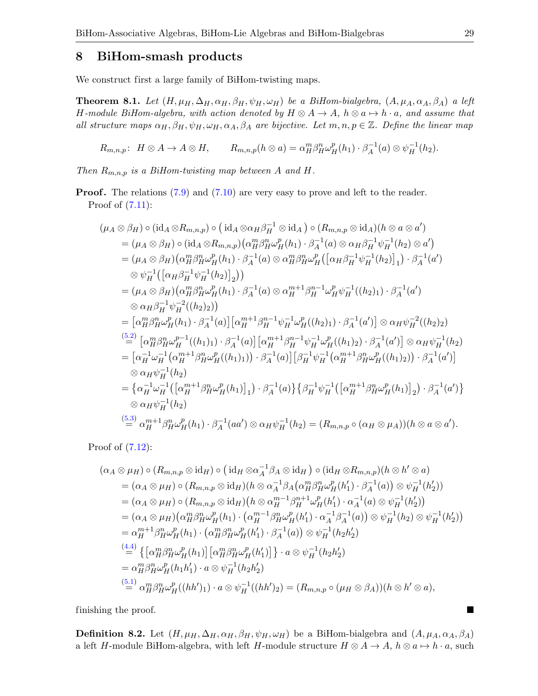### 8 BiHom-smash products

We construct first a large family of BiHom-twisting maps.

<span id="page-28-0"></span>**Theorem 8.1.** Let  $(H, \mu_H, \Delta_H, \alpha_H, \beta_H, \psi_H, \omega_H)$  be a BiHom-bialgebra,  $(A, \mu_A, \alpha_A, \beta_A)$  a left H-module BiHom-algebra, with action denoted by  $H \otimes A \to A$ ,  $h \otimes a \mapsto h \cdot a$ , and assume that all structure maps  $\alpha_H, \beta_H, \psi_H, \omega_H, \alpha_A, \beta_A$  are bijective. Let  $m, n, p \in \mathbb{Z}$ . Define the linear map

 $R_{m,n,p}$ :  $H \otimes A \to A \otimes H$ ,  $R_{m,n,p}(h \otimes a) = \alpha_H^m \beta_H^n \omega_H^p(h_1) \cdot \beta_A^{-1}$  $\chi_A^{-1}(a) \otimes \psi_H^{-1}(h_2).$ 

Then  $R_{m,n,p}$  is a BiHom-twisting map between A and H.

**Proof.** The relations  $(7.9)$  and  $(7.10)$  are very easy to prove and left to the reader. Proof of [\(7.11\)](#page-26-6):

$$
(\mu_A \otimes \beta_H) \circ (\mathrm{id}_A \otimes R_{m,n,p}) \circ (\mathrm{id}_A \otimes \alpha_H \beta_H^{-1} \otimes \mathrm{id}_A) \circ (R_{m,n,p} \otimes \mathrm{id}_A)(h \otimes a \otimes a')
$$
  
\n
$$
= (\mu_A \otimes \beta_H) \circ (\mathrm{id}_A \otimes R_{m,n,p}) (\alpha_H^m \beta_H^n \omega_H^p(h_1) \cdot \beta_A^{-1}(a) \otimes \alpha_H \beta_H^{-1} \psi_H^{-1}(h_2) \otimes a')
$$
  
\n
$$
= (\mu_A \otimes \beta_H) (\alpha_H^m \beta_H^n \omega_H^p(h_1) \cdot \beta_A^{-1}(a) \otimes \alpha_H^m \beta_H^n \omega_H^p([\alpha_H \beta_H^{-1} \psi_H^{-1}(h_2)]_1) \cdot \beta_A^{-1}(a')
$$
  
\n
$$
\otimes \psi_H^{-1}([\alpha_H \beta_H^{-1} \psi_H^{-1}(h_2)]_2))
$$
  
\n
$$
= (\mu_A \otimes \beta_H) (\alpha_H^m \beta_H^n \omega_H^p(h_1) \cdot \beta_A^{-1}(a) \otimes \alpha_H^{m+1} \beta_H^{n-1} \omega_H^p \psi_H^{-1}((h_2)_1) \cdot \beta_A^{-1}(a')
$$
  
\n
$$
\otimes \alpha_H \beta_H^{-1} \psi_H^{-2}((h_2)_2))
$$
  
\n
$$
= [\alpha_H^m \beta_H^n \omega_H^p(h_1) \cdot \beta_A^{-1}(a)] [\alpha_H^{m+1} \beta_H^{n-1} \psi_H^{-1} \omega_H^p((h_2)_1) \cdot \beta_A^{-1}(a')] \otimes \alpha_H \psi_H^{-2}((h_2)_2)
$$
  
\n
$$
= [\alpha_H^{-1} \omega_H^{-1}(\alpha_H^{m+1} \beta_H^n \omega_H^p((h_1)_1)) \cdot \beta_A^{-1}(a)] [\beta_H^{-1} \psi_H^{-1}(\alpha_H^{m+1} \beta_H^n \omega_H^p((h_1)_2)) \cdot \beta_A^{-1}(a')]
$$
  
\n
$$
\otimes \alpha_H \psi_H^{-1}(h_2)
$$
  
\n
$$
= {\alpha_H^{-1} \omega_H^{-1}([\alpha_H^{m+1} \beta_H^n \omega_H^p(h_1)]_1) \cdot \beta_A^{-1}(a)} {\beta_H^{-1} \psi_H^{-1}(\alpha_H^{m+
$$

Proof of [\(7.12\)](#page-26-7):

$$
(\alpha_A \otimes \mu_H) \circ (R_{m,n,p} \otimes id_H) \circ (id_H \otimes \alpha_A^{-1}\beta_A \otimes id_H) \circ (id_H \otimes R_{m,n,p})(h \otimes h' \otimes a)
$$
  
\n
$$
= (\alpha_A \otimes \mu_H) \circ (R_{m,n,p} \otimes id_H)(h \otimes \alpha_A^{-1}\beta_A(\alpha_H^m \beta_H^n \omega_H^p(h_1') \cdot \beta_A^{-1}(a)) \otimes \psi_H^{-1}(h_2'))
$$
  
\n
$$
= (\alpha_A \otimes \mu_H) \circ (R_{m,n,p} \otimes id_H)(h \otimes \alpha_H^{m-1}\beta_H^{n+1}\omega_H^p(h_1') \cdot \alpha_A^{-1}(a) \otimes \psi_H^{-1}(h_2'))
$$
  
\n
$$
= (\alpha_A \otimes \mu_H)(\alpha_H^m \beta_H^n \omega_H^p(h_1) \cdot (\alpha_H^{m-1}\beta_H^n \omega_H^p(h_1') \cdot \alpha_A^{-1}\beta_A^{-1}(a)) \otimes \psi_H^{-1}(h_2) \otimes \psi_H^{-1}(h_2'))
$$
  
\n
$$
= \alpha_H^{m+1}\beta_H^n \omega_H^p(h_1) \cdot (\alpha_H^m \beta_H^n \omega_H^p(h_1') \cdot \beta_A^{-1}(a)) \otimes \psi_H^{-1}(h_2 h_2')
$$
  
\n
$$
\stackrel{(4.4)}{=} \{ [\alpha_H^m \beta_H^n \omega_H^p(h_1)] [\alpha_H^m \beta_H^n \omega_H^p(h_1')] \} \cdot a \otimes \psi_H^{-1}(h_2 h_2')
$$
  
\n
$$
= \alpha_H^m \beta_H^n \omega_H^p(h_1 h_1') \cdot a \otimes \psi_H^{-1}(h_2 h_2')
$$
  
\n
$$
\stackrel{(5.1)}{=} \alpha_H^m \beta_H^n \omega_H^p((hh')_1) \cdot a \otimes \psi_H^{-1}((hh')_2) = (R_{m,n,p} \circ (\mu_H \otimes \beta_A))(h \otimes h' \otimes a),
$$

finishing the proof.

**Definition 8.2.** Let  $(H, \mu_H, \Delta_H, \alpha_H, \beta_H, \psi_H, \omega_H)$  be a BiHom-bialgebra and  $(A, \mu_A, \alpha_A, \beta_A)$ a left H-module BiHom-algebra, with left H-module structure  $H \otimes A \to A$ ,  $h \otimes a \mapsto h \cdot a$ , such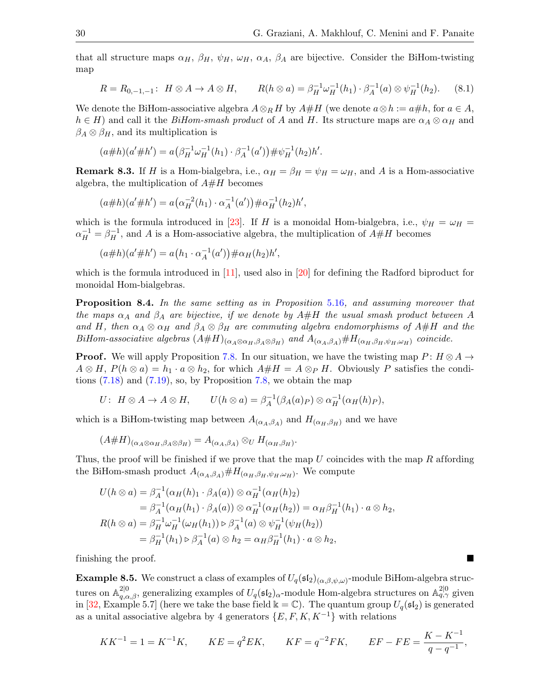that all structure maps  $\alpha_H$ ,  $\beta_H$ ,  $\psi_H$ ,  $\omega_H$ ,  $\alpha_A$ ,  $\beta_A$  are bijective. Consider the BiHom-twisting map

<span id="page-29-0"></span>
$$
R = R_{0,-1,-1} : H \otimes A \to A \otimes H, \qquad R(h \otimes a) = \beta_H^{-1} \omega_H^{-1}(h_1) \cdot \beta_A^{-1}(a) \otimes \psi_H^{-1}(h_2). \tag{8.1}
$$

We denote the BiHom-associative algebra  $A \otimes_R H$  by  $A \# H$  (we denote  $a \otimes h := a \# h$ , for  $a \in A$ ,  $h \in H$ ) and call it the *BiHom-smash product* of A and H. Its structure maps are  $\alpha_A \otimes \alpha_H$  and  $\beta_A \otimes \beta_H$ , and its multiplication is

$$
(a \# h)(a' \# h') = a(\beta_H^{-1} \omega_H^{-1}(h_1) \cdot \beta_A^{-1}(a')) \# \psi_H^{-1}(h_2)h'.
$$

**Remark 8.3.** If H is a Hom-bialgebra, i.e.,  $\alpha_H = \beta_H = \psi_H = \omega_H$ , and A is a Hom-associative algebra, the multiplication of  $A#H$  becomes

$$
(a \# h)(a' \# h') = a(\alpha_H^{-2}(h_1) \cdot \alpha_A^{-1}(a')) \# \alpha_H^{-1}(h_2)h',
$$

which is the formula introduced in [\[23\]](#page-33-19). If H is a monoidal Hom-bialgebra, i.e.,  $\psi_H = \omega_H =$  $\alpha_H^{-1} = \beta_H^{-1}$ , and A is a Hom-associative algebra, the multiplication of  $A \# H$  becomes

$$
(a \# h)(a' \# h') = a(h_1 \cdot \alpha_A^{-1}(a')) \# \alpha_H(h_2)h',
$$

which is the formula introduced in [\[11\]](#page-33-9), used also in [\[20\]](#page-33-11) for defining the Radford biproduct for monoidal Hom-bialgebras.

Proposition 8.4. In the same setting as in Proposition [5.16](#page-21-1), and assuming moreover that the maps  $\alpha_A$  and  $\beta_A$  are bijective, if we denote by  $A\#H$  the usual smash product between A and H, then  $\alpha_A \otimes \alpha_H$  and  $\beta_A \otimes \beta_H$  are commuting algebra endomorphisms of  $A\#H$  and the BiHom-associative algebras  $(A\#H)_{(\alpha_A\otimes \alpha_H,\beta_A\otimes \beta_H)}$  and  $A_{(\alpha_A,\beta_A)}\#H_{(\alpha_H,\beta_H,\psi_H,\omega_H)}$  coincide.

**Proof.** We will apply Proposition [7.8.](#page-27-2) In our situation, we have the twisting map  $P: H \otimes A \rightarrow$  $A \otimes H$ ,  $P(h \otimes a) = h_1 \cdot a \otimes h_2$ , for which  $A \# H = A \otimes_P H$ . Obviously P satisfies the conditions  $(7.18)$  and  $(7.19)$ , so, by Proposition [7.8,](#page-27-2) we obtain the map

$$
U: H \otimes A \to A \otimes H, \qquad U(h \otimes a) = \beta_A^{-1}(\beta_A(a)_P) \otimes \alpha_H^{-1}(\alpha_H(h)_P),
$$

which is a BiHom-twisting map between  $A_{(\alpha_A,\beta_A)}$  and  $H_{(\alpha_H,\beta_H)}$  and we have

$$
(A\#H)_{(\alpha_A\otimes \alpha_H,\beta_A\otimes \beta_H)}=A_{(\alpha_A,\beta_A)}\otimes_{U}H_{(\alpha_H,\beta_H)}.
$$

Thus, the proof will be finished if we prove that the map  $U$  coincides with the map  $R$  affording the BiHom-smash product  $A_{(\alpha_A,\beta_A)}# H_{(\alpha_H,\beta_H,\psi_H,\omega_H)}$ . We compute

$$
U(h \otimes a) = \beta_A^{-1}(\alpha_H(h)_1 \cdot \beta_A(a)) \otimes \alpha_H^{-1}(\alpha_H(h)_2)
$$
  
\n
$$
= \beta_A^{-1}(\alpha_H(h_1) \cdot \beta_A(a)) \otimes \alpha_H^{-1}(\alpha_H(h_2)) = \alpha_H \beta_H^{-1}(h_1) \cdot a \otimes h_2,
$$
  
\n
$$
R(h \otimes a) = \beta_H^{-1} \omega_H^{-1}(\omega_H(h_1)) \triangleright \beta_A^{-1}(a) \otimes \psi_H^{-1}(\psi_H(h_2))
$$
  
\n
$$
= \beta_H^{-1}(h_1) \triangleright \beta_A^{-1}(a) \otimes h_2 = \alpha_H \beta_H^{-1}(h_1) \cdot a \otimes h_2,
$$

finishing the proof.

**Example 8.5.** We construct a class of examples of  $U_q(\mathfrak{sl}_2)_{(\alpha,\beta,\psi,\omega)}$ -module BiHom-algebra structures on  $\mathbb{A}_{q,\alpha,\beta}^{2|0}$ , generalizing examples of  $U_q(\mathfrak{sl}_2)_{\alpha}$ -module Hom-algebra structures on  $\mathbb{A}_{q,\gamma}^{2|0}$  given in [\[32,](#page-33-23) Example 5.7] (here we take the base field  $\Bbbk = \mathbb{C}$ ). The quantum group  $U_q(\mathfrak{sl}_2)$  is generated as a unital associative algebra by 4 generators  $\{E, F, K, K^{-1}\}\$  with relations

$$
KK^{-1} = 1 = K^{-1}K, \qquad KE = q^2EK, \qquad KF = q^{-2}FK, \qquad EF - FE = \frac{K - K^{-1}}{q - q^{-1}},
$$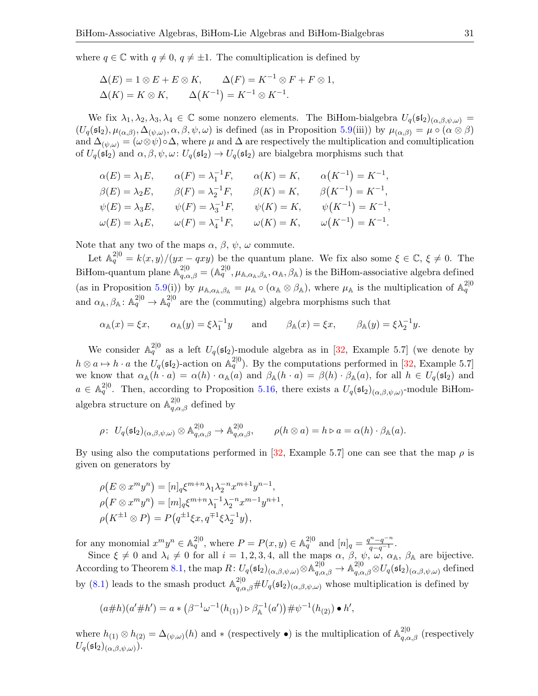where  $q \in \mathbb{C}$  with  $q \neq 0, q \neq \pm 1$ . The comultiplication is defined by

$$
\Delta(E) = 1 \otimes E + E \otimes K, \qquad \Delta(F) = K^{-1} \otimes F + F \otimes 1,
$$
  

$$
\Delta(K) = K \otimes K, \qquad \Delta(K^{-1}) = K^{-1} \otimes K^{-1}.
$$

We fix  $\lambda_1, \lambda_2, \lambda_3, \lambda_4 \in \mathbb{C}$  some nonzero elements. The BiHom-bialgebra  $U_q(\mathfrak{sl}_2)_{(\alpha,\beta,\psi,\omega)} =$  $(U_q(\mathfrak{sl}_2), \mu_{(\alpha,\beta)}, \Delta_{(\psi,\omega)}, \alpha, \beta, \psi, \omega)$  is defined (as in Proposition [5.9\(](#page-19-2)iii)) by  $\mu_{(\alpha,\beta)} = \mu \circ (\alpha \otimes \beta)$ and  $\Delta_{(\psi,\omega)} = (\omega \otimes \psi) \circ \Delta$ , where  $\mu$  and  $\Delta$  are respectively the multiplication and comultiplication of  $U_q(\mathfrak{sl}_2)$  and  $\alpha, \beta, \psi, \omega: U_q(\mathfrak{sl}_2) \to U_q(\mathfrak{sl}_2)$  are bialgebra morphisms such that

$$
\alpha(E) = \lambda_1 E, \qquad \alpha(F) = \lambda_1^{-1} F, \qquad \alpha(K) = K, \qquad \alpha(K^{-1}) = K^{-1},
$$
  
\n
$$
\beta(E) = \lambda_2 E, \qquad \beta(F) = \lambda_2^{-1} F, \qquad \beta(K) = K, \qquad \beta(K^{-1}) = K^{-1},
$$
  
\n
$$
\psi(E) = \lambda_3 E, \qquad \psi(F) = \lambda_3^{-1} F, \qquad \psi(K) = K, \qquad \psi(K^{-1}) = K^{-1},
$$
  
\n
$$
\omega(E) = \lambda_4 E, \qquad \omega(F) = \lambda_4^{-1} F, \qquad \omega(K) = K, \qquad \omega(K^{-1}) = K^{-1}.
$$

Note that any two of the maps  $\alpha$ ,  $\beta$ ,  $\psi$ ,  $\omega$  commute.

Let  $\mathbb{A}_q^{2|0} = k\langle x, y \rangle/(yx - qxy)$  be the quantum plane. We fix also some  $\xi \in \mathbb{C}, \xi \neq 0$ . The BiHom-quantum plane  $\mathbb{A}_{q,\alpha,\beta}^{2|0} = (\mathbb{A}_q^{2|0}, \mu_{\mathbb{A},\alpha_{\mathbb{A}},\beta_{\mathbb{A}},\alpha_{\mathbb{A}},\beta_{\mathbb{A}})$  is the BiHom-associative algebra defined (as in Proposition [5.9\(](#page-19-2)i)) by  $\mu_{\mathbb{A},\alpha_{\mathbb{A}},\beta_{\mathbb{A}}} = \mu_{\mathbb{A}} \circ (\alpha_{\mathbb{A}} \otimes \beta_{\mathbb{A}})$ , where  $\mu_{\mathbb{A}}$  is the multiplication of  $\mathbb{A}_q^{2|0|}$ and  $\alpha_{\mathbb{A}}, \beta_{\mathbb{A}} : \mathbb{A}_q^{2|0} \to \mathbb{A}_q^{2|0}$  are the (commuting) algebra morphisms such that

 $\alpha_{\mathbb{A}}(x) = \xi x, \qquad \alpha_{\mathbb{A}}(y) = \xi \lambda_1^{-1} y \qquad \text{and} \qquad \beta_{\mathbb{A}}(x) = \xi x, \qquad \beta_{\mathbb{A}}(y) = \xi \lambda_2^{-1} y.$ 

We consider  $\mathbb{A}_q^{2|0}$  as a left  $U_q(\mathfrak{sl}_2)$ -module algebra as in [\[32,](#page-33-23) Example 5.7] (we denote by  $h \otimes a \mapsto h \cdot a$  the  $U_q(\mathfrak{sl}_2)$ -action on  $\mathbb{A}_q^{2|0}$ . By the computations performed in [\[32,](#page-33-23) Example 5.7] we know that  $\alpha_{\mathbb{A}}(h \cdot a) = \alpha(h) \cdot \alpha_{\mathbb{A}}(a)$  and  $\beta_{\mathbb{A}}(h \cdot a) = \beta(h) \cdot \beta_{\mathbb{A}}(a)$ , for all  $h \in U_q(\mathfrak{sl}_2)$  and  $a \in \mathbb{A}_q^{2|0}$ . Then, according to Proposition [5.16,](#page-21-1) there exists a  $U_q(\mathfrak{sl}_2)_{(\alpha,\beta,\psi,\omega)}$ -module BiHomalgebra structure on  $\mathbb{A}^{2|0}_{q,\alpha,\beta}$  defined by

$$
\rho\colon U_q(\mathfrak{sl}_2)_{(\alpha,\beta,\psi,\omega)} \otimes \mathbb{A}^{2|0}_{q,\alpha,\beta} \to \mathbb{A}^{2|0}_{q,\alpha,\beta}, \qquad \rho(h \otimes a) = h \triangleright a = \alpha(h) \cdot \beta_{\mathbb{A}}(a).
$$

By using also the computations performed in [\[32,](#page-33-23) Example 5.7] one can see that the map  $\rho$  is given on generators by

,

$$
\rho(E \otimes x^m y^n) = [n]_q \xi^{m+n} \lambda_1 \lambda_2^{-n} x^{m+1} y^{n-1},
$$
  
\n
$$
\rho(F \otimes x^m y^n) = [m]_q \xi^{m+n} \lambda_1^{-1} \lambda_2^{-n} x^{m-1} y^{n+1}
$$
  
\n
$$
\rho(K^{\pm 1} \otimes P) = P(q^{\pm 1} \xi x, q^{\mp 1} \xi \lambda_2^{-1} y),
$$

for any monomial  $x^m y^n \in \mathbb{A}_q^{2|0}$ , where  $P = P(x, y) \in \mathbb{A}_q^{2|0}$  and  $[n]_q = \frac{q^n - q^{-n}}{q - q^{-1}}$ .

Since  $\xi \neq 0$  and  $\lambda_i \neq 0$  for all  $i = 1, 2, 3, 4$ , all the maps  $\alpha$ ,  $\beta$ ,  $\psi$ ,  $\omega$ ,  $\alpha$ <sub>A</sub>,  $\beta$ <sub>A</sub> are bijective. According to Theorem [8.1,](#page-28-0) the map  $R: U_q(\mathfrak{sl}_2)_{(\alpha,\beta,\psi,\omega)} \otimes \mathbb{A}^{2|0}_{q,\alpha,\beta} \to \mathbb{A}^{2|0}_{q,\alpha,\beta} \otimes U_q(\mathfrak{sl}_2)_{(\alpha,\beta,\psi,\omega)}$  defined by [\(8.1\)](#page-29-0) leads to the smash product  $\mathbb{A}_{q,\alpha,\beta}^{2|0} \# U_q(\mathfrak{sl}_2)_{(\alpha,\beta,\psi,\omega)}$  whose multiplication is defined by

$$
(a \# h)(a' \# h') = a * (\beta^{-1} \omega^{-1}(h_{(1)}) \triangleright \beta_{\mathbb{A}}^{-1}(a')) \# \psi^{-1}(h_{(2)}) \bullet h',
$$

where  $h_{(1)} \otimes h_{(2)} = \Delta_{(\psi,\omega)}(h)$  and  $*$  (respectively  $\bullet$ ) is the multiplication of  $\mathbb{A}^{2|0}_{q,\alpha,\beta}$  (respectively  $U_q(\mathfrak{sl}_2)_{(\alpha,\beta,\psi,\omega)}).$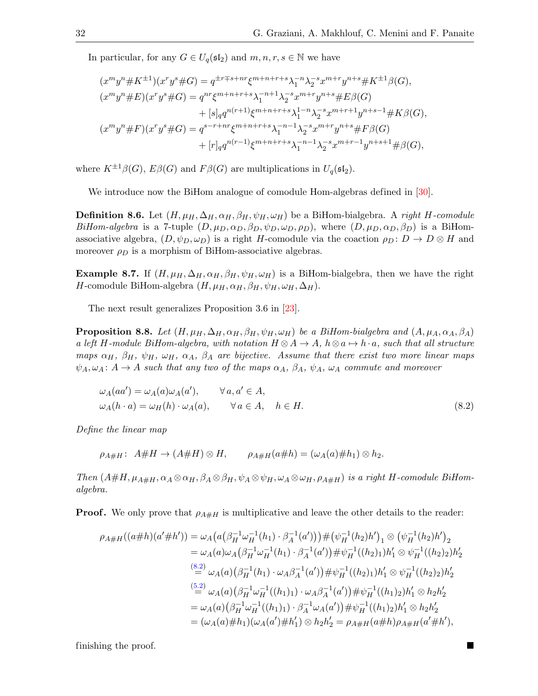In particular, for any  $G \in U_q(\mathfrak{sl}_2)$  and  $m, n, r, s \in \mathbb{N}$  we have

$$
(x^{m}y^{n} \# K^{\pm 1})(x^{r}y^{s} \# G) = q^{\pm r \mp s + nr} \xi^{m+n+r+s} \lambda_{1}^{-n} \lambda_{2}^{-s} x^{m+r} y^{n+s} \# K^{\pm 1} \beta(G),
$$
  
\n
$$
(x^{m}y^{n} \# E)(x^{r}y^{s} \# G) = q^{nr} \xi^{m+n+r+s} \lambda_{1}^{-n+1} \lambda_{2}^{-s} x^{m+r} y^{n+s} \# E \beta(G)
$$
  
\n
$$
+ [s]_{q} q^{n(r+1)} \xi^{m+n+r+s} \lambda_{1}^{1-n} \lambda_{2}^{-s} x^{m+r+1} y^{n+s-1} \# K \beta(G),
$$
  
\n
$$
(x^{m}y^{n} \# F)(x^{r}y^{s} \# G) = q^{s-r+nr} \xi^{m+n+r+s} \lambda_{1}^{-n-1} \lambda_{2}^{-s} x^{m+r} y^{n+s} \# F \beta(G)
$$
  
\n
$$
+ [r]_{q} q^{n(r-1)} \xi^{m+n+r+s} \lambda_{1}^{-n-1} \lambda_{2}^{-s} x^{m+r-1} y^{n+s+1} \# \beta(G),
$$

where  $K^{\pm 1}\beta(G)$ ,  $E\beta(G)$  and  $F\beta(G)$  are multiplications in  $U_q(\mathfrak{sl}_2)$ .

We introduce now the BiHom analogue of comodule Hom-algebras defined in [\[30\]](#page-33-6).

**Definition 8.6.** Let  $(H, \mu_H, \Delta_H, \alpha_H, \beta_H, \psi_H, \omega_H)$  be a BiHom-bialgebra. A right H-comodule BiHom-algebra is a 7-tuple  $(D, \mu_D, \alpha_D, \beta_D, \psi_D, \omega_D, \rho_D)$ , where  $(D, \mu_D, \alpha_D, \beta_D)$  is a BiHomassociative algebra,  $(D, \psi_D, \omega_D)$  is a right H-comodule via the coaction  $\rho_D \colon D \to D \otimes H$  and moreover  $\rho_D$  is a morphism of BiHom-associative algebras.

**Example 8.7.** If  $(H, \mu_H, \Delta_H, \alpha_H, \beta_H, \psi_H, \omega_H)$  is a BiHom-bialgebra, then we have the right H-comodule BiHom-algebra  $(H, \mu_H, \alpha_H, \beta_H, \psi_H, \omega_H, \Delta_H)$ .

The next result generalizes Proposition 3.6 in [\[23\]](#page-33-19).

<span id="page-31-1"></span>**Proposition 8.8.** Let  $(H, \mu_H, \Delta_H, \alpha_H, \beta_H, \psi_H, \omega_H)$  be a BiHom-bialgebra and  $(A, \mu_A, \alpha_A, \beta_A)$ a left H-module BiHom-algebra, with notation  $H \otimes A \to A$ ,  $h \otimes a \mapsto h \cdot a$ , such that all structure maps  $\alpha_H$ ,  $\beta_H$ ,  $\psi_H$ ,  $\omega_H$ ,  $\alpha_A$ ,  $\beta_A$  are bijective. Assume that there exist two more linear maps  $\psi_A, \omega_A: A \to A$  such that any two of the maps  $\alpha_A$ ,  $\beta_A$ ,  $\psi_A$ ,  $\omega_A$  commute and moreover

<span id="page-31-0"></span>
$$
\omega_A(aa') = \omega_A(a)\omega_A(a'), \qquad \forall a, a' \in A,\omega_A(h \cdot a) = \omega_H(h) \cdot \omega_A(a), \qquad \forall a \in A, \quad h \in H.
$$
\n(8.2)

Define the linear map

$$
\rho_{A\#H}: A\#H \to (A\#H) \otimes H, \qquad \rho_{A\#H}(a\#h) = (\omega_A(a)\#h_1) \otimes h_2.
$$

Then  $(A#H, \mu_{A#H}, \alpha_A \otimes \alpha_H, \beta_A \otimes \beta_H, \psi_A \otimes \psi_H, \omega_A \otimes \omega_H, \rho_{A#H})$  is a right H-comodule BiHomalgebra.

**Proof.** We only prove that  $\rho_{A\#H}$  is multiplicative and leave the other details to the reader:

$$
\rho_{A\#H}((a\#h)(a'\#h')) = \omega_A(a(\beta_H^{-1}\omega_H^{-1}(h_1)\cdot\beta_A^{-1}(a')))\#(\psi_H^{-1}(h_2)h')_1 \otimes (\psi_H^{-1}(h_2)h')_2
$$
  
\n
$$
= \omega_A(a)\omega_A(\beta_H^{-1}\omega_H^{-1}(h_1)\cdot\beta_A^{-1}(a'))\# \psi_H^{-1}((h_2)_1)h'_1 \otimes \psi_H^{-1}((h_2)_2)h'_2
$$
  
\n
$$
\stackrel{(8.2)}{=} \omega_A(a)(\beta_H^{-1}(h_1)\cdot\omega_A\beta_A^{-1}(a'))\# \psi_H^{-1}((h_2)_1)h'_1 \otimes \psi_H^{-1}((h_2)_2)h'_2
$$
  
\n
$$
\stackrel{(5.2)}{=} \omega_A(a)(\beta_H^{-1}\omega_H^{-1}((h_1)_1)\cdot\omega_A\beta_A^{-1}(a'))\# \psi_H^{-1}((h_1)_2)h'_1 \otimes h_2h'_2
$$
  
\n
$$
= \omega_A(a)(\beta_H^{-1}\omega_H^{-1}((h_1)_1)\cdot\beta_A^{-1}\omega_A(a'))\# \psi_H^{-1}((h_1)_2)h'_1 \otimes h_2h'_2
$$
  
\n
$$
= (\omega_A(a)\#h_1)(\omega_A(a')\#h'_1) \otimes h_2h'_2 = \rho_{A\#H}(a\#h)\rho_{A\#H}(a'\#h'),
$$

finishing the proof.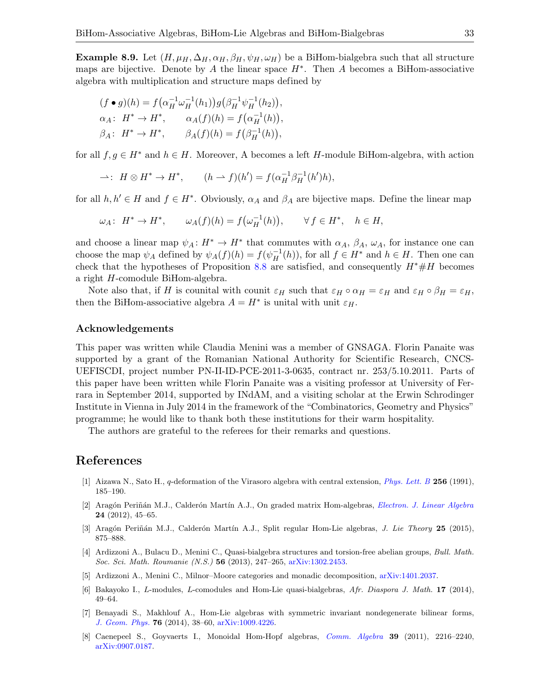**Example 8.9.** Let  $(H, \mu_H, \Delta_H, \alpha_H, \beta_H, \psi_H, \omega_H)$  be a BiHom-bialgebra such that all structure maps are bijective. Denote by A the linear space  $H^*$ . Then A becomes a BiHom-associative algebra with multiplication and structure maps defined by

$$
(f \bullet g)(h) = f(\alpha_H^{-1} \omega_H^{-1}(h_1)) g(\beta_H^{-1} \psi_H^{-1}(h_2)),
$$
  
\n
$$
\alpha_A: H^* \to H^*, \qquad \alpha_A(f)(h) = f(\alpha_H^{-1}(h)),
$$
  
\n
$$
\beta_A: H^* \to H^*, \qquad \beta_A(f)(h) = f(\beta_H^{-1}(h)),
$$

for all  $f, g \in H^*$  and  $h \in H$ . Moreover, A becomes a left H-module BiHom-algebra, with action

$$
\rightharpoonup: H \otimes H^* \to H^*, \qquad (h \rightharpoonup f)(h') = f(\alpha_H^{-1} \beta_H^{-1}(h')h),
$$

for all  $h, h' \in H$  and  $f \in H^*$ . Obviously,  $\alpha_A$  and  $\beta_A$  are bijective maps. Define the linear map

$$
\omega_A\colon H^*\to H^*,\qquad \omega_A(f)(h)=f\big(\omega_H^{-1}(h)\big),\qquad \forall\,f\in H^*,\quad h\in H,
$$

and choose a linear map  $\psi_A: H^* \to H^*$  that commutes with  $\alpha_A$ ,  $\beta_A$ ,  $\omega_A$ , for instance one can choose the map  $\psi_A$  defined by  $\psi_A(f)(h) = f(\psi_H^{-1}(h))$ , for all  $f \in H^*$  and  $h \in H$ . Then one can check that the hypotheses of Proposition [8.8](#page-31-1) are satisfied, and consequently  $H^* \# H$  becomes a right H-comodule BiHom-algebra.

Note also that, if H is counital with counit  $\varepsilon_H$  such that  $\varepsilon_H \circ \alpha_H = \varepsilon_H$  and  $\varepsilon_H \circ \beta_H = \varepsilon_H$ , then the BiHom-associative algebra  $A = H^*$  is unital with unit  $\varepsilon_H$ .

#### Acknowledgements

This paper was written while Claudia Menini was a member of GNSAGA. Florin Panaite was supported by a grant of the Romanian National Authority for Scientific Research, CNCS-UEFISCDI, project number PN-II-ID-PCE-2011-3-0635, contract nr. 253/5.10.2011. Parts of this paper have been written while Florin Panaite was a visiting professor at University of Ferrara in September 2014, supported by INdAM, and a visiting scholar at the Erwin Schrodinger Institute in Vienna in July 2014 in the framework of the "Combinatorics, Geometry and Physics" programme; he would like to thank both these institutions for their warm hospitality.

The authors are grateful to the referees for their remarks and questions.

# References

- <span id="page-32-0"></span>[1] Aizawa N., Sato H., q-deformation of the Virasoro algebra with central extension, [Phys. Lett. B](http://dx.doi.org/10.1016/0370-2693(91)90671-C) 256 (1991), 185–190.
- <span id="page-32-2"></span>[2] Aragón Periñán M.J., Calderón Martín A.J., On graded matrix Hom-algebras, [Electron. J. Linear Algebra](http://dx.doi.org/10.13001/1081-3810.1579) 24 (2012), 45–65.
- <span id="page-32-3"></span>[3] Aragón Periñán M.J., Calderón Martín A.J., Split regular Hom-Lie algebras, *J. Lie Theory* 25 (2015), 875–888.
- <span id="page-32-5"></span>[4] Ardizzoni A., Bulacu D., Menini C., Quasi-bialgebra structures and torsion-free abelian groups, Bull. Math. Soc. Sci. Math. Roumanie (N.S.) 56 (2013), 247–265, [arXiv:1302.2453.](http://arxiv.org/abs/1302.2453)
- <span id="page-32-6"></span>[5] Ardizzoni A., Menini C., Milnor–Moore categories and monadic decomposition, [arXiv:1401.2037.](http://arxiv.org/abs/1401.2037)
- <span id="page-32-7"></span>[6] Bakayoko I., L-modules, L-comodules and Hom-Lie quasi-bialgebras, Afr. Diaspora J. Math. 17 (2014), 49–64.
- <span id="page-32-4"></span>[7] Benayadi S., Makhlouf A., Hom-Lie algebras with symmetric invariant nondegenerate bilinear forms, [J. Geom. Phys.](http://dx.doi.org/10.1016/j.geomphys.2013.10.010) 76 (2014), 38–60, [arXiv:1009.4226.](http://arxiv.org/abs/1009.4226)
- <span id="page-32-1"></span>[8] Caenepeel S., Goyvaerts I., Monoidal Hom-Hopf algebras, [Comm. Algebra](http://dx.doi.org/10.1080/00927872.2010.490800) 39 (2011), 2216–2240, [arXiv:0907.0187.](http://arxiv.org/abs/0907.0187)